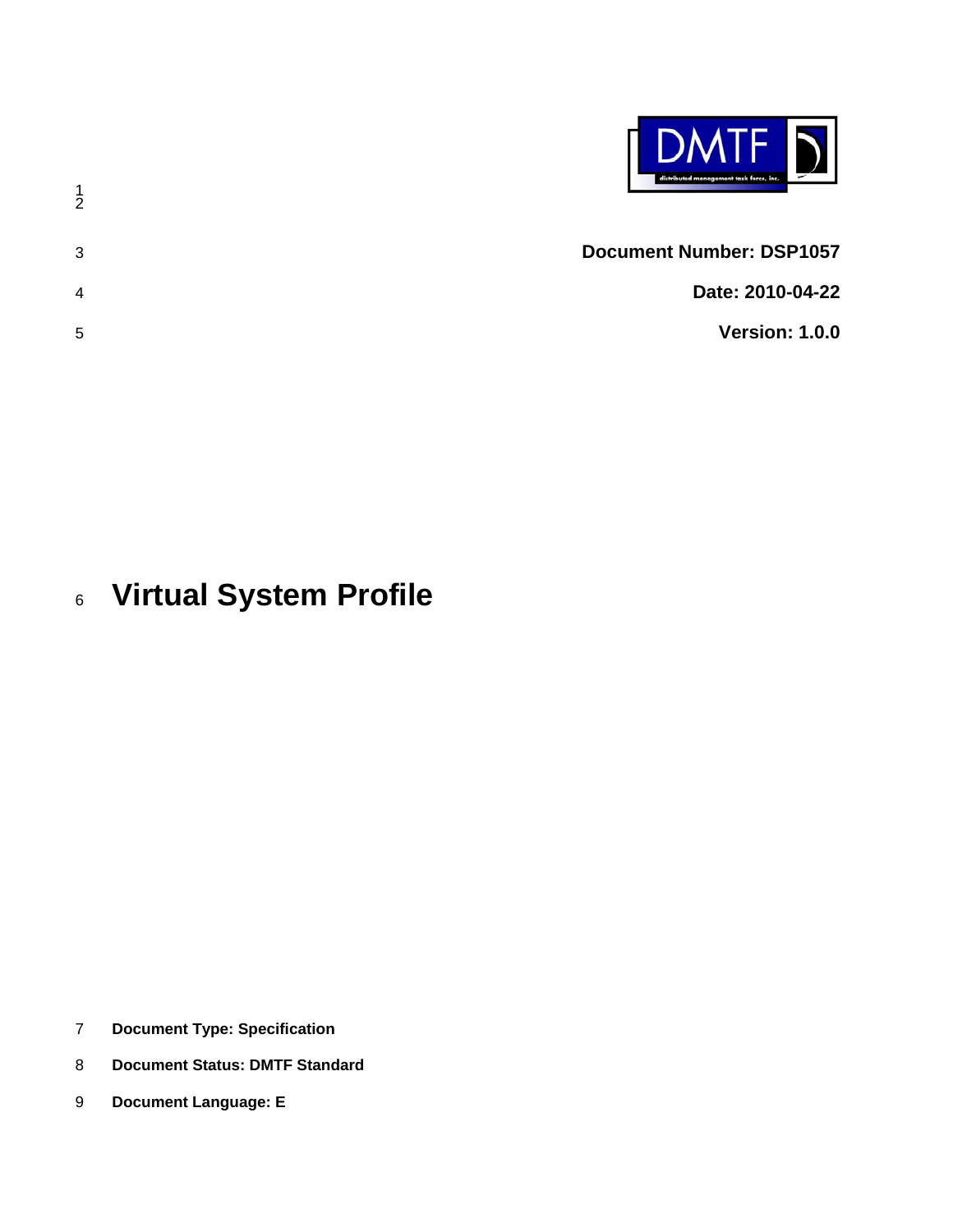

| 3              | <b>Document Number: DSP1057</b> |
|----------------|---------------------------------|
| $\overline{a}$ | Date: 2010-04-22                |
| 5              | <b>Version: 1.0.0</b>           |

### 6 **Virtual System Profile**

- 7 **Document Type: Specification**
- 8 **Document Status: DMTF Standard**
- 9 **Document Language: E**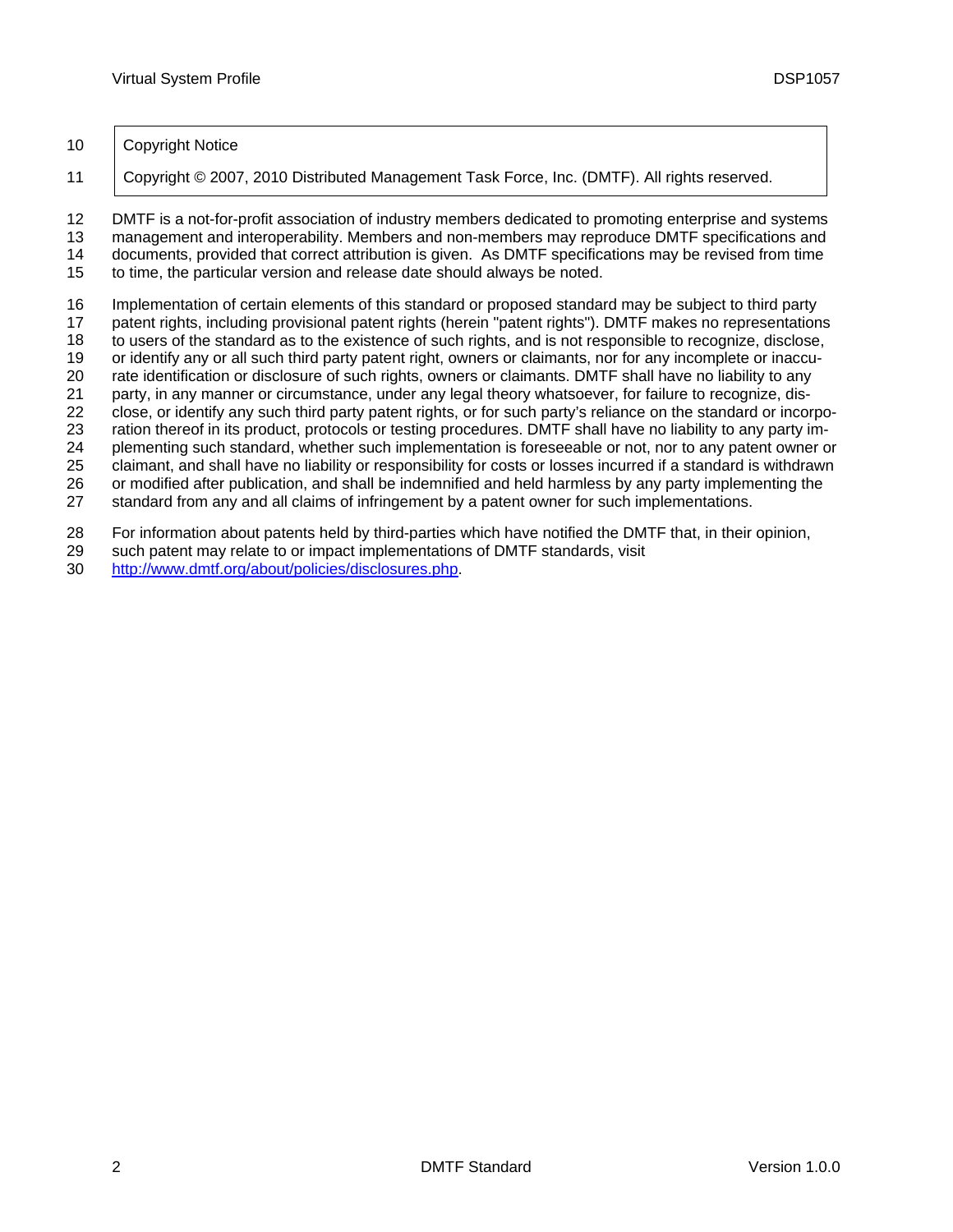### 10 | Copyright Notice

11 Copyright © 2007, 2010 Distributed Management Task Force, Inc. (DMTF). All rights reserved.

12 13 14 15 DMTF is a not-for-profit association of industry members dedicated to promoting enterprise and systems management and interoperability. Members and non-members may reproduce DMTF specifications and documents, provided that correct attribution is given. As DMTF specifications may be revised from time to time, the particular version and release date should always be noted.

16 Implementation of certain elements of this standard or proposed standard may be subject to third party

17 patent rights, including provisional patent rights (herein "patent rights"). DMTF makes no representations

18 to users of the standard as to the existence of such rights, and is not responsible to recognize, disclose,

19 20 or identify any or all such third party patent right, owners or claimants, nor for any incomplete or inaccurate identification or disclosure of such rights, owners or claimants. DMTF shall have no liability to any

21 party, in any manner or circumstance, under any legal theory whatsoever, for failure to recognize, dis-

22 close, or identify any such third party patent rights, or for such party's reliance on the standard or incorpo-

23 ration thereof in its product, protocols or testing procedures. DMTF shall have no liability to any party im-

24 plementing such standard, whether such implementation is foreseeable or not, nor to any patent owner or

25 claimant, and shall have no liability or responsibility for costs or losses incurred if a standard is withdrawn

26 or modified after publication, and shall be indemnified and held harmless by any party implementing the

27 standard from any and all claims of infringement by a patent owner for such implementations.

28 For information about patents held by third-parties which have notified the DMTF that, in their opinion,

29 such patent may relate to or impact implementations of DMTF standards, visit

30 <http://www.dmtf.org/about/policies/disclosures.php>.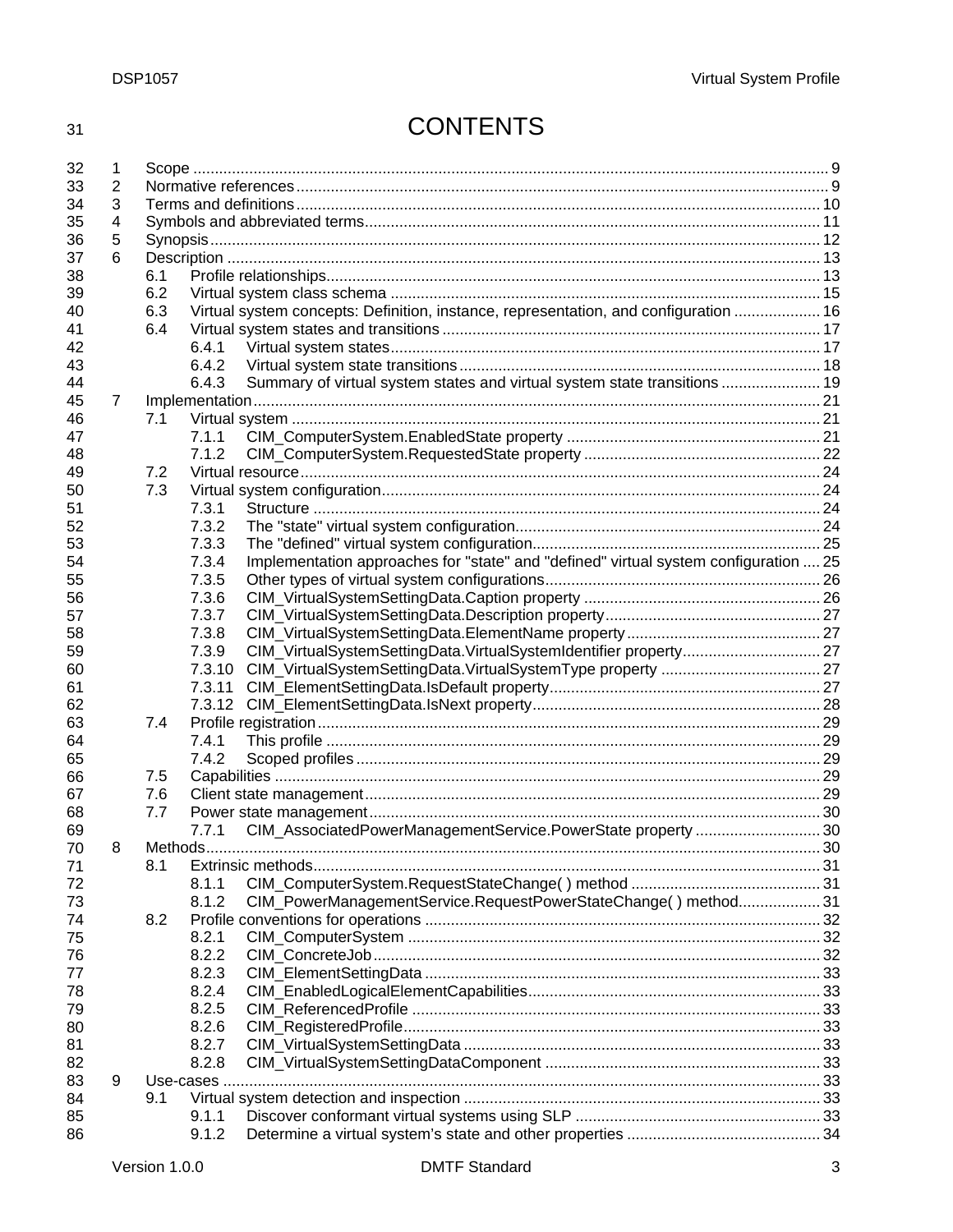# **CONTENTS**

| 33<br>2<br>34<br>3<br>35<br>4<br>36<br>5<br>6<br>37<br>38<br>6.1<br>39<br>6.2<br>Virtual system concepts: Definition, instance, representation, and configuration  16<br>6.3<br>40<br>6.4<br>41<br>6.4.1<br>42<br>6.4.2<br>43<br>6.4.3<br>Summary of virtual system states and virtual system state transitions  19<br>44<br>$\overline{7}$<br>45<br>7.1<br>46<br>47<br>7.1.1<br>7.1.2<br>48<br>49<br>7.2<br>7.3<br>50<br>51<br>7.3.1<br>7.3.2<br>52<br>7.3.3<br>53<br>Implementation approaches for "state" and "defined" virtual system configuration  25<br>54<br>7.3.4<br>7.3.5<br>55<br>7.3.6<br>56<br>7.3.7<br>57<br>7.3.8<br>58<br>7.3.9<br>CIM_VirtualSystemSettingData.VirtualSystemIdentifier property 27<br>59<br>60<br>61<br>7.3.11<br>62<br>7.4<br>63<br>7.4.1<br>64<br>7.4.2<br>65<br>7.5<br>66<br>67<br>7.6<br>7.7<br>68<br>CIM_AssociatedPowerManagementService.PowerState property  30<br>7.7.1<br>69<br>70<br>8<br>71<br>8.1<br>8.1.1<br>72<br>CIM_PowerManagementService.RequestPowerStateChange() method 31<br>8.1.2<br>73<br>74<br>8.2<br>75<br>8.2.1<br>8.2.2<br>76<br>77<br>8.2.3<br>8.2.4<br>78<br>8.2.5<br>79<br>80<br>8.2.6<br>8.2.7<br>81<br>8.2.8<br>82<br>83<br>9<br>84<br>9.1<br>85<br>9.1.1<br>9.1.2<br>86 | 32 | 1 |  |  |  |  |  |
|-------------------------------------------------------------------------------------------------------------------------------------------------------------------------------------------------------------------------------------------------------------------------------------------------------------------------------------------------------------------------------------------------------------------------------------------------------------------------------------------------------------------------------------------------------------------------------------------------------------------------------------------------------------------------------------------------------------------------------------------------------------------------------------------------------------------------------------------------------------------------------------------------------------------------------------------------------------------------------------------------------------------------------------------------------------------------------------------------------------------------------------------------------------------------------------------------------------------------------------------|----|---|--|--|--|--|--|
|                                                                                                                                                                                                                                                                                                                                                                                                                                                                                                                                                                                                                                                                                                                                                                                                                                                                                                                                                                                                                                                                                                                                                                                                                                           |    |   |  |  |  |  |  |
|                                                                                                                                                                                                                                                                                                                                                                                                                                                                                                                                                                                                                                                                                                                                                                                                                                                                                                                                                                                                                                                                                                                                                                                                                                           |    |   |  |  |  |  |  |
|                                                                                                                                                                                                                                                                                                                                                                                                                                                                                                                                                                                                                                                                                                                                                                                                                                                                                                                                                                                                                                                                                                                                                                                                                                           |    |   |  |  |  |  |  |
|                                                                                                                                                                                                                                                                                                                                                                                                                                                                                                                                                                                                                                                                                                                                                                                                                                                                                                                                                                                                                                                                                                                                                                                                                                           |    |   |  |  |  |  |  |
|                                                                                                                                                                                                                                                                                                                                                                                                                                                                                                                                                                                                                                                                                                                                                                                                                                                                                                                                                                                                                                                                                                                                                                                                                                           |    |   |  |  |  |  |  |
|                                                                                                                                                                                                                                                                                                                                                                                                                                                                                                                                                                                                                                                                                                                                                                                                                                                                                                                                                                                                                                                                                                                                                                                                                                           |    |   |  |  |  |  |  |
|                                                                                                                                                                                                                                                                                                                                                                                                                                                                                                                                                                                                                                                                                                                                                                                                                                                                                                                                                                                                                                                                                                                                                                                                                                           |    |   |  |  |  |  |  |
|                                                                                                                                                                                                                                                                                                                                                                                                                                                                                                                                                                                                                                                                                                                                                                                                                                                                                                                                                                                                                                                                                                                                                                                                                                           |    |   |  |  |  |  |  |
|                                                                                                                                                                                                                                                                                                                                                                                                                                                                                                                                                                                                                                                                                                                                                                                                                                                                                                                                                                                                                                                                                                                                                                                                                                           |    |   |  |  |  |  |  |
|                                                                                                                                                                                                                                                                                                                                                                                                                                                                                                                                                                                                                                                                                                                                                                                                                                                                                                                                                                                                                                                                                                                                                                                                                                           |    |   |  |  |  |  |  |
|                                                                                                                                                                                                                                                                                                                                                                                                                                                                                                                                                                                                                                                                                                                                                                                                                                                                                                                                                                                                                                                                                                                                                                                                                                           |    |   |  |  |  |  |  |
|                                                                                                                                                                                                                                                                                                                                                                                                                                                                                                                                                                                                                                                                                                                                                                                                                                                                                                                                                                                                                                                                                                                                                                                                                                           |    |   |  |  |  |  |  |
|                                                                                                                                                                                                                                                                                                                                                                                                                                                                                                                                                                                                                                                                                                                                                                                                                                                                                                                                                                                                                                                                                                                                                                                                                                           |    |   |  |  |  |  |  |
|                                                                                                                                                                                                                                                                                                                                                                                                                                                                                                                                                                                                                                                                                                                                                                                                                                                                                                                                                                                                                                                                                                                                                                                                                                           |    |   |  |  |  |  |  |
|                                                                                                                                                                                                                                                                                                                                                                                                                                                                                                                                                                                                                                                                                                                                                                                                                                                                                                                                                                                                                                                                                                                                                                                                                                           |    |   |  |  |  |  |  |
|                                                                                                                                                                                                                                                                                                                                                                                                                                                                                                                                                                                                                                                                                                                                                                                                                                                                                                                                                                                                                                                                                                                                                                                                                                           |    |   |  |  |  |  |  |
|                                                                                                                                                                                                                                                                                                                                                                                                                                                                                                                                                                                                                                                                                                                                                                                                                                                                                                                                                                                                                                                                                                                                                                                                                                           |    |   |  |  |  |  |  |
|                                                                                                                                                                                                                                                                                                                                                                                                                                                                                                                                                                                                                                                                                                                                                                                                                                                                                                                                                                                                                                                                                                                                                                                                                                           |    |   |  |  |  |  |  |
|                                                                                                                                                                                                                                                                                                                                                                                                                                                                                                                                                                                                                                                                                                                                                                                                                                                                                                                                                                                                                                                                                                                                                                                                                                           |    |   |  |  |  |  |  |
|                                                                                                                                                                                                                                                                                                                                                                                                                                                                                                                                                                                                                                                                                                                                                                                                                                                                                                                                                                                                                                                                                                                                                                                                                                           |    |   |  |  |  |  |  |
|                                                                                                                                                                                                                                                                                                                                                                                                                                                                                                                                                                                                                                                                                                                                                                                                                                                                                                                                                                                                                                                                                                                                                                                                                                           |    |   |  |  |  |  |  |
|                                                                                                                                                                                                                                                                                                                                                                                                                                                                                                                                                                                                                                                                                                                                                                                                                                                                                                                                                                                                                                                                                                                                                                                                                                           |    |   |  |  |  |  |  |
|                                                                                                                                                                                                                                                                                                                                                                                                                                                                                                                                                                                                                                                                                                                                                                                                                                                                                                                                                                                                                                                                                                                                                                                                                                           |    |   |  |  |  |  |  |
|                                                                                                                                                                                                                                                                                                                                                                                                                                                                                                                                                                                                                                                                                                                                                                                                                                                                                                                                                                                                                                                                                                                                                                                                                                           |    |   |  |  |  |  |  |
|                                                                                                                                                                                                                                                                                                                                                                                                                                                                                                                                                                                                                                                                                                                                                                                                                                                                                                                                                                                                                                                                                                                                                                                                                                           |    |   |  |  |  |  |  |
|                                                                                                                                                                                                                                                                                                                                                                                                                                                                                                                                                                                                                                                                                                                                                                                                                                                                                                                                                                                                                                                                                                                                                                                                                                           |    |   |  |  |  |  |  |
|                                                                                                                                                                                                                                                                                                                                                                                                                                                                                                                                                                                                                                                                                                                                                                                                                                                                                                                                                                                                                                                                                                                                                                                                                                           |    |   |  |  |  |  |  |
|                                                                                                                                                                                                                                                                                                                                                                                                                                                                                                                                                                                                                                                                                                                                                                                                                                                                                                                                                                                                                                                                                                                                                                                                                                           |    |   |  |  |  |  |  |
|                                                                                                                                                                                                                                                                                                                                                                                                                                                                                                                                                                                                                                                                                                                                                                                                                                                                                                                                                                                                                                                                                                                                                                                                                                           |    |   |  |  |  |  |  |
|                                                                                                                                                                                                                                                                                                                                                                                                                                                                                                                                                                                                                                                                                                                                                                                                                                                                                                                                                                                                                                                                                                                                                                                                                                           |    |   |  |  |  |  |  |
|                                                                                                                                                                                                                                                                                                                                                                                                                                                                                                                                                                                                                                                                                                                                                                                                                                                                                                                                                                                                                                                                                                                                                                                                                                           |    |   |  |  |  |  |  |
|                                                                                                                                                                                                                                                                                                                                                                                                                                                                                                                                                                                                                                                                                                                                                                                                                                                                                                                                                                                                                                                                                                                                                                                                                                           |    |   |  |  |  |  |  |
|                                                                                                                                                                                                                                                                                                                                                                                                                                                                                                                                                                                                                                                                                                                                                                                                                                                                                                                                                                                                                                                                                                                                                                                                                                           |    |   |  |  |  |  |  |
|                                                                                                                                                                                                                                                                                                                                                                                                                                                                                                                                                                                                                                                                                                                                                                                                                                                                                                                                                                                                                                                                                                                                                                                                                                           |    |   |  |  |  |  |  |
|                                                                                                                                                                                                                                                                                                                                                                                                                                                                                                                                                                                                                                                                                                                                                                                                                                                                                                                                                                                                                                                                                                                                                                                                                                           |    |   |  |  |  |  |  |
|                                                                                                                                                                                                                                                                                                                                                                                                                                                                                                                                                                                                                                                                                                                                                                                                                                                                                                                                                                                                                                                                                                                                                                                                                                           |    |   |  |  |  |  |  |
|                                                                                                                                                                                                                                                                                                                                                                                                                                                                                                                                                                                                                                                                                                                                                                                                                                                                                                                                                                                                                                                                                                                                                                                                                                           |    |   |  |  |  |  |  |
|                                                                                                                                                                                                                                                                                                                                                                                                                                                                                                                                                                                                                                                                                                                                                                                                                                                                                                                                                                                                                                                                                                                                                                                                                                           |    |   |  |  |  |  |  |
|                                                                                                                                                                                                                                                                                                                                                                                                                                                                                                                                                                                                                                                                                                                                                                                                                                                                                                                                                                                                                                                                                                                                                                                                                                           |    |   |  |  |  |  |  |
|                                                                                                                                                                                                                                                                                                                                                                                                                                                                                                                                                                                                                                                                                                                                                                                                                                                                                                                                                                                                                                                                                                                                                                                                                                           |    |   |  |  |  |  |  |
|                                                                                                                                                                                                                                                                                                                                                                                                                                                                                                                                                                                                                                                                                                                                                                                                                                                                                                                                                                                                                                                                                                                                                                                                                                           |    |   |  |  |  |  |  |
|                                                                                                                                                                                                                                                                                                                                                                                                                                                                                                                                                                                                                                                                                                                                                                                                                                                                                                                                                                                                                                                                                                                                                                                                                                           |    |   |  |  |  |  |  |
|                                                                                                                                                                                                                                                                                                                                                                                                                                                                                                                                                                                                                                                                                                                                                                                                                                                                                                                                                                                                                                                                                                                                                                                                                                           |    |   |  |  |  |  |  |
|                                                                                                                                                                                                                                                                                                                                                                                                                                                                                                                                                                                                                                                                                                                                                                                                                                                                                                                                                                                                                                                                                                                                                                                                                                           |    |   |  |  |  |  |  |
|                                                                                                                                                                                                                                                                                                                                                                                                                                                                                                                                                                                                                                                                                                                                                                                                                                                                                                                                                                                                                                                                                                                                                                                                                                           |    |   |  |  |  |  |  |
|                                                                                                                                                                                                                                                                                                                                                                                                                                                                                                                                                                                                                                                                                                                                                                                                                                                                                                                                                                                                                                                                                                                                                                                                                                           |    |   |  |  |  |  |  |
|                                                                                                                                                                                                                                                                                                                                                                                                                                                                                                                                                                                                                                                                                                                                                                                                                                                                                                                                                                                                                                                                                                                                                                                                                                           |    |   |  |  |  |  |  |
|                                                                                                                                                                                                                                                                                                                                                                                                                                                                                                                                                                                                                                                                                                                                                                                                                                                                                                                                                                                                                                                                                                                                                                                                                                           |    |   |  |  |  |  |  |
|                                                                                                                                                                                                                                                                                                                                                                                                                                                                                                                                                                                                                                                                                                                                                                                                                                                                                                                                                                                                                                                                                                                                                                                                                                           |    |   |  |  |  |  |  |
|                                                                                                                                                                                                                                                                                                                                                                                                                                                                                                                                                                                                                                                                                                                                                                                                                                                                                                                                                                                                                                                                                                                                                                                                                                           |    |   |  |  |  |  |  |
|                                                                                                                                                                                                                                                                                                                                                                                                                                                                                                                                                                                                                                                                                                                                                                                                                                                                                                                                                                                                                                                                                                                                                                                                                                           |    |   |  |  |  |  |  |
|                                                                                                                                                                                                                                                                                                                                                                                                                                                                                                                                                                                                                                                                                                                                                                                                                                                                                                                                                                                                                                                                                                                                                                                                                                           |    |   |  |  |  |  |  |
|                                                                                                                                                                                                                                                                                                                                                                                                                                                                                                                                                                                                                                                                                                                                                                                                                                                                                                                                                                                                                                                                                                                                                                                                                                           |    |   |  |  |  |  |  |
|                                                                                                                                                                                                                                                                                                                                                                                                                                                                                                                                                                                                                                                                                                                                                                                                                                                                                                                                                                                                                                                                                                                                                                                                                                           |    |   |  |  |  |  |  |
|                                                                                                                                                                                                                                                                                                                                                                                                                                                                                                                                                                                                                                                                                                                                                                                                                                                                                                                                                                                                                                                                                                                                                                                                                                           |    |   |  |  |  |  |  |
|                                                                                                                                                                                                                                                                                                                                                                                                                                                                                                                                                                                                                                                                                                                                                                                                                                                                                                                                                                                                                                                                                                                                                                                                                                           |    |   |  |  |  |  |  |
|                                                                                                                                                                                                                                                                                                                                                                                                                                                                                                                                                                                                                                                                                                                                                                                                                                                                                                                                                                                                                                                                                                                                                                                                                                           |    |   |  |  |  |  |  |
|                                                                                                                                                                                                                                                                                                                                                                                                                                                                                                                                                                                                                                                                                                                                                                                                                                                                                                                                                                                                                                                                                                                                                                                                                                           |    |   |  |  |  |  |  |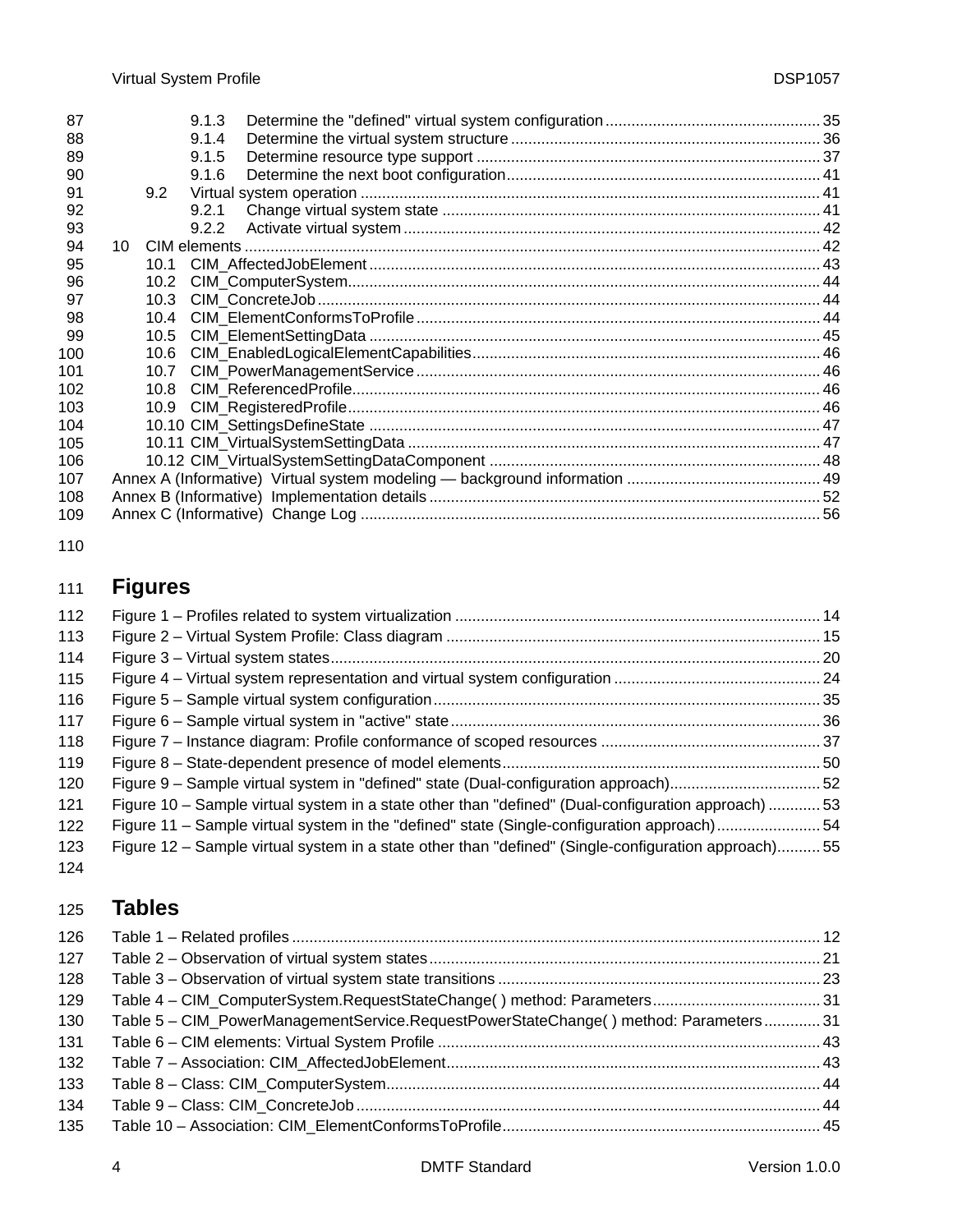| 87  |                 |                   | 9.1.3 |  |
|-----|-----------------|-------------------|-------|--|
| 88  |                 |                   | 9.1.4 |  |
| 89  |                 |                   | 9.1.5 |  |
| 90  |                 |                   | 9.1.6 |  |
| 91  |                 | 9.2               |       |  |
| 92  |                 |                   | 9.2.1 |  |
| 93  |                 |                   | 9.2.2 |  |
| 94  | 10 <sup>1</sup> |                   |       |  |
| 95  |                 | 10.1              |       |  |
| 96  |                 | 10.2 <sub>1</sub> |       |  |
| 97  |                 | 10.3              |       |  |
| 98  |                 | 10.4              |       |  |
| .99 |                 | 10.5              |       |  |
| 100 |                 | 10.6.             |       |  |
| 101 |                 | 10.7              |       |  |
| 102 |                 | 10.8              |       |  |
| 103 |                 | 10.9              |       |  |
| 104 |                 |                   |       |  |
| 105 |                 |                   |       |  |
| 106 |                 |                   |       |  |
| 107 |                 |                   |       |  |
| 108 |                 |                   |       |  |
| 109 |                 |                   |       |  |
|     |                 |                   |       |  |

#### 111 **Figures**

| 112 |                                                                                                      |  |
|-----|------------------------------------------------------------------------------------------------------|--|
| 113 |                                                                                                      |  |
| 114 |                                                                                                      |  |
| 115 |                                                                                                      |  |
| 116 |                                                                                                      |  |
| 117 |                                                                                                      |  |
| 118 |                                                                                                      |  |
| 119 |                                                                                                      |  |
| 120 | Figure 9 - Sample virtual system in "defined" state (Dual-configuration approach)52                  |  |
| 121 | Figure 10 - Sample virtual system in a state other than "defined" (Dual-configuration approach) 53   |  |
| 122 | Figure 11 - Sample virtual system in the "defined" state (Single-configuration approach) 54          |  |
| 123 | Figure 12 - Sample virtual system in a state other than "defined" (Single-configuration approach) 55 |  |
| 124 |                                                                                                      |  |

#### 125 **Tables**

| 126 |                                                                                      |  |
|-----|--------------------------------------------------------------------------------------|--|
| 127 |                                                                                      |  |
| 128 |                                                                                      |  |
| 129 |                                                                                      |  |
| 130 | Table 5 - CIM_PowerManagementService.RequestPowerStateChange() method: Parameters 31 |  |
| 131 |                                                                                      |  |
| 132 |                                                                                      |  |
| 133 |                                                                                      |  |
| 134 |                                                                                      |  |
| 135 |                                                                                      |  |
|     |                                                                                      |  |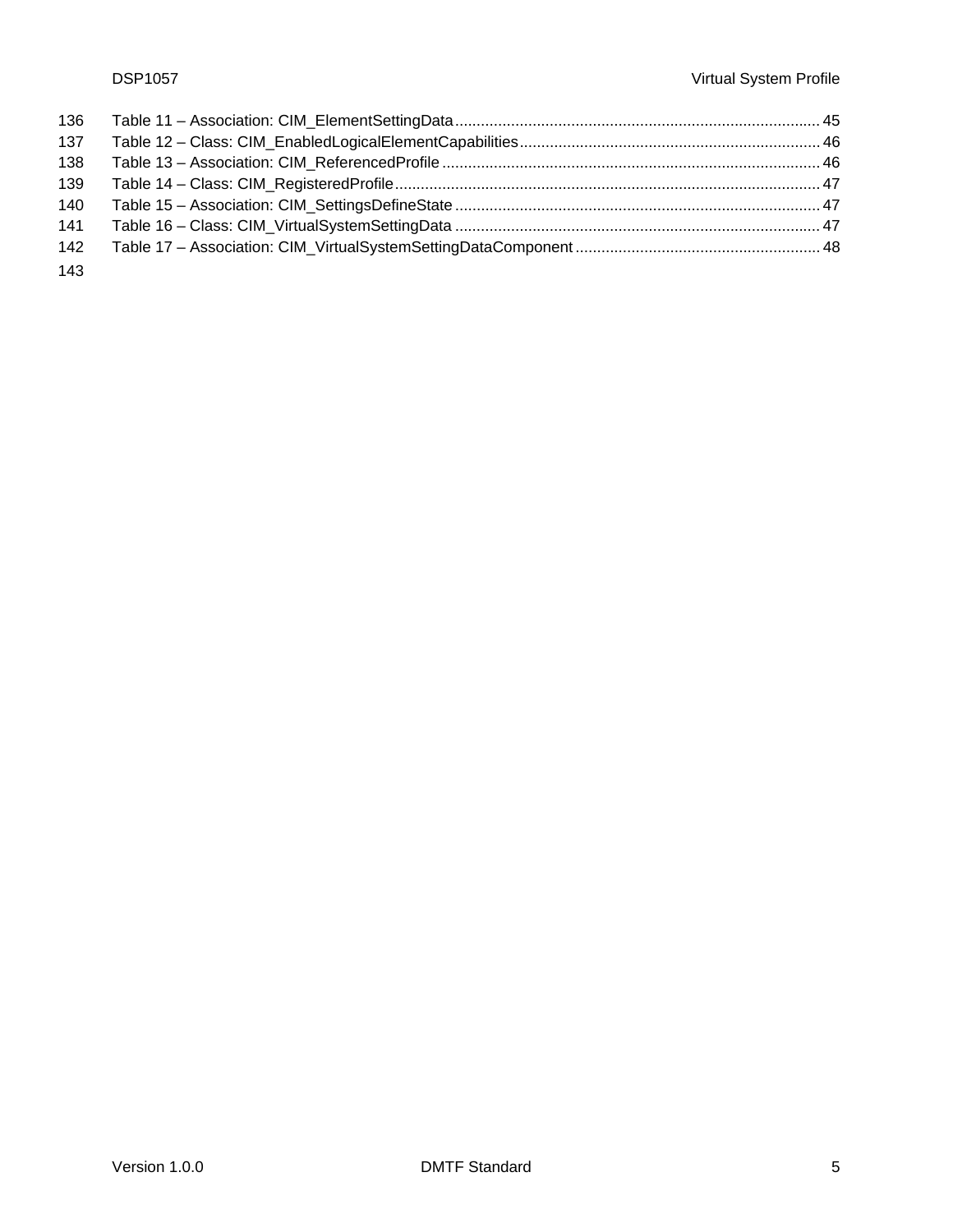| 136            |  |
|----------------|--|
| 137            |  |
| 138            |  |
| 139            |  |
| 140            |  |
| 141            |  |
| 142            |  |
| $\overline{1}$ |  |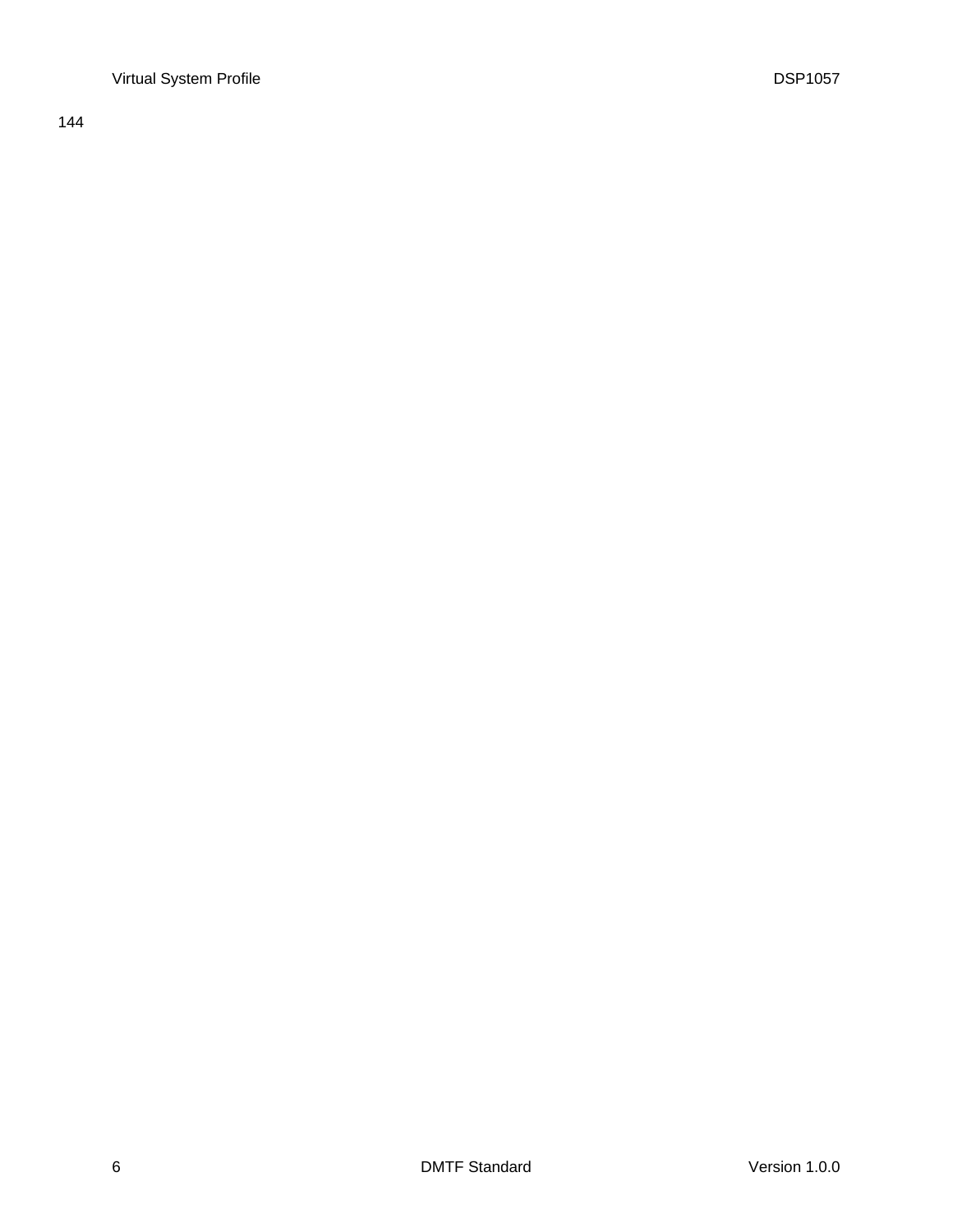Virtual System Profile **DSP1057**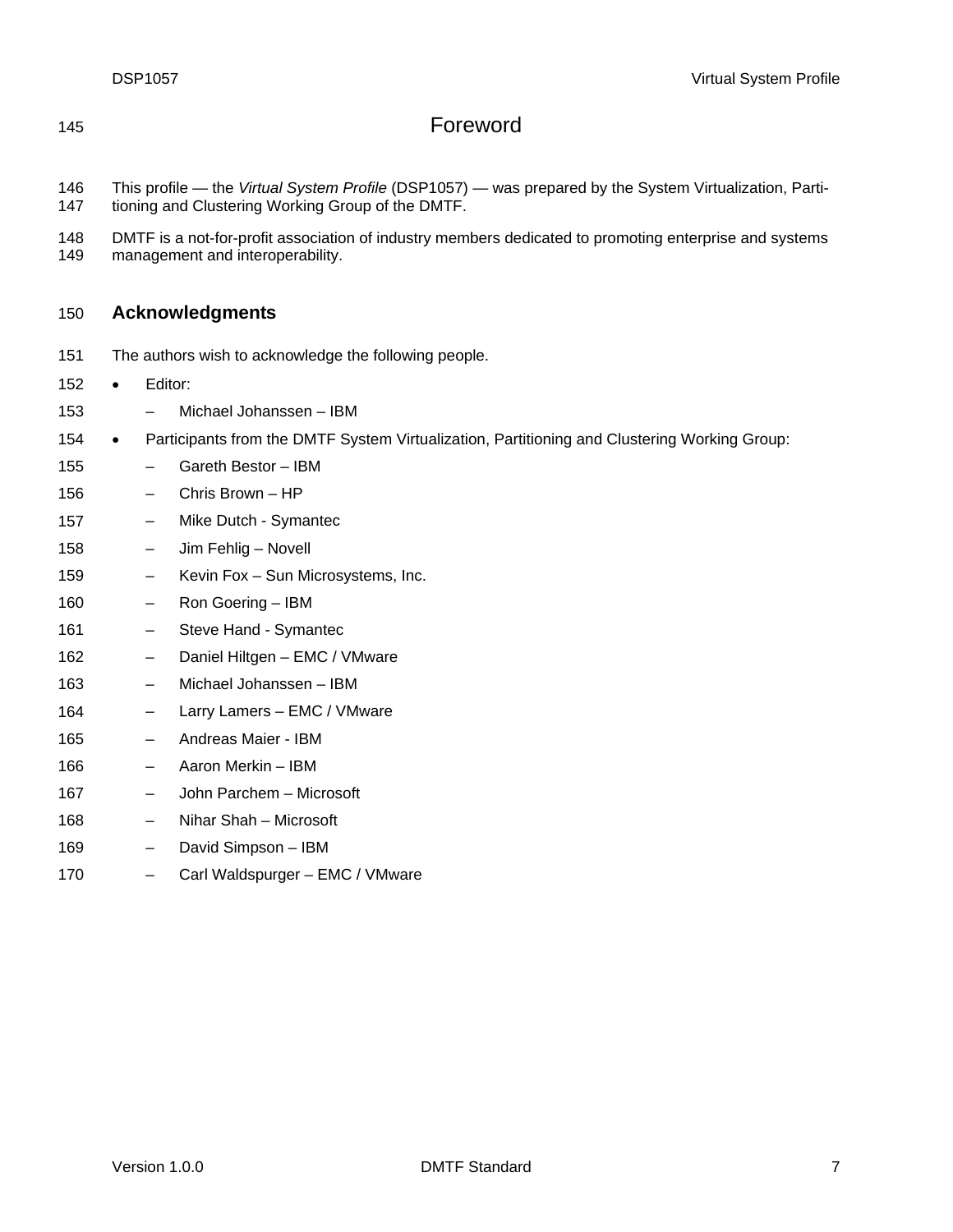### Foreword

- 146 147 This profile — the *Virtual System Profile* (DSP1057) — was prepared by the System Virtualization, Partitioning and Clustering Working Group of the DMTF.
- 148 DMTF is a not-for-profit association of industry members dedicated to promoting enterprise and systems
- 149 management and interoperability.

#### 150 **Acknowledgments**

- 151 The authors wish to acknowledge the following people.
- 152 Editor:
- 153 – Michael Johanssen – IBM
- 154 Participants from the DMTF System Virtualization, Partitioning and Clustering Working Group:
- 155 – Gareth Bestor – IBM
- 156 – Chris Brown – HP
- 157 – Mike Dutch - Symantec
- 158 – Jim Fehlig – Novell
- 159 – Kevin Fox – Sun Microsystems, Inc.
- 160 – Ron Goering – IBM
- 161 – Steve Hand - Symantec
- 162 – Daniel Hiltgen – EMC / VMware
- 163 – Michael Johanssen – IBM
- 164 – Larry Lamers – EMC / VMware
- 165 – Andreas Maier - IBM
- 166 – Aaron Merkin – IBM
- 167 – John Parchem – Microsoft
- 168 – Nihar Shah – Microsoft
- 169 – David Simpson – IBM
- 170 – Carl Waldspurger – EMC / VMware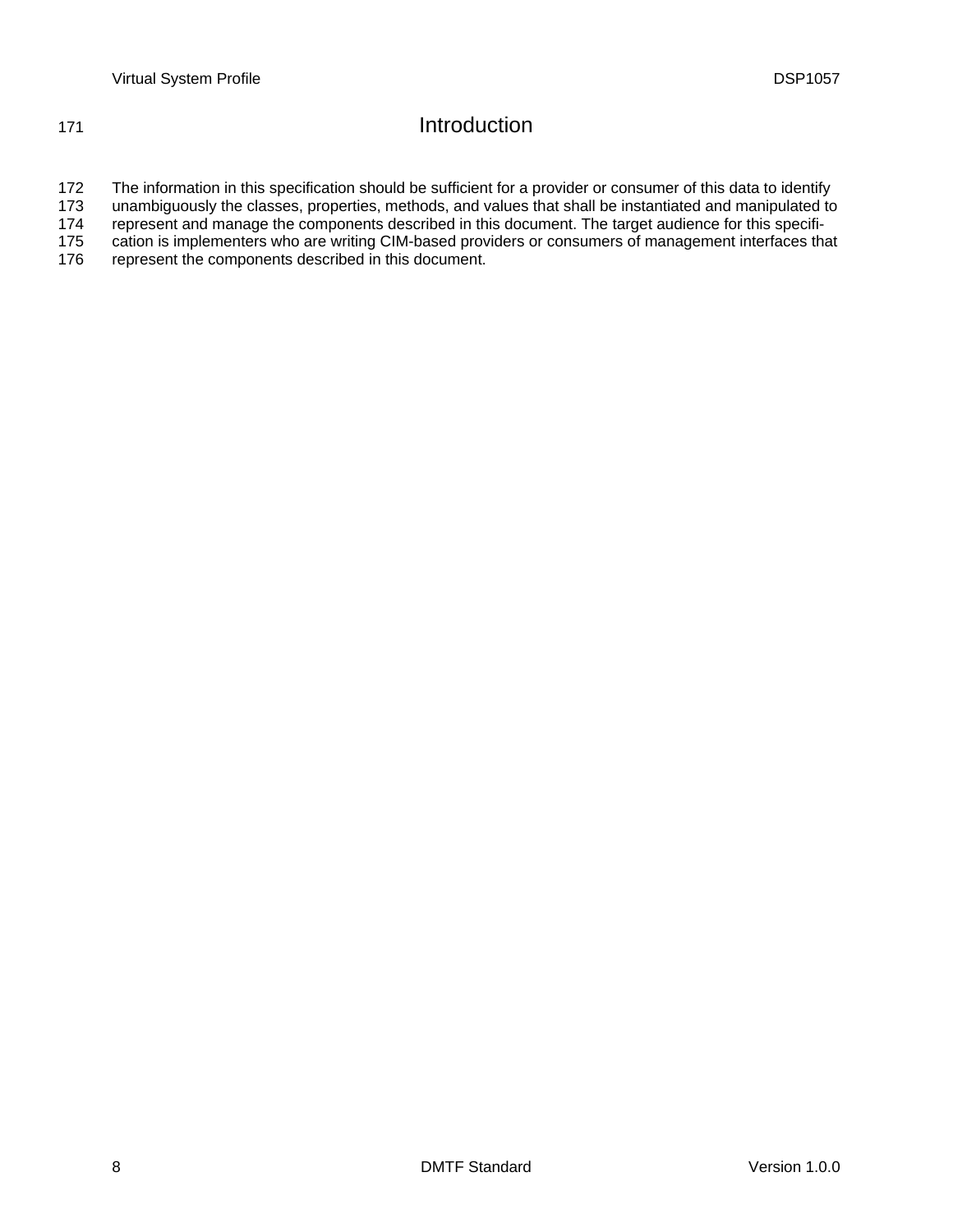# Introduction

172 The information in this specification should be sufficient for a provider or consumer of this data to identify

173 unambiguously the classes, properties, methods, and values that shall be instantiated and manipulated to

174 represent and manage the components described in this document. The target audience for this specifi-

175 cation is implementers who are writing CIM-based providers or consumers of management interfaces that

176 represent the components described in this document.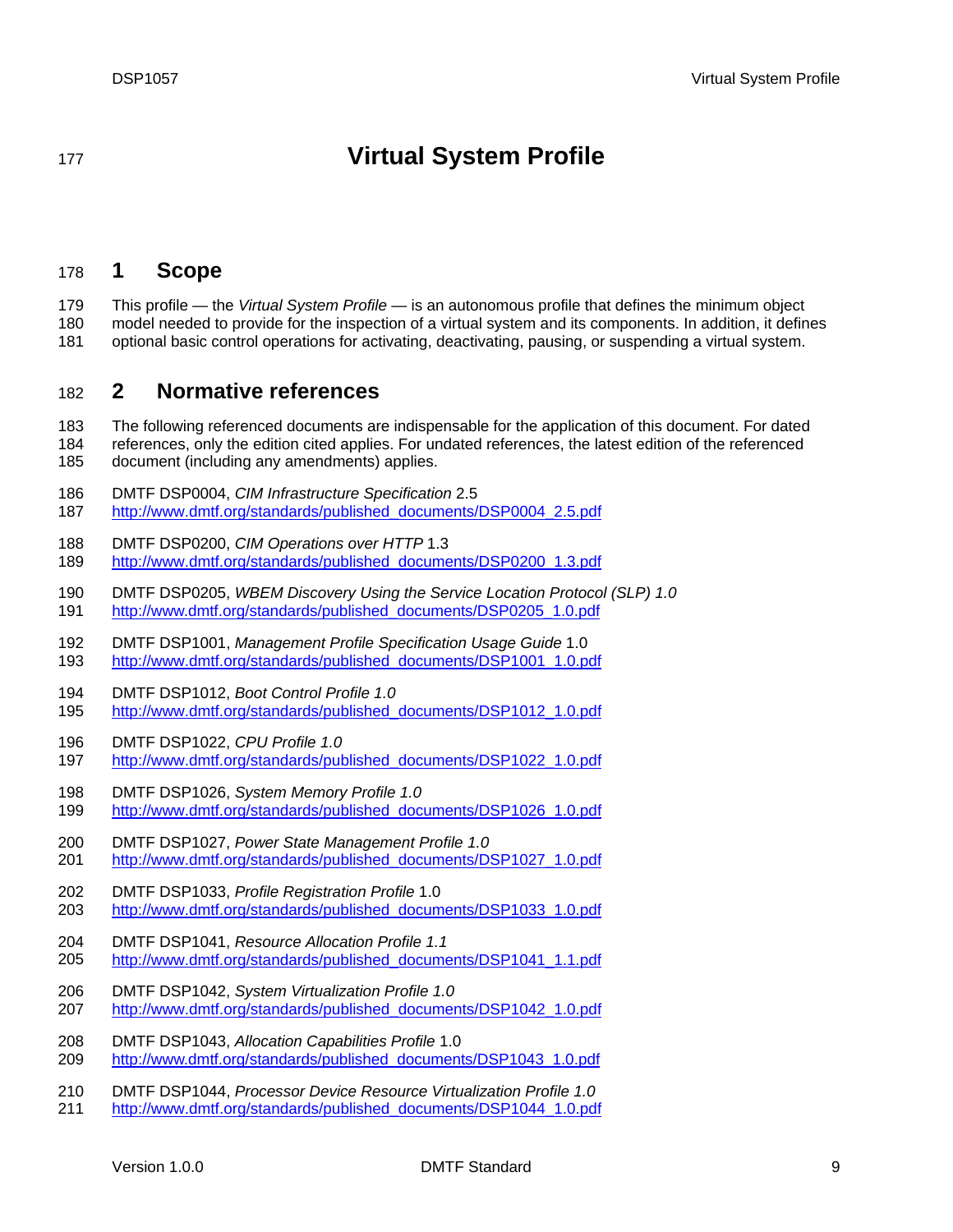# **Virtual System Profile**

### <span id="page-8-0"></span>178 **1 Scope**

- 179 This profile — the *Virtual System Profile* — is an autonomous profile that defines the minimum object
- 180 model needed to provide for the inspection of a virtual system and its components. In addition, it defines
- 181 optional basic control operations for activating, deactivating, pausing, or suspending a virtual system.

### 182 **2 Normative references**

- 183 The following referenced documents are indispensable for the application of this document. For dated
- 184 185 references, only the edition cited applies. For undated references, the latest edition of the referenced document (including any amendments) applies.
- 186 DMTF DSP0004, *CIM Infrastructure Specification* 2.5
- 187 [http://www.dmtf.org/standards/published\\_documents/DSP0004\\_2.5.pdf](http://www.dmtf.org/standards/published_documents/DSP0004_2.5.pdf)
- 188 DMTF DSP0200, *CIM Operations over HTTP* 1.3 189 [http://www.dmtf.org/standards/published\\_documents/DSP0200\\_1.3.pdf](http://www.dmtf.org/standards/published_documents/DSP0200_1.3.pdf)
- 190 DMTF DSP0205, *WBEM Discovery Using the Service Location Protocol (SLP) 1.0* 191 [http://www.dmtf.org/standards/published\\_documents/DSP0205\\_1.0.pdf](http://www.dmtf.org/standards/published_documents/DSP0205_1.0.pdf)
- <span id="page-8-7"></span>192 DMTF DSP1001, *Management Profile Specification Usage Guide* 1.0 193 [http://www.dmtf.org/standards/published\\_documents/DSP1001\\_1.0.pdf](http://www.dmtf.org/standards/published_documents/DSP1001_1.0.pdf)
- <span id="page-8-3"></span>194 DMTF DSP1012, *Boot Control Profile 1.0*
- 195 [http://www.dmtf.org/standards/published\\_documents/DSP1012\\_1.0.pdf](http://www.dmtf.org/standards/published_documents/DSP1012_1.0.pdf)
- <span id="page-8-5"></span>196 DMTF DSP1022, *CPU Profile 1.0*
- 197 [http://www.dmtf.org/standards/published\\_documents/DSP1022\\_1.0.pdf](http://www.dmtf.org/standards/published_documents/DSP1022_1.0.pdf)
- <span id="page-8-6"></span>198 DMTF DSP1026, *System Memory Profile 1.0*  199 [http://www.dmtf.org/standards/published\\_documents/DSP1026\\_1.0.pdf](http://www.dmtf.org/standards/published_documents/DSP1026_1.0.pdf)
- <span id="page-8-2"></span>200 DMTF DSP1027, *Power State Management Profile 1.0*  201 [http://www.dmtf.org/standards/published\\_documents/DSP1027\\_1.0.pdf](http://www.dmtf.org/standards/published_documents/DSP1027_1.0.pdf)
- <span id="page-8-1"></span>202 DMTF DSP1033, *Profile Registration Profile* 1.0
- 203 [http://www.dmtf.org/standards/published\\_documents/DSP1033\\_1.0.pdf](http://www.dmtf.org/standards/published_documents/DSP1033_1.0.pdf)
- 204 DMTF DSP1041, *Resource Allocation Profile 1.1*  205 [http://www.dmtf.org/standards/published\\_documents/DSP1041\\_1.1.pdf](http://www.dmtf.org/standards/published_documents/DSP1041_1.1.pdf)
- 
- <span id="page-8-4"></span>206 DMTF DSP1042, *System Virtualization Profile 1.0*  207 [http://www.dmtf.org/standards/published\\_documents/DSP1042\\_1.0.pdf](http://www.dmtf.org/standards/published_documents/DSP1042_1.0.pdf)
- 208 DMTF DSP1043, *Allocation Capabilities Profile* 1.0 209 [http://www.dmtf.org/standards/published\\_documents/DSP1043\\_1.0.pdf](http://www.dmtf.org/standards/published_documents/DSP1043_1.0.pdf)
- 210 DMTF DSP1044, *Processor Device Resource Virtualization Profile 1.0*  211 [http://www.dmtf.org/standards/published\\_documents/DSP1044\\_1.0.pdf](http://www.dmtf.org/standards/published_documents/DSP1044_1.0.pdf)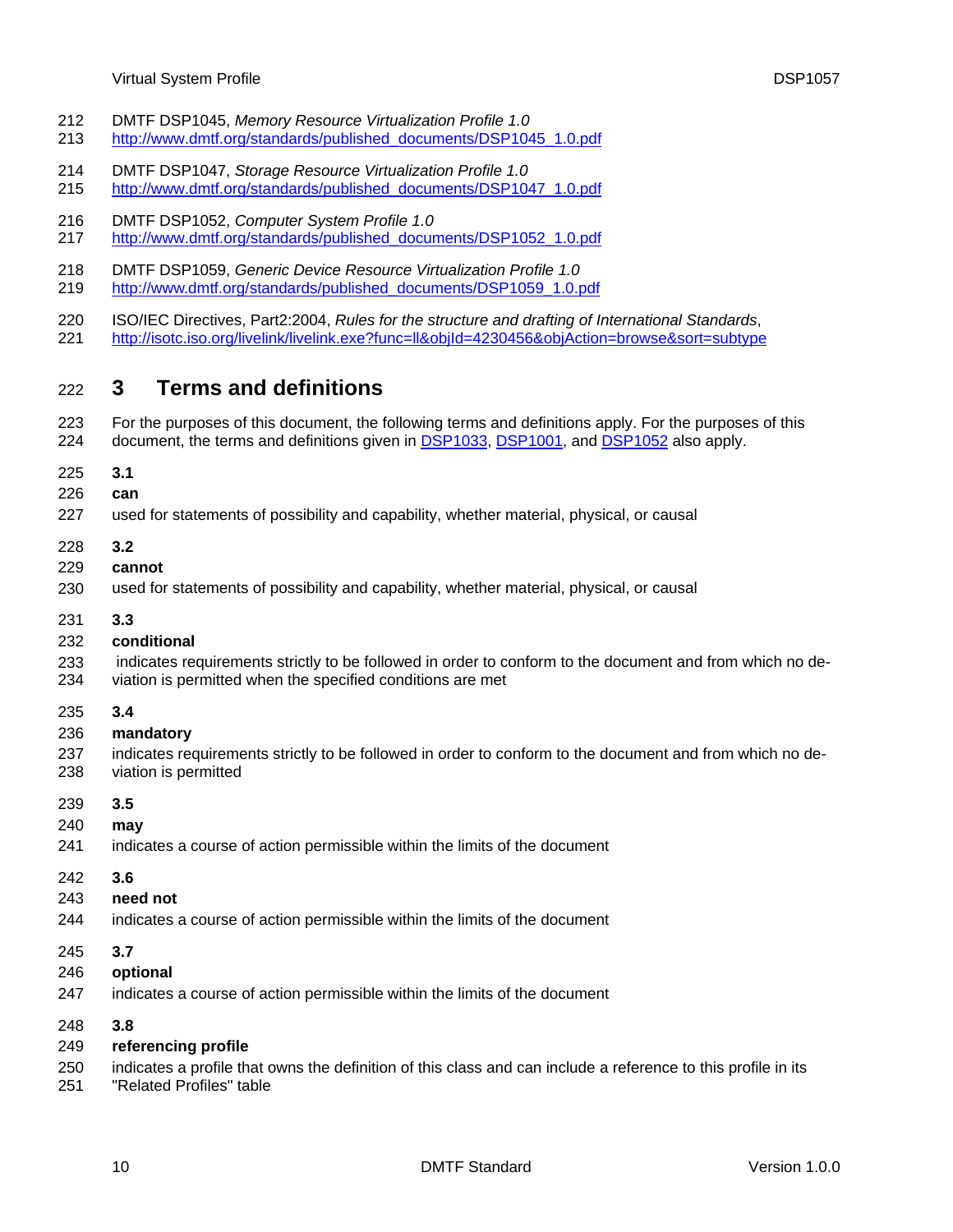- <span id="page-9-0"></span>212 DMTF DSP1045, *Memory Resource Virtualization Profile 1.0*
- 213 [http://www.dmtf.org/standards/published\\_documents/DSP1045\\_1.0.pdf](http://www.dmtf.org/standards/published_documents/DSP1045_1.0.pdf)
- 214 DMTF DSP1047, *Storage Resource Virtualization Profile 1.0*
- 215 [http://www.dmtf.org/standards/published\\_documents/DSP1047\\_1.0.pdf](http://www.dmtf.org/standards/published_documents/DSP1047_1.0.pdf)
- <span id="page-9-1"></span>216 DMTF DSP1052, *Computer System Profile 1.0*  217 [http://www.dmtf.org/standards/published\\_documents/DSP1052\\_1.0.pdf](http://www.dmtf.org/standards/published_documents/DSP1052_1.0.pdf)
- <span id="page-9-2"></span>218 DMTF DSP1059, *Generic Device Resource Virtualization Profile 1.0*
- 219 [http://www.dmtf.org/standards/published\\_documents/DSP1059\\_1.0.pdf](http://www.dmtf.org/standards/published_documents/DSP1059_1.0.pdf)
- 220 ISO/IEC Directives, Part2:2004, *Rules for the structure and drafting of International Standards*,
- 221 <http://isotc.iso.org/livelink/livelink.exe?func=ll&objId=4230456&objAction=browse&sort=subtype>

### 222 **3 Terms and definitions**

- 223 For the purposes of this document, the following terms and definitions apply. For the purposes of this 224 document, the terms and definitions given in [DSP1033](#page-8-0), [DSP1001,](#page-8-0) and [DSP1052](#page-9-0) also apply.
- 225 **3.1**
- 226 **can**
- 227 used for statements of possibility and capability, whether material, physical, or causal
- 228 **3.2**
- 229 **cannot**
- 230 used for statements of possibility and capability, whether material, physical, or causal
- 231 **3.3**
- 232 **conditional**
- 233 indicates requirements strictly to be followed in order to conform to the document and from which no de-
- 234 viation is permitted when the specified conditions are met
- 235 **3.4**
- 236 **mandatory**
- 237 238 indicates requirements strictly to be followed in order to conform to the document and from which no deviation is permitted
- 239 **3.5**
- 240 **may**
- 241 indicates a course of action permissible within the limits of the document
- 242 **3.6**
- 243 **need not**
- 244 indicates a course of action permissible within the limits of the document
- 245 **3.7**
- 246 **optional**
- 247 indicates a course of action permissible within the limits of the document
- 248 **3.8**
- 249 **referencing profile**
- 250 indicates a profile that owns the definition of this class and can include a reference to this profile in its
- 251 "Related Profiles" table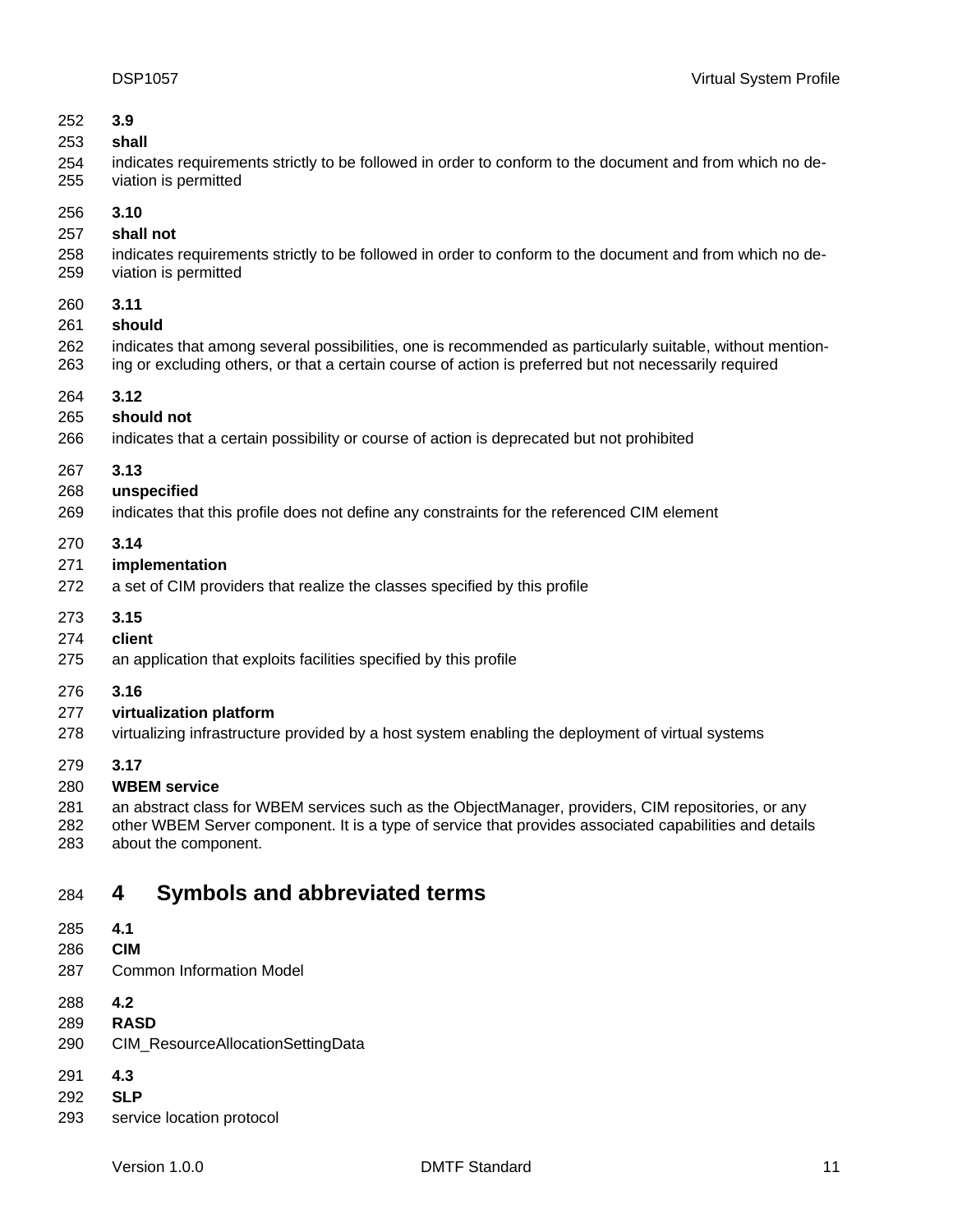<span id="page-10-0"></span>

| 252 | 3.9                                                                                                       |
|-----|-----------------------------------------------------------------------------------------------------------|
| 253 | shall                                                                                                     |
| 254 | indicates requirements strictly to be followed in order to conform to the document and from which no de-  |
| 255 | viation is permitted                                                                                      |
| 256 | 3.10                                                                                                      |
| 257 | shall not                                                                                                 |
| 258 | indicates requirements strictly to be followed in order to conform to the document and from which no de-  |
| 259 | viation is permitted                                                                                      |
| 260 | 3.11                                                                                                      |
| 261 | should                                                                                                    |
| 262 | indicates that among several possibilities, one is recommended as particularly suitable, without mention- |
| 263 | ing or excluding others, or that a certain course of action is preferred but not necessarily required     |
| 264 | 3.12                                                                                                      |
| 265 | should not                                                                                                |
| 266 | indicates that a certain possibility or course of action is deprecated but not prohibited                 |
| 267 | 3.13                                                                                                      |
| 268 | unspecified                                                                                               |
| 269 | indicates that this profile does not define any constraints for the referenced CIM element                |
| 270 | 3.14                                                                                                      |
| 271 | implementation                                                                                            |
| 272 | a set of CIM providers that realize the classes specified by this profile                                 |
| 273 | 3.15                                                                                                      |
| 274 | client                                                                                                    |
| 275 | an application that exploits facilities specified by this profile                                         |
| 276 | 3.16                                                                                                      |
| 277 | virtualization platform                                                                                   |
| 278 | virtualizing infrastructure provided by a host system enabling the deployment of virtual systems          |
| 279 | 3.17                                                                                                      |
| 280 | <b>WBEM</b> service                                                                                       |
| 281 | an abstract class for WBEM services such as the ObjectManager, providers, CIM repositories, or any        |
| 282 | other WBEM Server component. It is a type of service that provides associated capabilities and details    |
| 283 | about the component.                                                                                      |
| 284 | 4<br>Symbols and abbreviated terms                                                                        |
| 285 | 4.1                                                                                                       |
| 286 | <b>CIM</b>                                                                                                |
| 287 | <b>Common Information Model</b>                                                                           |
| 288 | 4.2                                                                                                       |
| 289 | <b>RASD</b>                                                                                               |
| 290 | CIM_ResourceAllocationSettingData                                                                         |

- 291 **4.3**
- 292 **SLP**
- 293 service location protocol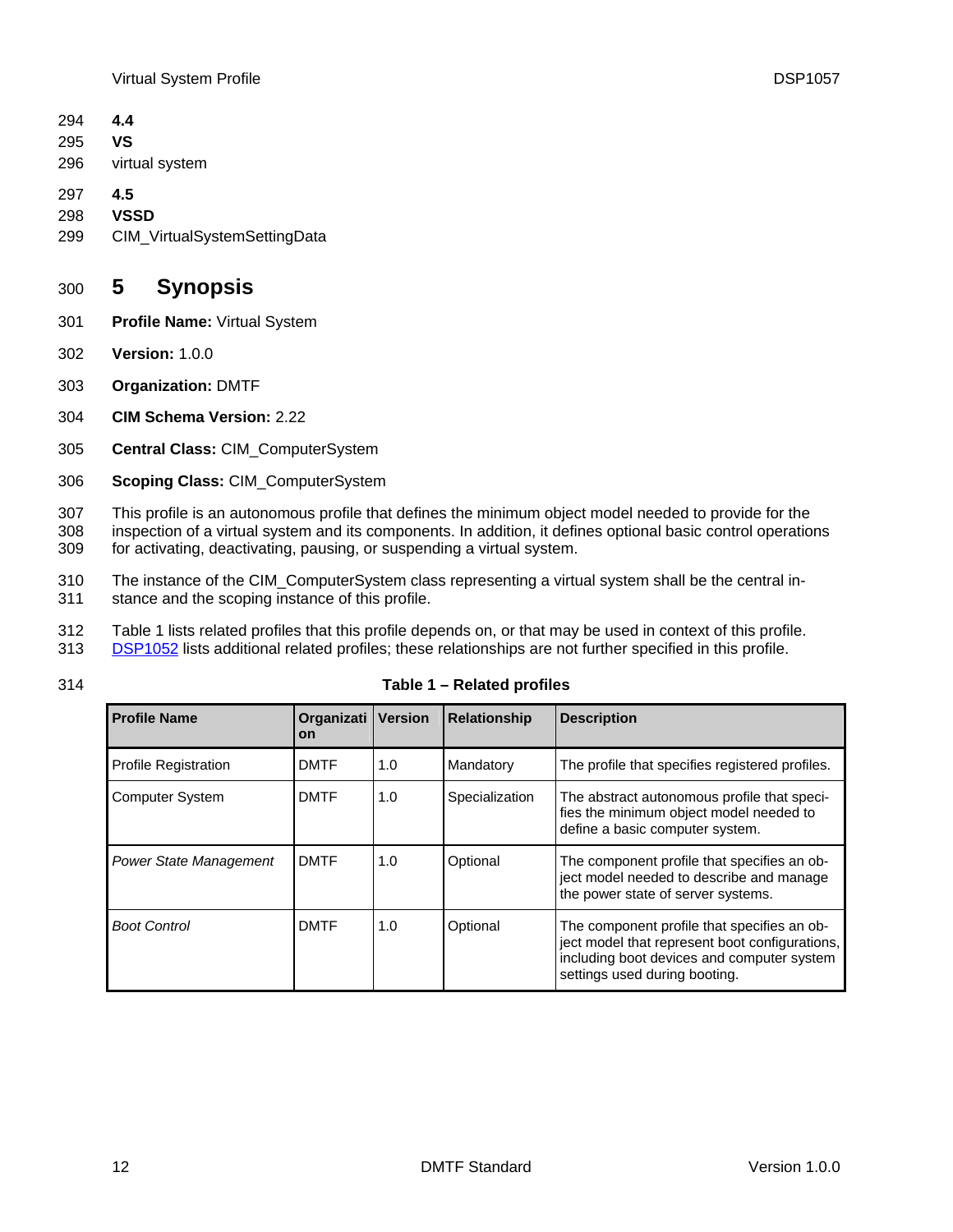<span id="page-11-0"></span>

| 294    | 4.4   |
|--------|-------|
| 295    | VS    |
| $\sim$ | - - - |

- 296 virtual system
- 297 **4.5**
- 298 **VSSD**
- 299 CIM\_VirtualSystemSettingData

## 300 **5 Synopsis**

- 301 **Profile Name:** Virtual System
- 302 **Version:** 1.0.0
- 303 **Organization:** DMTF
- 304 **CIM Schema Version:** 2.22
- 305 **Central Class:** CIM\_ComputerSystem
- 306 **Scoping Class:** CIM\_ComputerSystem

307 308 309 This profile is an autonomous profile that defines the minimum object model needed to provide for the inspection of a virtual system and its components. In addition, it defines optional basic control operations for activating, deactivating, pausing, or suspending a virtual system.

- 310 311 The instance of the CIM\_ComputerSystem class representing a virtual system shall be the central instance and the scoping instance of this profile.
- 312 [Table 1](#page-11-1) lists related profiles that this profile depends on, or that may be used in context of this profile.
- 313 [DSP1052](#page-9-0) lists additional related profiles; these relationships are not further specified in this profile.
- 

### <span id="page-11-1"></span>314 **Table 1 – Related profiles**

| <b>Profile Name</b>    | Organizati Version<br><b>on</b> |     | <b>Relationship</b> | <b>Description</b>                                                                                                                                                           |
|------------------------|---------------------------------|-----|---------------------|------------------------------------------------------------------------------------------------------------------------------------------------------------------------------|
| Profile Registration   | <b>DMTF</b>                     | 1.0 | Mandatory           | The profile that specifies registered profiles.                                                                                                                              |
| <b>Computer System</b> | <b>DMTF</b>                     | 1.0 | Specialization      | The abstract autonomous profile that speci-<br>fies the minimum object model needed to<br>define a basic computer system.                                                    |
| Power State Management | <b>DMTF</b>                     | 1.0 | Optional            | The component profile that specifies an ob-<br>ject model needed to describe and manage<br>the power state of server systems.                                                |
| <b>Boot Control</b>    | <b>DMTF</b>                     | 1.0 | Optional            | The component profile that specifies an ob-<br>ject model that represent boot configurations,<br>including boot devices and computer system<br>settings used during booting. |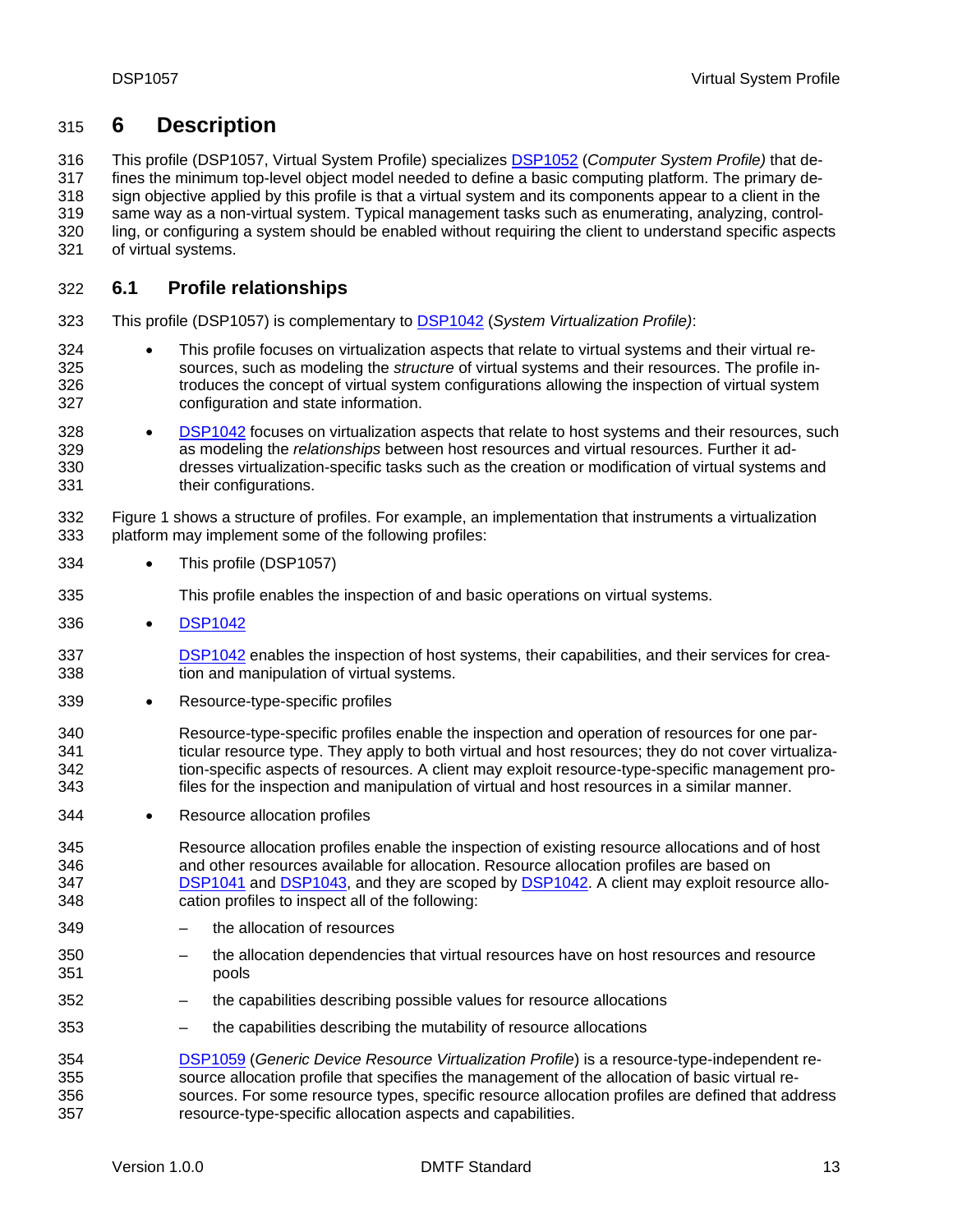### <span id="page-12-0"></span>315 **6 Description**

This profile (DSP1057, Virtual System Profile) specializes [DSP1052](#page-9-0) (*[Computer System](#page-9-1) Profile)* that defines the minimum top-level object model needed to define a basic computing platform. The primary design objective applied by this profile is that a virtual system and its components appear to a client in the same way as a non-virtual system. Typical management tasks such as enumerating, analyzing, controlling, or configuring a system should be enabled without requiring the client to understand specific aspects of virtual systems. 316 317 318 319 320 321

### 322 **6.1 Profile relationships**

- 323 This profile (DSP1057) is complementary to [DSP1042](#page-8-0) (*[System Virtualization](#page-8-4) Profile)*:
- 324 325 326 327 • This profile focuses on virtualization aspects that relate to virtual systems and their virtual resources, such as modeling the *structure* of virtual systems and their resources. The profile introduces the concept of virtual system configurations allowing the inspection of virtual system configuration and state information.
- [DSP1042](#page-8-0) focuses on virtualization aspects that relate to host systems and their resources, such as modeling the *relationships* between host resources and virtual resources. Further it addresses virtualization-specific tasks such as the creation or modification of virtual systems and their configurations. 328 329 330 331
- 332 333 [Figure 1](#page-13-1) shows a structure of profiles. For example, an implementation that instruments a virtualization platform may implement some of the following profiles:
- 334 • This profile (DSP1057)
- 335 This profile enables the inspection of and basic operations on virtual systems.
- 336 [DSP1042](#page-8-0)
- [DSP1042](#page-8-0) enables the inspection of host systems, their capabilities, and their services for creation and manipulation of virtual systems. 337 338
- 339 • Resource-type-specific profiles
- 340 341 342 343 Resource-type-specific profiles enable the inspection and operation of resources for one particular resource type. They apply to both virtual and host resources; they do not cover virtualization-specific aspects of resources. A client may exploit resource-type-specific management profiles for the inspection and manipulation of virtual and host resources in a similar manner.
- 344 • Resource allocation profiles
- 345 346 Resource allocation profiles enable the inspection of existing resource allocations and of host and other resources available for allocation. Resource allocation profiles are based on [DSP1041](#page-8-0) and [DSP1043,](#page-8-0) and they are scoped by [DSP1042](#page-8-0). A client may exploit resource allocation profiles to inspect all of the following: 347 348
- 349 the allocation of resources
- 350 351 – the allocation dependencies that virtual resources have on host resources and resource pools
- 352 the capabilities describing possible values for resource allocations
- 353 – the capabilities describing the mutability of resource allocations
- [DSP1059](#page-9-0) (*[Generic Device Resource Virtualization](#page-9-2) Profile*) is a resource-type-independent resource allocation profile that specifies the management of the allocation of basic virtual resources. For some resource types, specific resource allocation profiles are defined that address resource-type-specific allocation aspects and capabilities. 354 355 356 357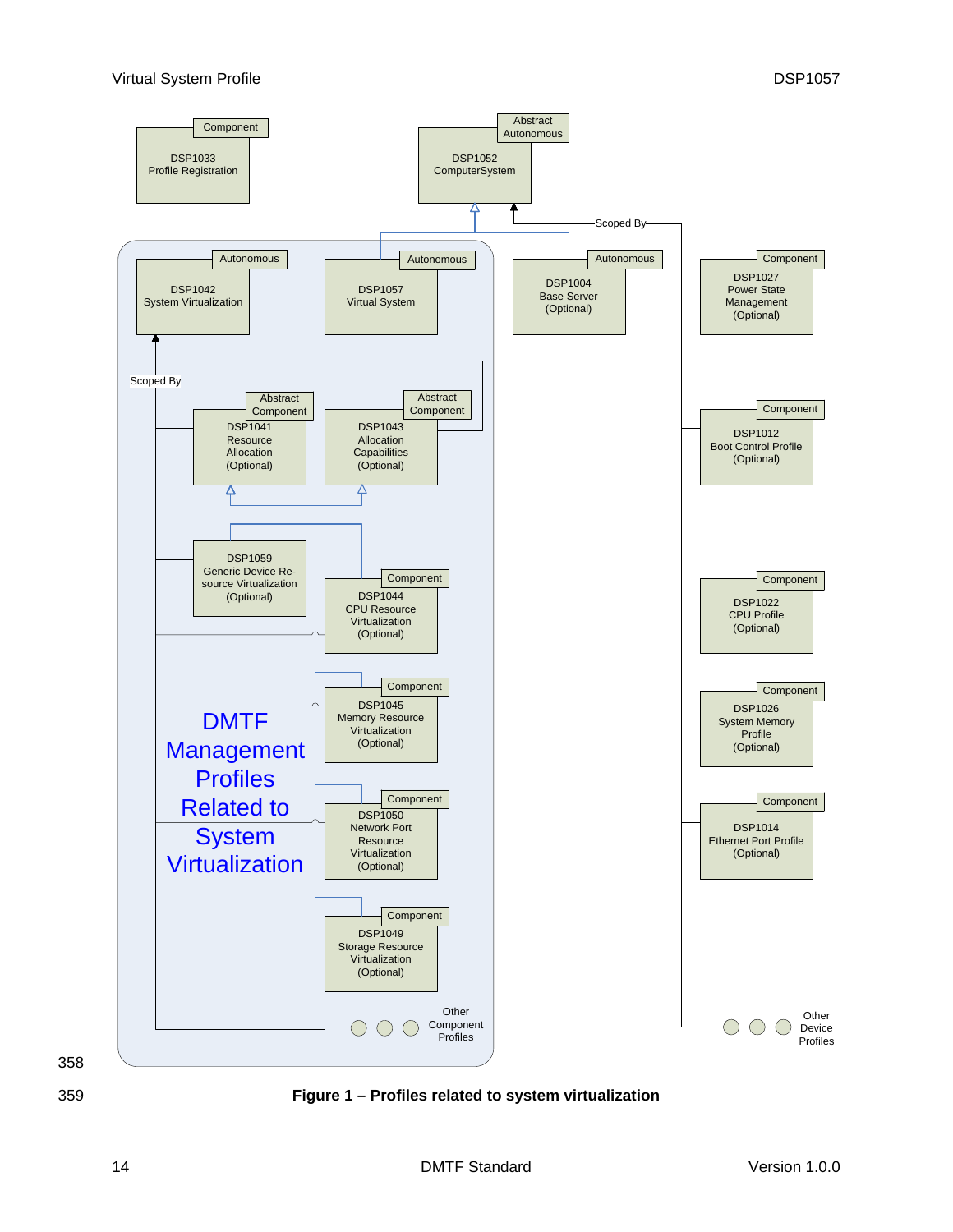### <span id="page-13-0"></span>Virtual System Profile **DSP1057**



<span id="page-13-1"></span>359 **Figure 1 – Profiles related to system virtualization**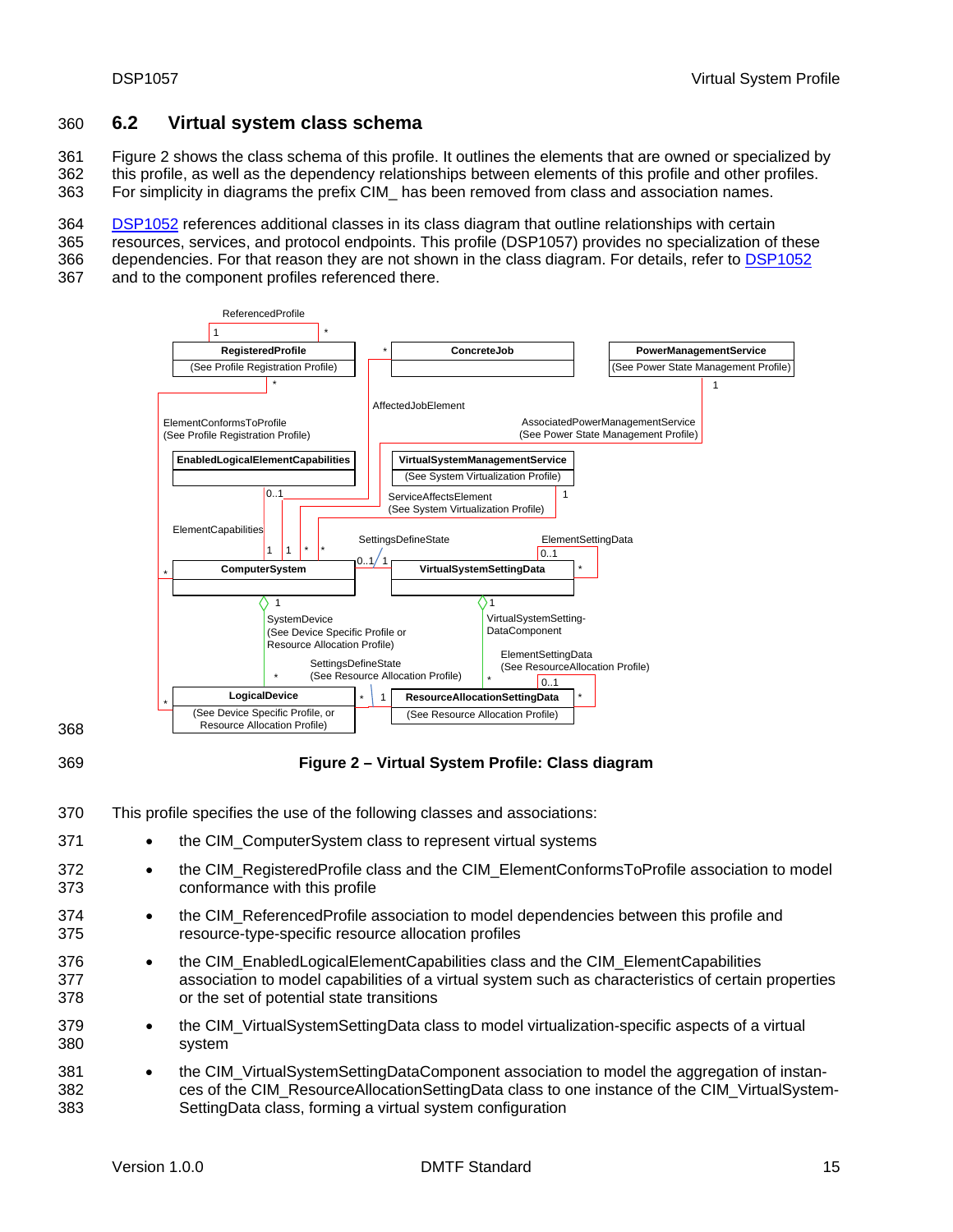#### <span id="page-14-0"></span>360 **6.2 Virtual system class schema**

361 362 363 [Figure 2](#page-14-1) shows the class schema of this profile. It outlines the elements that are owned or specialized by this profile, as well as the dependency relationships between elements of this profile and other profiles. For simplicity in diagrams the prefix CIM\_ has been removed from class and association names.

[DSP1052](#page-9-0) references additional classes in its class diagram that outline relationships with certain 364

resources, services, and protocol endpoints. This profile (DSP1057) provides no specialization of these dependencies. For that reason they are not shown in the class diagram. For details, refer to **[DSP1052](#page-9-0)** 365 366

and to the component profiles referenced there. 367



<span id="page-14-1"></span>368 369

### **Figure 2 – Virtual System Profile: Class diagram**

- 370 This profile specifies the use of the following classes and associations:
- 371 the CIM ComputerSystem class to represent virtual systems
- 372 373 • the CIM RegisteredProfile class and the CIM ElementConformsToProfile association to model conformance with this profile
- 374 375 • the CIM\_ReferencedProfile association to model dependencies between this profile and resource-type-specific resource allocation profiles
- 376 377 378 • the CIM\_EnabledLogicalElementCapabilities class and the CIM\_ElementCapabilities association to model capabilities of a virtual system such as characteristics of certain properties or the set of potential state transitions
- 379 380 • the CIM\_VirtualSystemSettingData class to model virtualization-specific aspects of a virtual system
- 381 382 383 • the CIM\_VirtualSystemSettingDataComponent association to model the aggregation of instances of the CIM\_ResourceAllocationSettingData class to one instance of the CIM\_VirtualSystem-SettingData class, forming a virtual system configuration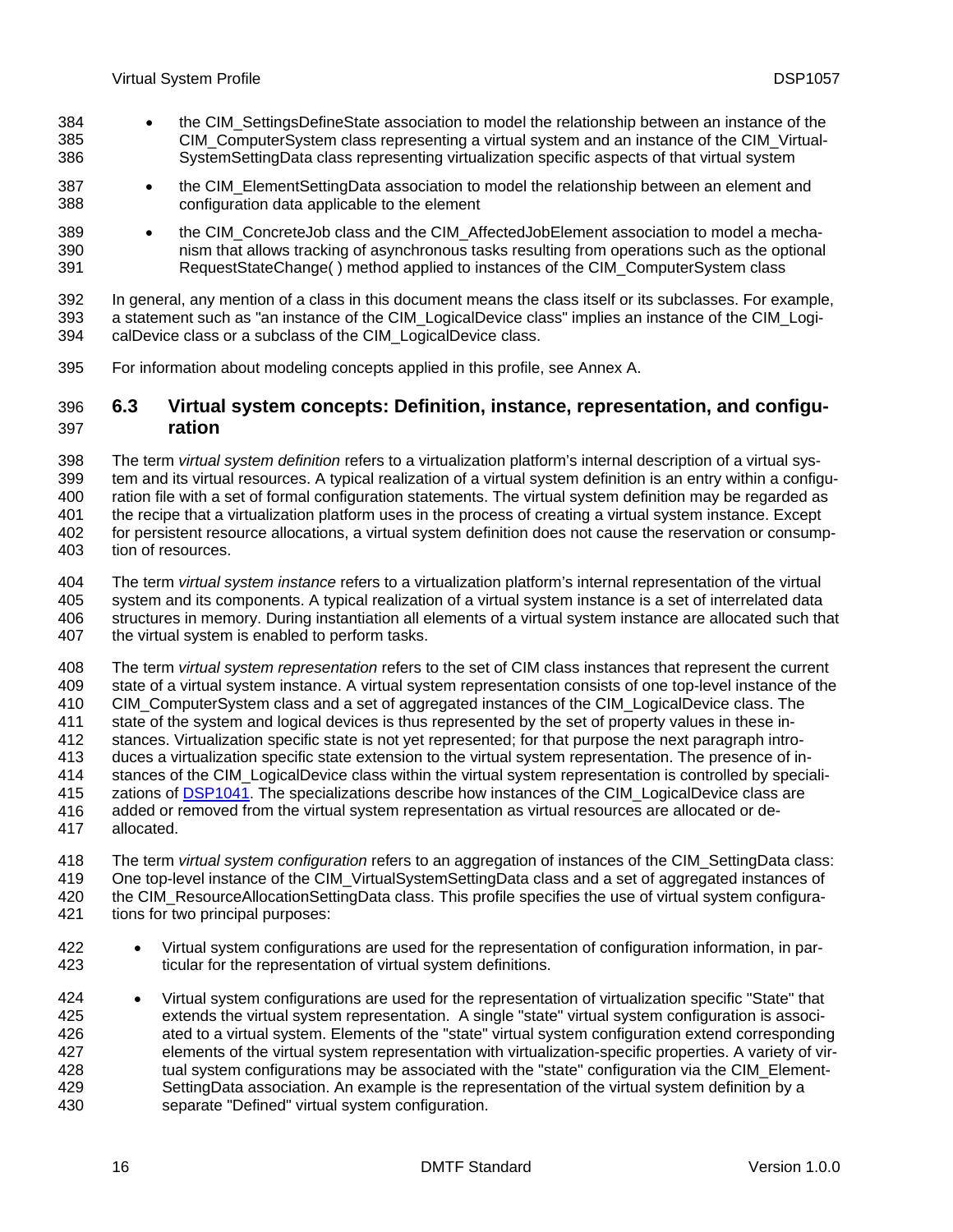- <span id="page-15-0"></span>384 385 386 • the CIM SettingsDefineState association to model the relationship between an instance of the CIM\_ComputerSystem class representing a virtual system and an instance of the CIM\_Virtual-SystemSettingData class representing virtualization specific aspects of that virtual system
- 387 388 • the CIM ElementSettingData association to model the relationship between an element and configuration data applicable to the element
- 389 390 391 • the CIM\_ConcreteJob class and the CIM\_AffectedJobElement association to model a mechanism that allows tracking of asynchronous tasks resulting from operations such as the optional RequestStateChange( ) method applied to instances of the CIM\_ComputerSystem class

392 393 394 In general, any mention of a class in this document means the class itself or its subclasses. For example, a statement such as "an instance of the CIM\_LogicalDevice class" implies an instance of the CIM\_LogicalDevice class or a subclass of the CIM\_LogicalDevice class.

395 For information about modeling concepts applied in this profile, see [Annex A](#page-48-1).

#### 396 397 **6.3 Virtual system concepts: Definition, instance, representation, and configuration**

398 399 400 401 402 403 The term *virtual system definition* refers to a virtualization platform's internal description of a virtual system and its virtual resources. A typical realization of a virtual system definition is an entry within a configuration file with a set of formal configuration statements. The virtual system definition may be regarded as the recipe that a virtualization platform uses in the process of creating a virtual system instance. Except for persistent resource allocations, a virtual system definition does not cause the reservation or consumption of resources.

404 405 406 407 The term *virtual system instance* refers to a virtualization platform's internal representation of the virtual system and its components. A typical realization of a virtual system instance is a set of interrelated data structures in memory. During instantiation all elements of a virtual system instance are allocated such that the virtual system is enabled to perform tasks.

408 409 410 411 412 413 414 The term *virtual system representation* refers to the set of CIM class instances that represent the current state of a virtual system instance. A virtual system representation consists of one top-level instance of the CIM\_ComputerSystem class and a set of aggregated instances of the CIM\_LogicalDevice class. The state of the system and logical devices is thus represented by the set of property values in these instances. Virtualization specific state is not yet represented; for that purpose the next paragraph introduces a virtualization specific state extension to the virtual system representation. The presence of instances of the CIM\_LogicalDevice class within the virtual system representation is controlled by specializations of [DSP1041](#page-8-0). The specializations describe how instances of the CIM\_LogicalDevice class are added or removed from the virtual system representation as virtual resources are allocated or deallocated. 415 416 417

- 418 419 420 421 The term *virtual system configuration* refers to an aggregation of instances of the CIM\_SettingData class: One top-level instance of the CIM\_VirtualSystemSettingData class and a set of aggregated instances of the CIM\_ResourceAllocationSettingData class. This profile specifies the use of virtual system configurations for two principal purposes:
- 422 423 • Virtual system configurations are used for the representation of configuration information, in particular for the representation of virtual system definitions.
- 424 425 426 427 428 429 430 • Virtual system configurations are used for the representation of virtualization specific "State" that extends the virtual system representation. A single "state" virtual system configuration is associated to a virtual system. Elements of the "state" virtual system configuration extend corresponding elements of the virtual system representation with virtualization-specific properties. A variety of virtual system configurations may be associated with the "state" configuration via the CIM\_Element-SettingData association. An example is the representation of the virtual system definition by a separate "Defined" virtual system configuration.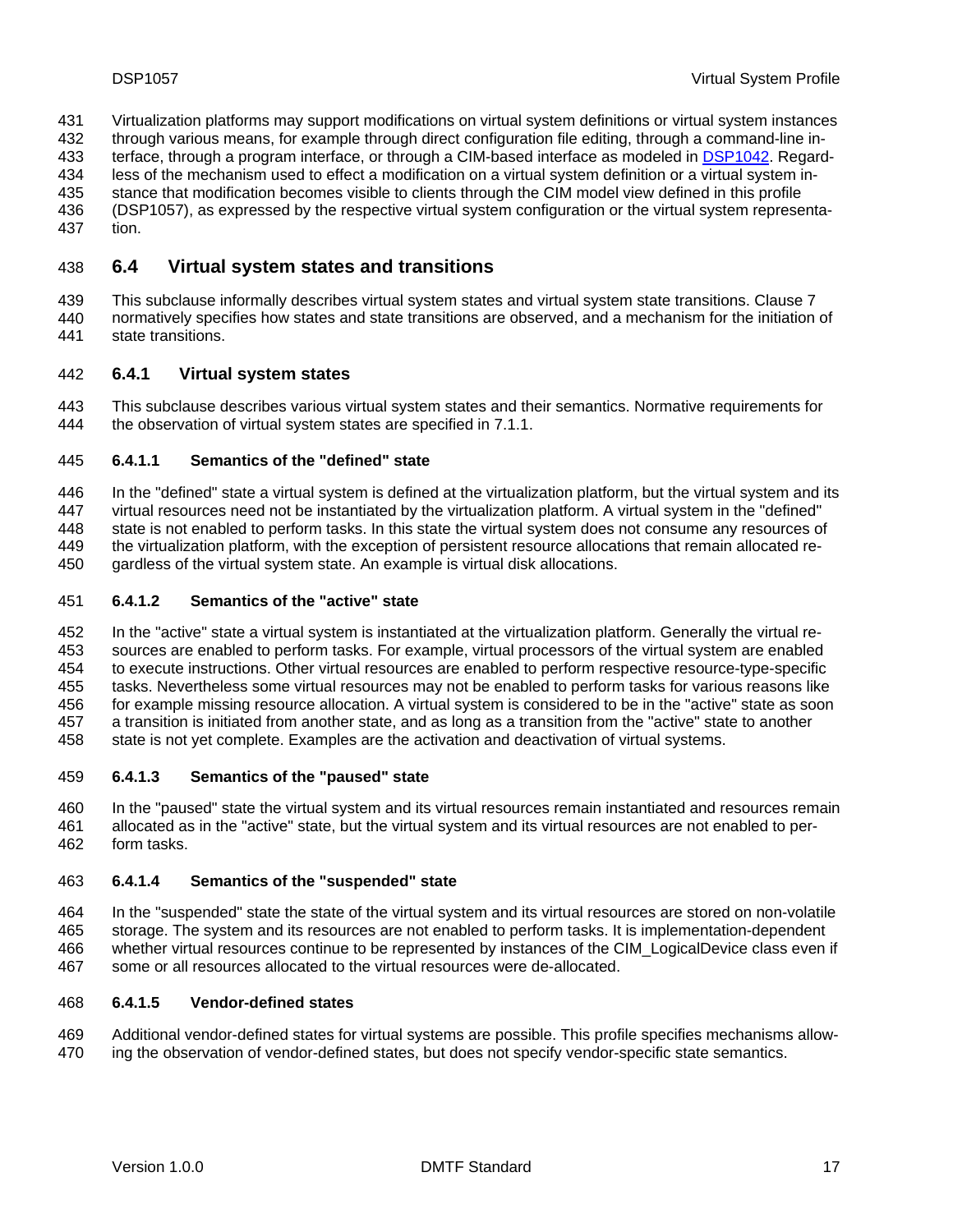<span id="page-16-0"></span>431 Virtualization platforms may support modifications on virtual system definitions or virtual system instances

432 through various means, for example through direct configuration file editing, through a command-line in-

terface, through a program interface, or through a CIM-based interface as modeled in [DSP1042](#page-8-0). Regardless of the mechanism used to effect a modification on a virtual system definition or a virtual system in-433 434

stance that modification becomes visible to clients through the CIM model view defined in this profile 435

- (DSP1057), as expressed by the respective virtual system configuration or the virtual system representa-436
- tion. 437

#### 438 **6.4 Virtual system states and transitions**

439 440 441 This subclause informally describes virtual system states and virtual system state transitions. Clause [7](#page-20-1) normatively specifies how states and state transitions are observed, and a mechanism for the initiation of state transitions.

#### <span id="page-16-1"></span>442 **6.4.1 Virtual system states**

443 444 This subclause describes various virtual system states and their semantics. Normative requirements for the observation of virtual system states are specified in [7.1.1.](#page-20-2)

### <span id="page-16-2"></span>445 **6.4.1.1 Semantics of the "defined" state**

446 447 448 449 450 In the "defined" state a virtual system is defined at the virtualization platform, but the virtual system and its virtual resources need not be instantiated by the virtualization platform. A virtual system in the "defined" state is not enabled to perform tasks. In this state the virtual system does not consume any resources of the virtualization platform, with the exception of persistent resource allocations that remain allocated regardless of the virtual system state. An example is virtual disk allocations.

### <span id="page-16-3"></span>451 **6.4.1.2 Semantics of the "active" state**

452 453 454 455 456 457 458 In the "active" state a virtual system is instantiated at the virtualization platform. Generally the virtual resources are enabled to perform tasks. For example, virtual processors of the virtual system are enabled to execute instructions. Other virtual resources are enabled to perform respective resource-type-specific tasks. Nevertheless some virtual resources may not be enabled to perform tasks for various reasons like for example missing resource allocation. A virtual system is considered to be in the "active" state as soon a transition is initiated from another state, and as long as a transition from the "active" state to another state is not yet complete. Examples are the activation and deactivation of virtual systems.

### <span id="page-16-4"></span>459 **6.4.1.3 Semantics of the "paused" state**

460 461 462 In the "paused" state the virtual system and its virtual resources remain instantiated and resources remain allocated as in the "active" state, but the virtual system and its virtual resources are not enabled to perform tasks.

### <span id="page-16-5"></span>463 **6.4.1.4 Semantics of the "suspended" state**

464 465 466 467 In the "suspended" state the state of the virtual system and its virtual resources are stored on non-volatile storage. The system and its resources are not enabled to perform tasks. It is implementation-dependent whether virtual resources continue to be represented by instances of the CIM\_LogicalDevice class even if some or all resources allocated to the virtual resources were de-allocated.

### <span id="page-16-6"></span>468 **6.4.1.5 Vendor-defined states**

469 470 Additional vendor-defined states for virtual systems are possible. This profile specifies mechanisms allowing the observation of vendor-defined states, but does not specify vendor-specific state semantics.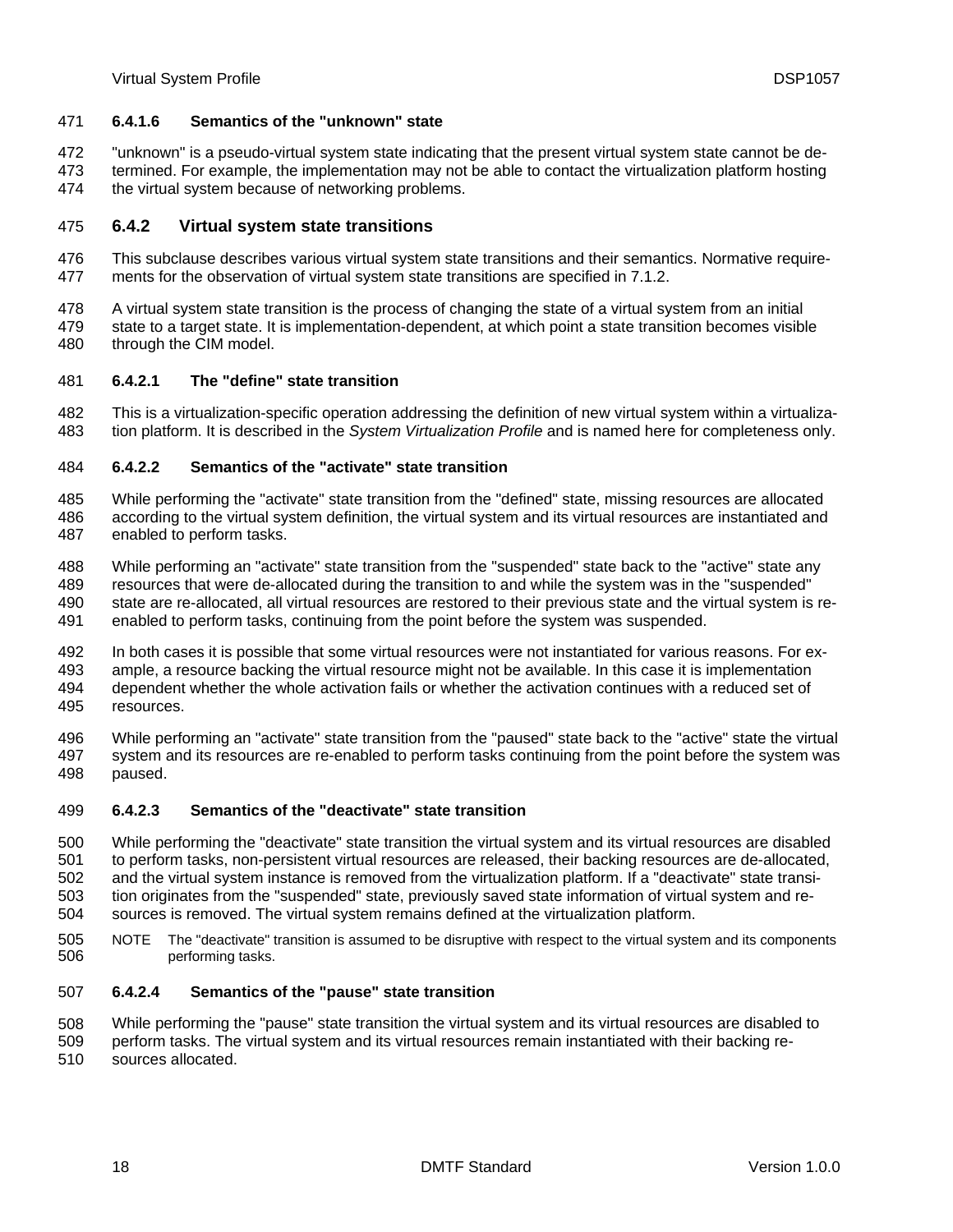### <span id="page-17-1"></span><span id="page-17-0"></span>471 **6.4.1.6 Semantics of the "unknown" state**

472 "unknown" is a pseudo-virtual system state indicating that the present virtual system state cannot be de-

473 474 termined. For example, the implementation may not be able to contact the virtualization platform hosting the virtual system because of networking problems.

#### 475 **6.4.2 Virtual system state transitions**

- 476 477 This subclause describes various virtual system state transitions and their semantics. Normative requirements for the observation of virtual system state transitions are specified in [7.1.2.](#page-21-1)
- 478 A virtual system state transition is the process of changing the state of a virtual system from an initial
- 479 480 state to a target state. It is implementation-dependent, at which point a state transition becomes visible through the CIM model.

### <span id="page-17-2"></span>481 **6.4.2.1 The "define" state transition**

482 483 This is a virtualization-specific operation addressing the definition of new virtual system within a virtualization platform. It is described in the *[System Virtualization](#page-8-4) Profile* and is named here for completeness only.

### <span id="page-17-3"></span>484 **6.4.2.2 Semantics of the "activate" state transition**

485 486 487 While performing the "activate" state transition from the "defined" state, missing resources are allocated according to the virtual system definition, the virtual system and its virtual resources are instantiated and enabled to perform tasks.

488 While performing an "activate" state transition from the "suspended" state back to the "active" state any

- 489 490 resources that were de-allocated during the transition to and while the system was in the "suspended" state are re-allocated, all virtual resources are restored to their previous state and the virtual system is re-
- 491 enabled to perform tasks, continuing from the point before the system was suspended.

492 493 494 495 In both cases it is possible that some virtual resources were not instantiated for various reasons. For example, a resource backing the virtual resource might not be available. In this case it is implementation dependent whether the whole activation fails or whether the activation continues with a reduced set of resources.

496 497 498 While performing an "activate" state transition from the "paused" state back to the "active" state the virtual system and its resources are re-enabled to perform tasks continuing from the point before the system was paused.

### <span id="page-17-4"></span>499 **6.4.2.3 Semantics of the "deactivate" state transition**

500 501 502 503 504 While performing the "deactivate" state transition the virtual system and its virtual resources are disabled to perform tasks, non-persistent virtual resources are released, their backing resources are de-allocated, and the virtual system instance is removed from the virtualization platform. If a "deactivate" state transition originates from the "suspended" state, previously saved state information of virtual system and resources is removed. The virtual system remains defined at the virtualization platform.

505 506 NOTE The "deactivate" transition is assumed to be disruptive with respect to the virtual system and its components performing tasks.

### <span id="page-17-5"></span>507 **6.4.2.4 Semantics of the "pause" state transition**

508 While performing the "pause" state transition the virtual system and its virtual resources are disabled to

509 510 perform tasks. The virtual system and its virtual resources remain instantiated with their backing resources allocated.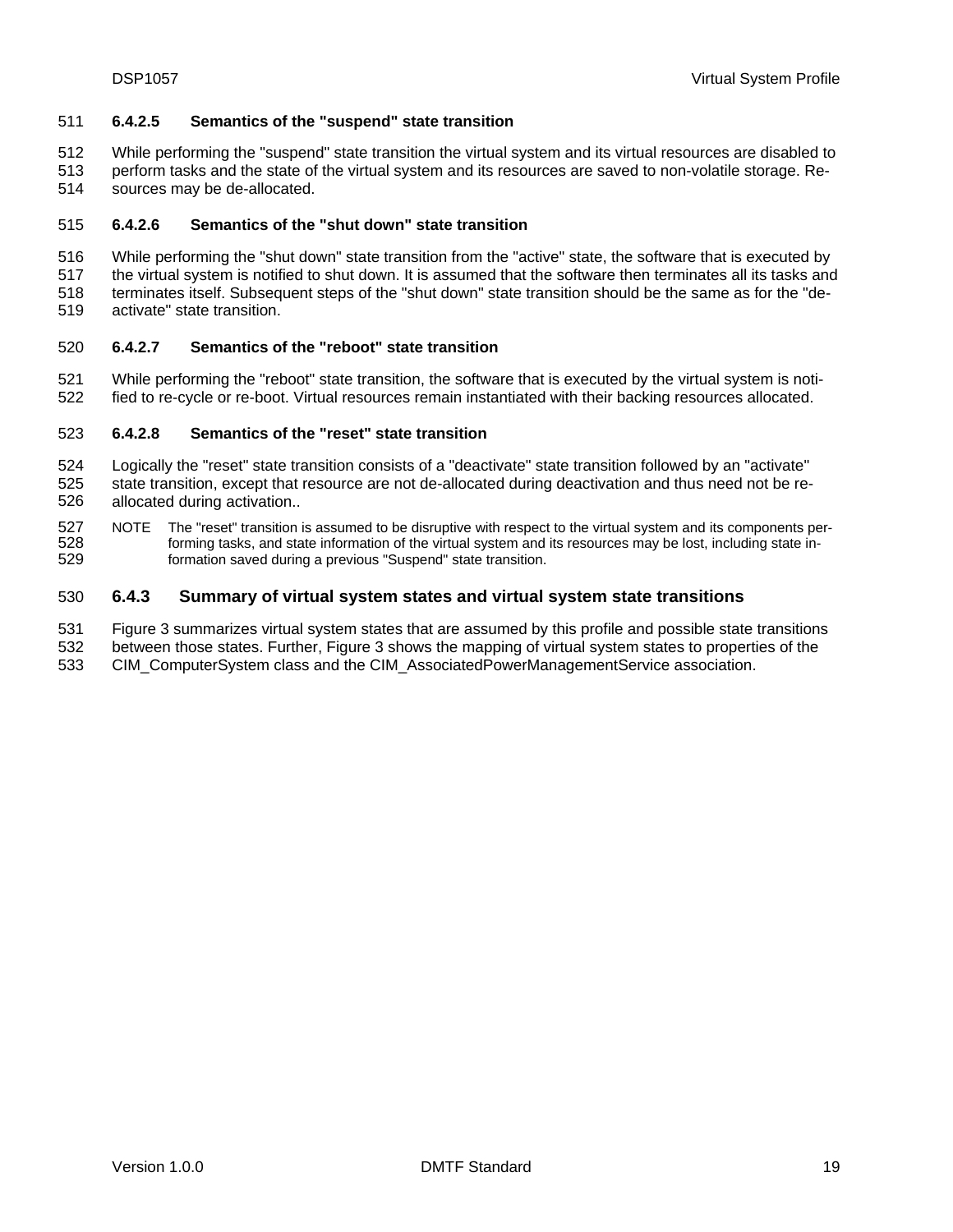### <span id="page-18-1"></span><span id="page-18-0"></span>511 **6.4.2.5 Semantics of the "suspend" state transition**

512 While performing the "suspend" state transition the virtual system and its virtual resources are disabled to

513 514 perform tasks and the state of the virtual system and its resources are saved to non-volatile storage. Resources may be de-allocated.

### <span id="page-18-2"></span>515 **6.4.2.6 Semantics of the "shut down" state transition**

516 517 518 519 While performing the "shut down" state transition from the "active" state, the software that is executed by the virtual system is notified to shut down. It is assumed that the software then terminates all its tasks and terminates itself. Subsequent steps of the "shut down" state transition should be the same as for the "deactivate" state transition.

### <span id="page-18-3"></span>520 **6.4.2.7 Semantics of the "reboot" state transition**

521 522 While performing the "reboot" state transition, the software that is executed by the virtual system is notified to re-cycle or re-boot. Virtual resources remain instantiated with their backing resources allocated.

### <span id="page-18-4"></span>523 **6.4.2.8 Semantics of the "reset" state transition**

- 524 525 526 Logically the "reset" state transition consists of a "deactivate" state transition followed by an "activate" state transition, except that resource are not de-allocated during deactivation and thus need not be reallocated during activation..
- 527 528 529 NOTE The "reset" transition is assumed to be disruptive with respect to the virtual system and its components performing tasks, and state information of the virtual system and its resources may be lost, including state information saved during a previous "Suspend" state transition.

#### 530 **6.4.3 Summary of virtual system states and virtual system state transitions**

531 [Figure 3](#page-19-1) summarizes virtual system states that are assumed by this profile and possible state transitions

- 532 between those states. Further, [Figure 3](#page-19-1) shows the mapping of virtual system states to properties of the
- 533 CIM\_ComputerSystem class and the CIM\_AssociatedPowerManagementService association.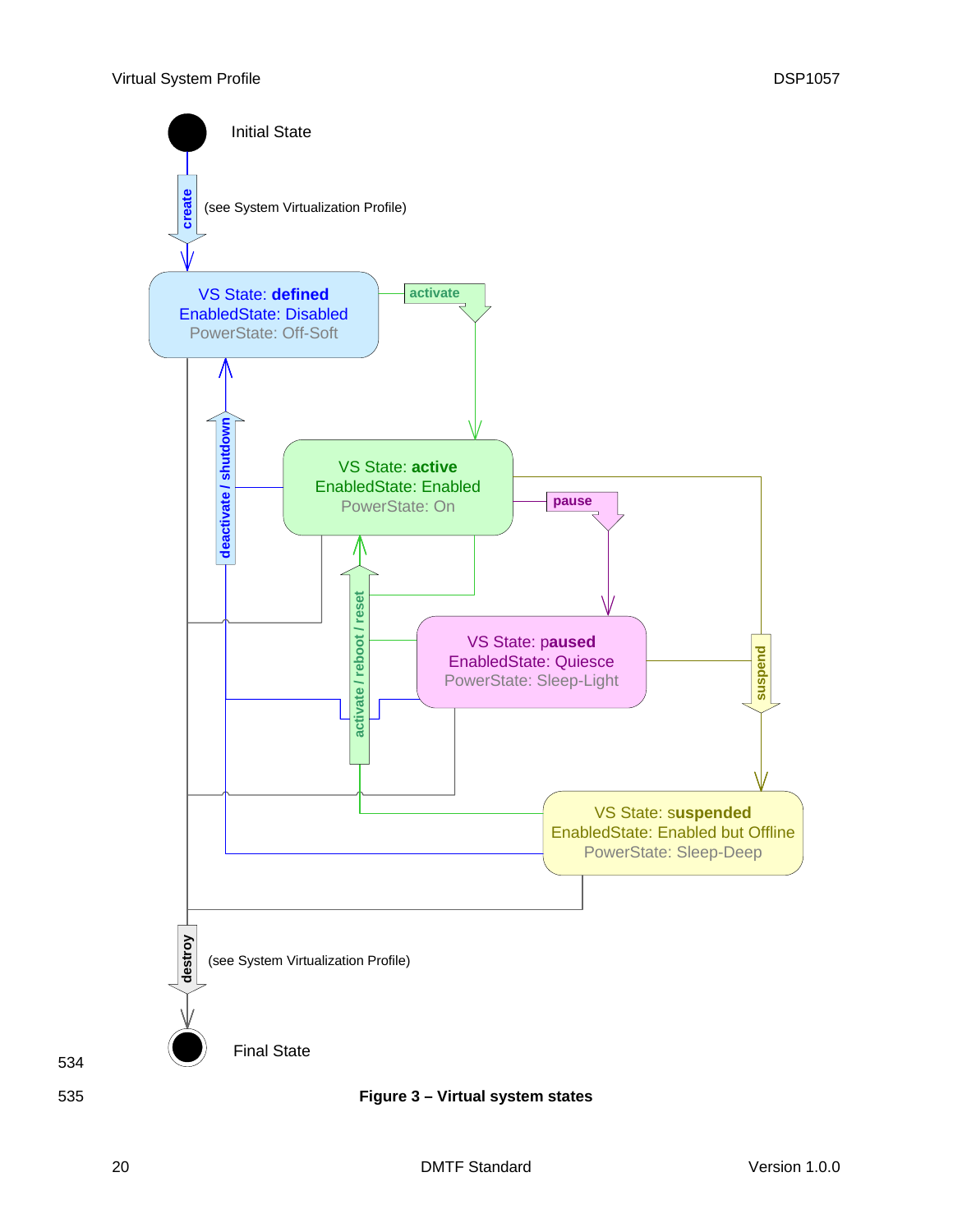<span id="page-19-1"></span><span id="page-19-0"></span>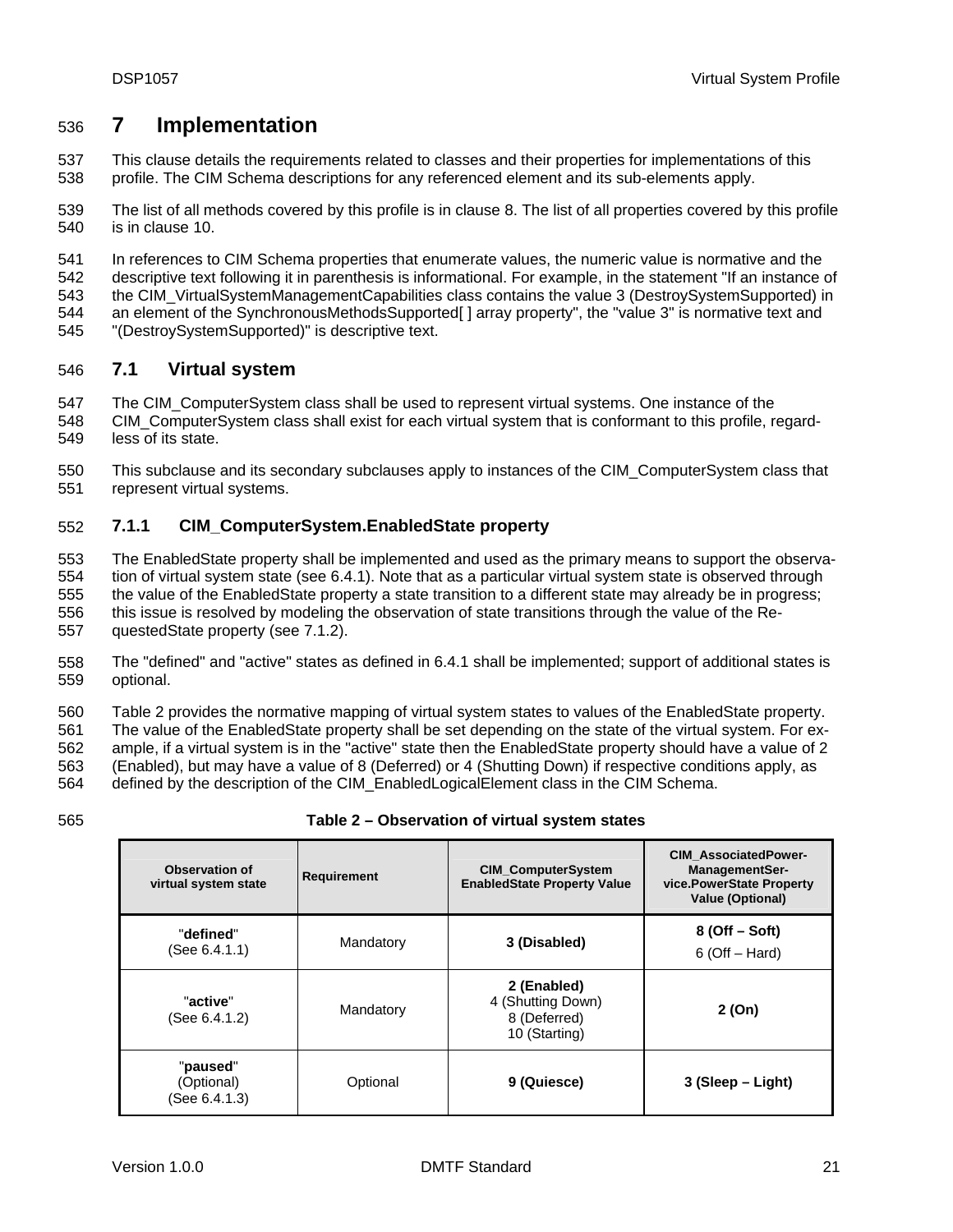### <span id="page-20-1"></span><span id="page-20-0"></span>536 **7 Implementation**

537 538 This clause details the requirements related to classes and their properties for implementations of this profile. The CIM Schema descriptions for any referenced element and its sub-elements apply.

539 540 The list of all methods covered by this profile is in clause [8.](#page-29-1) The list of all properties covered by this profile is in clause [10](#page-41-1).

541 In references to CIM Schema properties that enumerate values, the numeric value is normative and the

542 descriptive text following it in parenthesis is informational. For example, in the statement "If an instance of

543 544 the CIM\_VirtualSystemManagementCapabilities class contains the value 3 (DestroySystemSupported) in an element of the SynchronousMethodsSupported[] array property", the "value 3" is normative text and

545 "(DestroySystemSupported)" is descriptive text.

#### 546 **7.1 Virtual system**

547 The CIM\_ComputerSystem class shall be used to represent virtual systems. One instance of the

548 549 CIM\_ComputerSystem class shall exist for each virtual system that is conformant to this profile, regardless of its state.

550 551 This subclause and its secondary subclauses apply to instances of the CIM\_ComputerSystem class that represent virtual systems.

#### <span id="page-20-2"></span>552 **7.1.1 CIM\_ComputerSystem.EnabledState property**

553 554 555 556 557 The EnabledState property shall be implemented and used as the primary means to support the observation of virtual system state (see [6.4.1\)](#page-16-1). Note that as a particular virtual system state is observed through the value of the EnabledState property a state transition to a different state may already be in progress; this issue is resolved by modeling the observation of state transitions through the value of the RequestedState property (see [7.1.2\)](#page-21-1).

558 559 The "defined" and "active" states as defined in [6.4.1](#page-16-1) shall be implemented; support of additional states is optional.

560 [Table 2](#page-20-3) provides the normative mapping of virtual system states to values of the EnabledState property.

561 The value of the EnabledState property shall be set depending on the state of the virtual system. For ex-

562 ample, if a virtual system is in the "active" state then the EnabledState property should have a value of 2

563 (Enabled), but may have a value of 8 (Deferred) or 4 (Shutting Down) if respective conditions apply, as

564 defined by the description of the CIM\_EnabledLogicalElement class in the CIM Schema.

<span id="page-20-3"></span>565

### **Table 2 – Observation of virtual system states**

| Observation of<br>virtual system state  | Requirement | <b>CIM_ComputerSystem</b><br><b>EnabledState Property Value</b>   | <b>CIM AssociatedPower-</b><br><b>ManagementSer-</b><br>vice.PowerState Property<br><b>Value (Optional)</b> |
|-----------------------------------------|-------------|-------------------------------------------------------------------|-------------------------------------------------------------------------------------------------------------|
| "defined"<br>(See 6.4.1.1)              | Mandatory   | 3 (Disabled)                                                      | $8(Off - Soft)$<br>$6$ (Off $-$ Hard)                                                                       |
| "active"<br>(See 6.4.1.2)               | Mandatory   | 2 (Enabled)<br>4 (Shutting Down)<br>8 (Deferred)<br>10 (Starting) | 2 (On)                                                                                                      |
| "paused"<br>(Optional)<br>(See 6.4.1.3) | Optional    | 9 (Quiesce)                                                       | 3 (Sleep - Light)                                                                                           |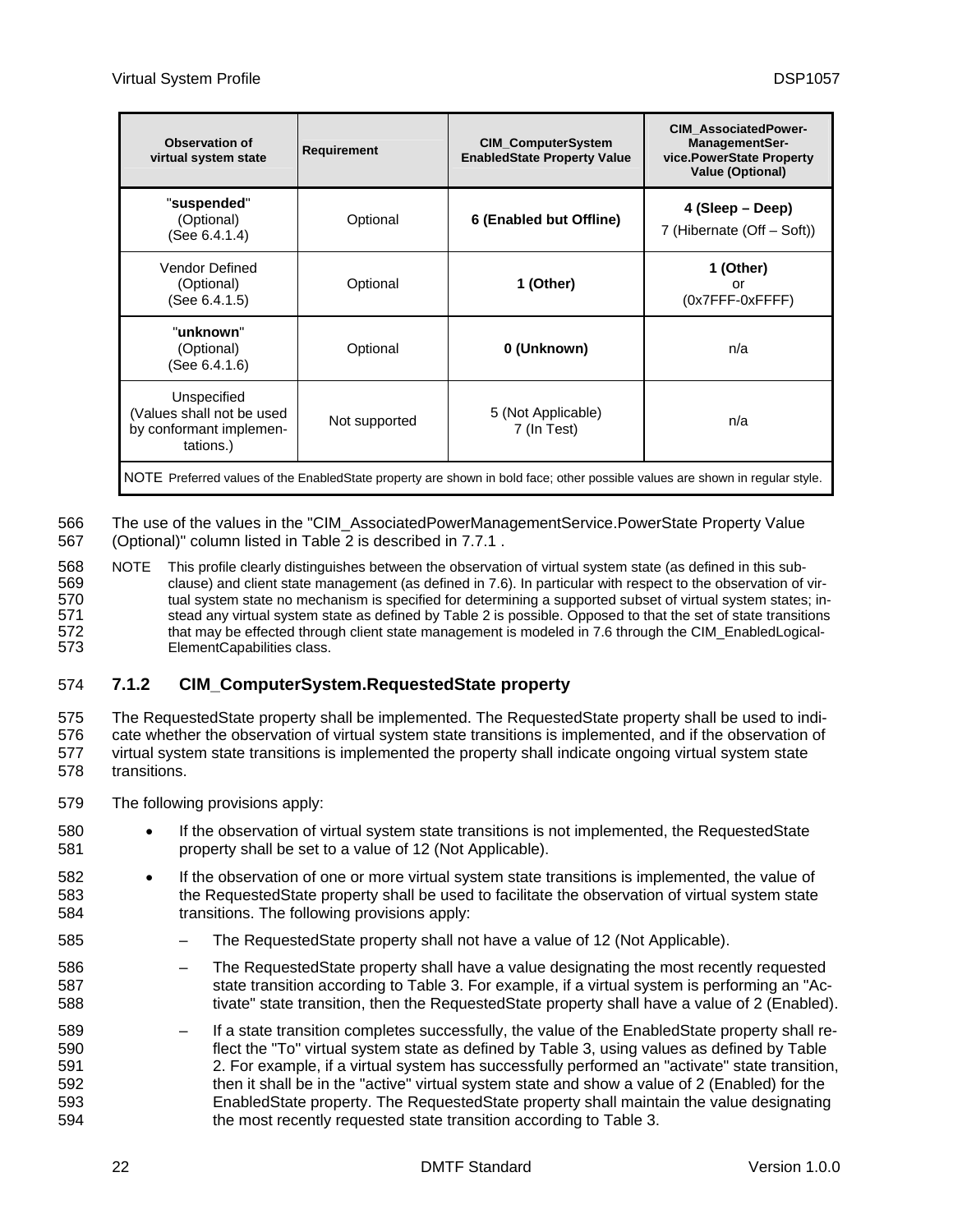<span id="page-21-0"></span>

| <b>Observation of</b><br>virtual system state                                                                                | <b>Requirement</b> | <b>CIM_ComputerSystem</b><br><b>EnabledState Property Value</b> | <b>CIM AssociatedPower-</b><br><b>ManagementSer-</b><br>vice.PowerState Property<br><b>Value (Optional)</b> |  |  |
|------------------------------------------------------------------------------------------------------------------------------|--------------------|-----------------------------------------------------------------|-------------------------------------------------------------------------------------------------------------|--|--|
| "suspended"<br>(Optional)<br>(See 6.4.1.4)                                                                                   | Optional           | 6 (Enabled but Offline)                                         | 4 (Sleep – Deep)<br>7 (Hibernate (Off – Soft))                                                              |  |  |
| Vendor Defined<br>(Optional)<br>(See 6.4.1.5)                                                                                | Optional           | 1 (Other)                                                       | 1 (Other)<br>or<br>$(0x7FFF-0xFFFF)$                                                                        |  |  |
| "unknown"<br>(Optional)<br>(See 6.4.1.6)                                                                                     | Optional           | 0 (Unknown)                                                     | n/a                                                                                                         |  |  |
| Unspecified<br>(Values shall not be used<br>by conformant implemen-<br>tations.)                                             | Not supported      | 5 (Not Applicable)<br>7 (In Test)                               | n/a                                                                                                         |  |  |
| NOTE Preferred values of the EnabledState property are shown in bold face; other possible values are shown in regular style. |                    |                                                                 |                                                                                                             |  |  |

The use of the values in the "CIM\_AssociatedPowerManagementService.PowerState Property Value (Optional)" column listed in [Table 2](#page-20-3) is described in [7.7.1](#page-29-2) . 566 567

568 569 570 571 572 573 NOTE This profile clearly distinguishes between the observation of virtual system state (as defined in this subclause) and client state management (as defined in [7.6\)](#page-28-1). In particular with respect to the observation of virtual system state no mechanism is specified for determining a supported subset of virtual system states; instead any virtual system state as defined by [Table 2](#page-20-3) is possible. Opposed to that the set of state transitions that may be effected through client state management is modeled in [7.6](#page-28-1) through the CIM\_EnabledLogical-ElementCapabilities class.

#### <span id="page-21-1"></span>574 **7.1.2 CIM\_ComputerSystem.RequestedState property**

575 576 577 578 The RequestedState property shall be implemented. The RequestedState property shall be used to indicate whether the observation of virtual system state transitions is implemented, and if the observation of virtual system state transitions is implemented the property shall indicate ongoing virtual system state transitions.

- 579 The following provisions apply:
- 580 581 • If the observation of virtual system state transitions is not implemented, the RequestedState property shall be set to a value of 12 (Not Applicable).
- 582 583 584 • If the observation of one or more virtual system state transitions is implemented, the value of the RequestedState property shall be used to facilitate the observation of virtual system state transitions. The following provisions apply:
- 585 – The RequestedState property shall not have a value of 12 (Not Applicable).
- 586 587 588 – The RequestedState property shall have a value designating the most recently requested state transition according to [Table 3](#page-22-1). For example, if a virtual system is performing an "Activate" state transition, then the RequestedState property shall have a value of 2 (Enabled).
- 589 590 591 592 593 594 – If a state transition completes successfully, the value of the EnabledState property shall reflect the "To" virtual system state as defined by [Table 3](#page-22-1), using values as defined by [Table](#page-20-3)  [2](#page-20-3). For example, if a virtual system has successfully performed an "activate" state transition, then it shall be in the "active" virtual system state and show a value of 2 (Enabled) for the EnabledState property. The RequestedState property shall maintain the value designating the most recently requested state transition according to [Table 3](#page-22-1).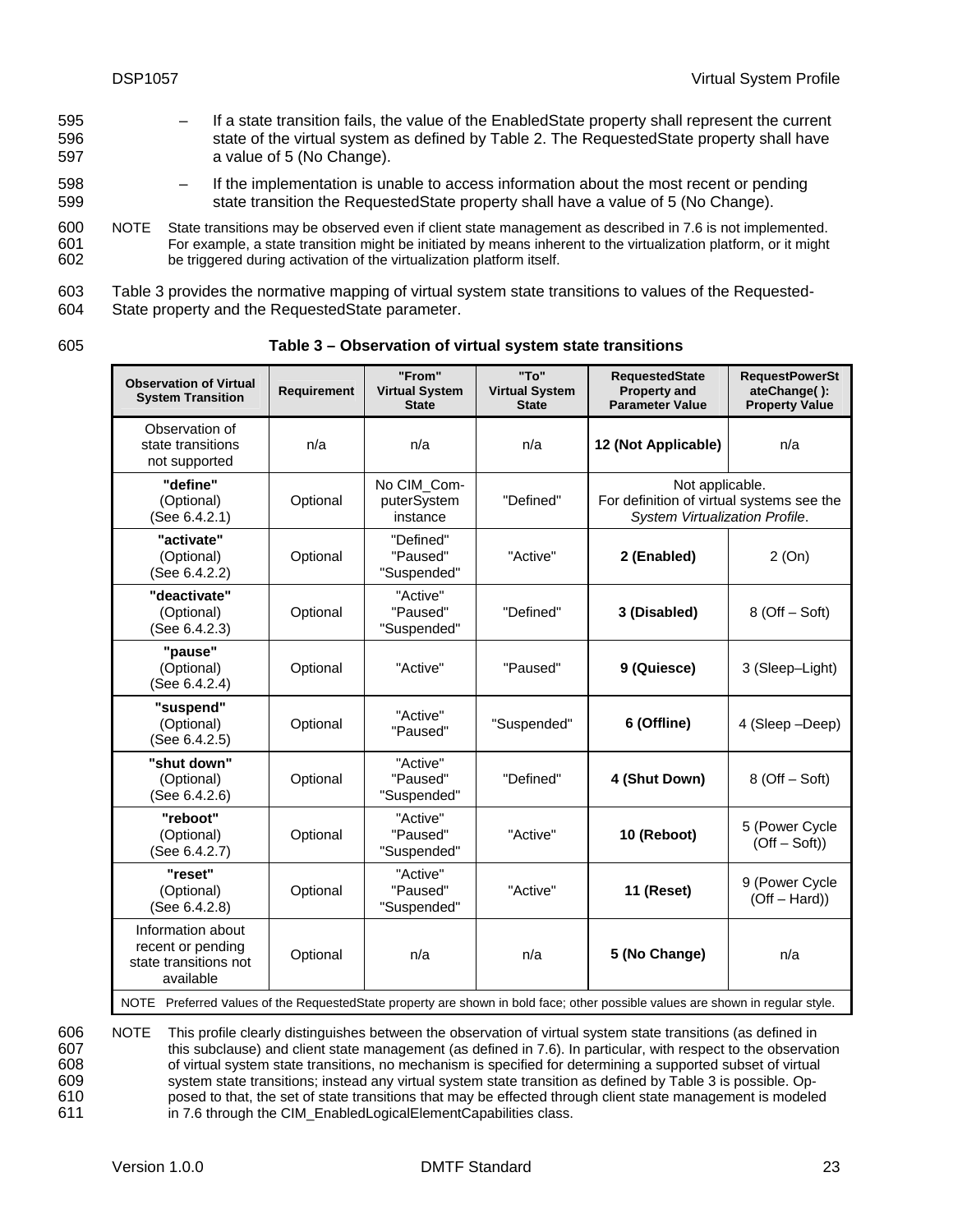- <span id="page-22-0"></span>595 596 597 – If a state transition fails, the value of the EnabledState property shall represent the current state of the virtual system as defined by [Table 2.](#page-20-3) The RequestedState property shall have a value of 5 (No Change).
- 598 599 – If the implementation is unable to access information about the most recent or pending state transition the RequestedState property shall have a value of 5 (No Change).
- 600 601 602 NOTE State transitions may be observed even if client state management as described in [7.6](#page-28-1) is not implemented. For example, a state transition might be initiated by means inherent to the virtualization platform, or it might be triggered during activation of the virtualization platform itself.

603 604 [Table 3](#page-22-1) provides the normative mapping of virtual system state transitions to values of the Requested-State property and the RequestedState parameter.

<span id="page-22-1"></span>605

| <b>Observation of Virtual</b><br><b>System Transition</b>                                                                      | <b>Requirement</b> | "From"<br><b>Virtual System</b><br><b>State</b> | "To"<br><b>Virtual System</b><br><b>State</b> | <b>RequestedState</b><br><b>Property and</b><br><b>Parameter Value</b>                         | <b>RequestPowerSt</b><br>ateChange():<br><b>Property Value</b> |
|--------------------------------------------------------------------------------------------------------------------------------|--------------------|-------------------------------------------------|-----------------------------------------------|------------------------------------------------------------------------------------------------|----------------------------------------------------------------|
| Observation of<br>state transitions<br>not supported                                                                           | n/a                | n/a                                             | n/a                                           | 12 (Not Applicable)                                                                            | n/a                                                            |
| "define"<br>(Optional)<br>(See 6.4.2.1)                                                                                        | Optional           | No CIM_Com-<br>puterSystem<br>instance          | "Defined"                                     | Not applicable.<br>For definition of virtual systems see the<br>System Virtualization Profile. |                                                                |
| "activate"<br>(Optional)<br>(See 6.4.2.2)                                                                                      | Optional           | "Defined"<br>"Paused"<br>"Suspended"            | "Active"                                      | 2 (Enabled)                                                                                    | 2(On)                                                          |
| "deactivate"<br>(Optional)<br>(See 6.4.2.3)                                                                                    | Optional           | "Active"<br>"Paused"<br>"Suspended"             | "Defined"                                     | 3 (Disabled)                                                                                   | $8$ (Off $-$ Soft)                                             |
| "pause"<br>(Optional)<br>(See 6.4.2.4)                                                                                         | Optional           | "Active"                                        | "Paused"                                      | 9 (Quiesce)                                                                                    | 3 (Sleep-Light)                                                |
| "suspend"<br>(Optional)<br>(See 6.4.2.5)                                                                                       | Optional           | "Active"<br>"Paused"                            | "Suspended"                                   | 6 (Offline)                                                                                    | 4 (Sleep -Deep)                                                |
| "shut down"<br>(Optional)<br>(See 6.4.2.6)                                                                                     | Optional           | "Active"<br>"Paused"<br>"Suspended"             | "Defined"                                     | 4 (Shut Down)                                                                                  | $8$ (Off $-$ Soft)                                             |
| "reboot"<br>(Optional)<br>(See 6.4.2.7)                                                                                        | Optional           | "Active"<br>"Paused"<br>"Suspended"             | "Active"                                      | 10 (Reboot)                                                                                    | 5 (Power Cycle<br>$(Off - Soft)$                               |
| "reset"<br>(Optional)<br>(See 6.4.2.8)                                                                                         | Optional           | "Active"<br>"Paused"<br>"Suspended"             | "Active"                                      | 11 (Reset)                                                                                     | 9 (Power Cycle<br>$(Off - Hard))$                              |
| Information about<br>recent or pending<br>state transitions not<br>available                                                   | Optional           | n/a                                             | n/a                                           | 5 (No Change)                                                                                  | n/a                                                            |
| NOTE Preferred values of the RequestedState property are shown in bold face; other possible values are shown in regular style. |                    |                                                 |                                               |                                                                                                |                                                                |

610 611

NOTE This profile clearly distinguishes between the observation of virtual system state transitions (as defined in this subclause) and client state management (as defined in [7.6\)](#page-28-1). In particular, with respect to the observation of virtual system state transitions, no mechanism is specified for determining a supported subset of virtual system state transitions; instead any virtual system state transition as defined by [Table 3](#page-22-1) is possible. Opposed to that, the set of state transitions that may be effected through client state management is modeled in [7.6](#page-28-1) through the CIM\_EnabledLogicalElementCapabilities class.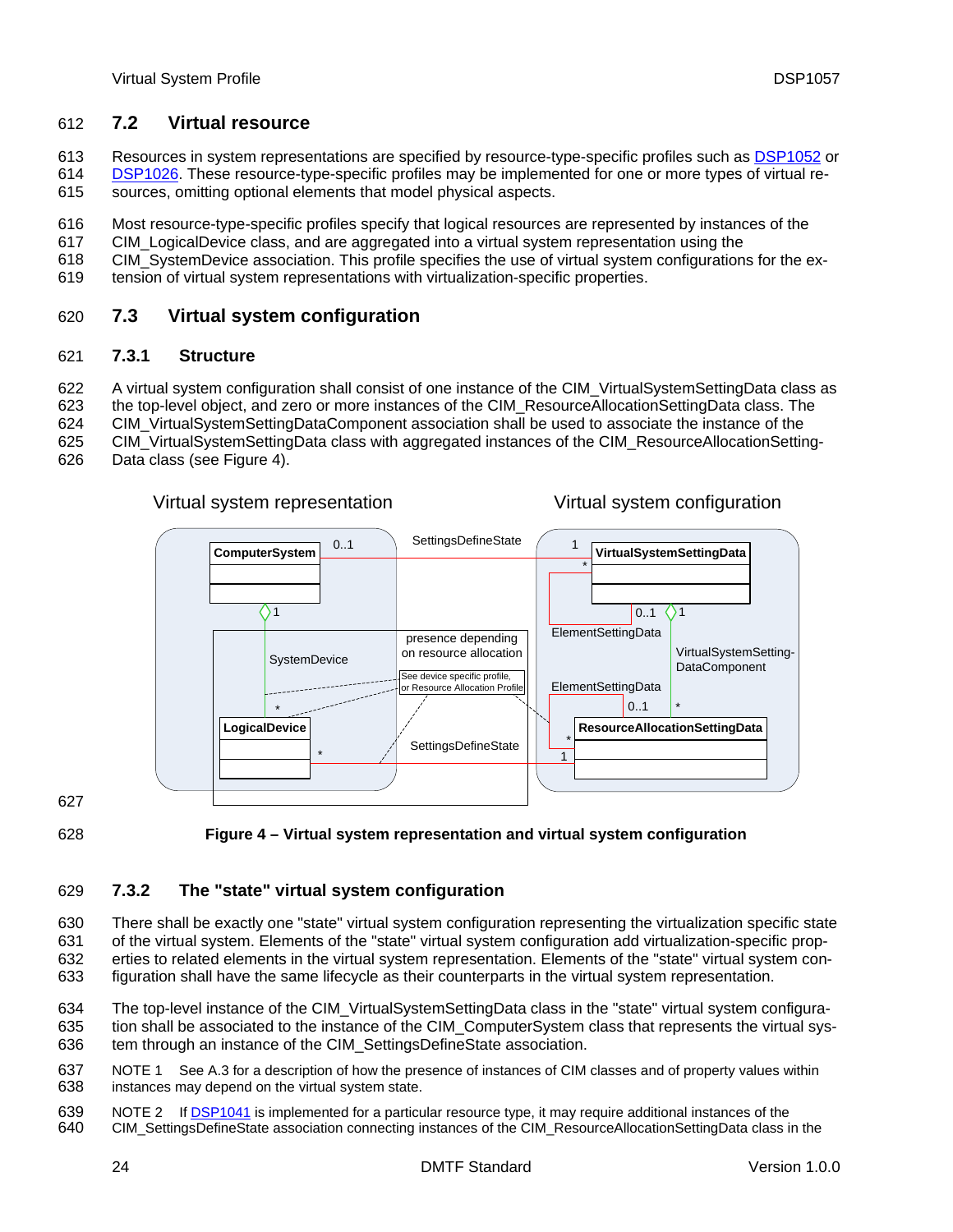### <span id="page-23-0"></span>612 **7.2 Virtual resource**

- 613 Resources in system representations are specified by resource-type-specific profiles such as [DSP1052](#page-9-0) or
- [DSP1026.](#page-8-0) These resource-type-specific profiles may be implemented for one or more types of virtual resources, omitting optional elements that model physical aspects. 614 615
- 616 Most resource-type-specific profiles specify that logical resources are represented by instances of the
- 617 CIM\_LogicalDevice class, and are aggregated into a virtual system representation using the
- 618 CIM SystemDevice association. This profile specifies the use of virtual system configurations for the ex-
- 619 tension of virtual system representations with virtualization-specific properties.

#### 620 **7.3 Virtual system configuration**

#### 621 **7.3.1 Structure**

- 622 A virtual system configuration shall consist of one instance of the CIM\_VirtualSystemSettingData class as
- 623 the top-level object, and zero or more instances of the CIM\_ResourceAllocationSettingData class. The
- 624 CIM\_VirtualSystemSettingDataComponent association shall be used to associate the instance of the
- 625 CIM\_VirtualSystemSettingData class with aggregated instances of the CIM\_ResourceAllocationSetting-
- 626 Data class (see [Figure 4](#page-23-1)).





627

<span id="page-23-1"></span>

**Figure 4 – Virtual system representation and virtual system configuration** 

#### <span id="page-23-2"></span>629 **7.3.2 The "state" virtual system configuration**

630 631 632 There shall be exactly one "state" virtual system configuration representing the virtualization specific state of the virtual system. Elements of the "state" virtual system configuration add virtualization-specific properties to related elements in the virtual system representation. Elements of the "state" virtual system con-

633 figuration shall have the same lifecycle as their counterparts in the virtual system representation.

634 635 636 The top-level instance of the CIM\_VirtualSystemSettingData class in the "state" virtual system configuration shall be associated to the instance of the CIM\_ComputerSystem class that represents the virtual system through an instance of the CIM\_SettingsDefineState association.

637 638 NOTE 1 See [A.3](#page-49-1) for a description of how the presence of instances of CIM classes and of property values within instances may depend on the virtual system state.

639 640 NOTE 2 If [DSP1041](#page-8-0) is implemented for a particular resource type, it may require additional instances of the CIM\_SettingsDefineState association connecting instances of the CIM\_ResourceAllocationSettingData class in the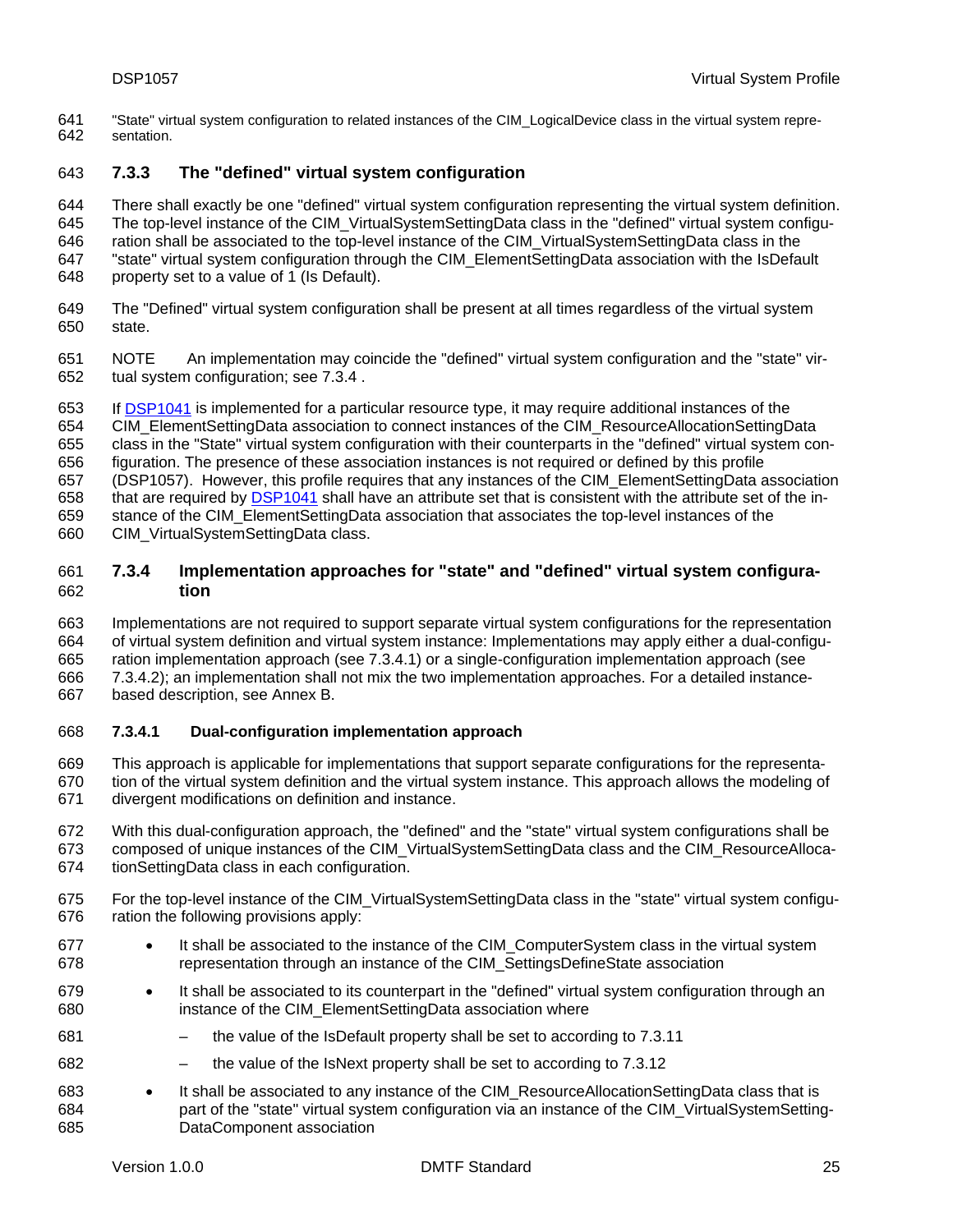<span id="page-24-0"></span>641 642 "State" virtual system configuration to related instances of the CIM\_LogicalDevice class in the virtual system representation.

#### <span id="page-24-3"></span>643 **7.3.3 The "defined" virtual system configuration**

644 645 646 647 648 There shall exactly be one "defined" virtual system configuration representing the virtual system definition. The top-level instance of the CIM\_VirtualSystemSettingData class in the "defined" virtual system configuration shall be associated to the top-level instance of the CIM VirtualSystemSettingData class in the "state" virtual system configuration through the CIM\_ElementSettingData association with the IsDefault property set to a value of 1 (Is Default).

- 649 650 The "Defined" virtual system configuration shall be present at all times regardless of the virtual system state.
- 651 652 NOTE An implementation may coincide the "defined" virtual system configuration and the "state" virtual system configuration; see [7.3.4](#page-24-1) .

If [DSP1041](#page-8-0) is implemented for a particular resource type, it may require additional instances of the CIM\_ElementSettingData association to connect instances of the CIM\_ResourceAllocationSettingData 653 654

class in the "State" virtual system configuration with their counterparts in the "defined" virtual system con-655

figuration. The presence of these association instances is not required or defined by this profile (DSP1057). However, this profile requires that any instances of the CIM\_ElementSettingData association 656 657

that are required by **[DSP1041](#page-8-0)** shall have an attribute set that is consistent with the attribute set of the in-658

stance of the CIM\_ElementSettingData association that associates the top-level instances of the 659

CIM\_VirtualSystemSettingData class. 660

#### <span id="page-24-1"></span>661 662 **7.3.4 Implementation approaches for "state" and "defined" virtual system configuration**

663 664 665 666 667 Implementations are not required to support separate virtual system configurations for the representation of virtual system definition and virtual system instance: Implementations may apply either a dual-configuration implementation approach (see [7.3.4.1\)](#page-24-2) or a single-configuration implementation approach (see [7.3.4.2\)](#page-25-1); an implementation shall not mix the two implementation approaches. For a detailed instancebased description, see [Annex B.](#page-51-1)

### <span id="page-24-2"></span>668 **7.3.4.1 Dual-configuration implementation approach**

669 This approach is applicable for implementations that support separate configurations for the representa-

670 671 tion of the virtual system definition and the virtual system instance. This approach allows the modeling of divergent modifications on definition and instance.

672 673 674 With this dual-configuration approach, the "defined" and the "state" virtual system configurations shall be composed of unique instances of the CIM\_VirtualSystemSettingData class and the CIM\_ResourceAllocationSettingData class in each configuration.

- 675 676 For the top-level instance of the CIM\_VirtualSystemSettingData class in the "state" virtual system configuration the following provisions apply:
- 677 678 It shall be associated to the instance of the CIM\_ComputerSystem class in the virtual system representation through an instance of the CIM\_SettingsDefineState association
- 679 680 • It shall be associated to its counterpart in the "defined" virtual system configuration through an instance of the CIM\_ElementSettingData association where
- 681 – the value of the IsDefault property shall be set to according to [7.3.11](#page-26-1)
- 682 – the value of the IsNext property shall be set to according to [7.3.12](#page-27-1)
- 683 684 685 • It shall be associated to any instance of the CIM ResourceAllocationSettingData class that is part of the "state" virtual system configuration via an instance of the CIM\_VirtualSystemSetting-DataComponent association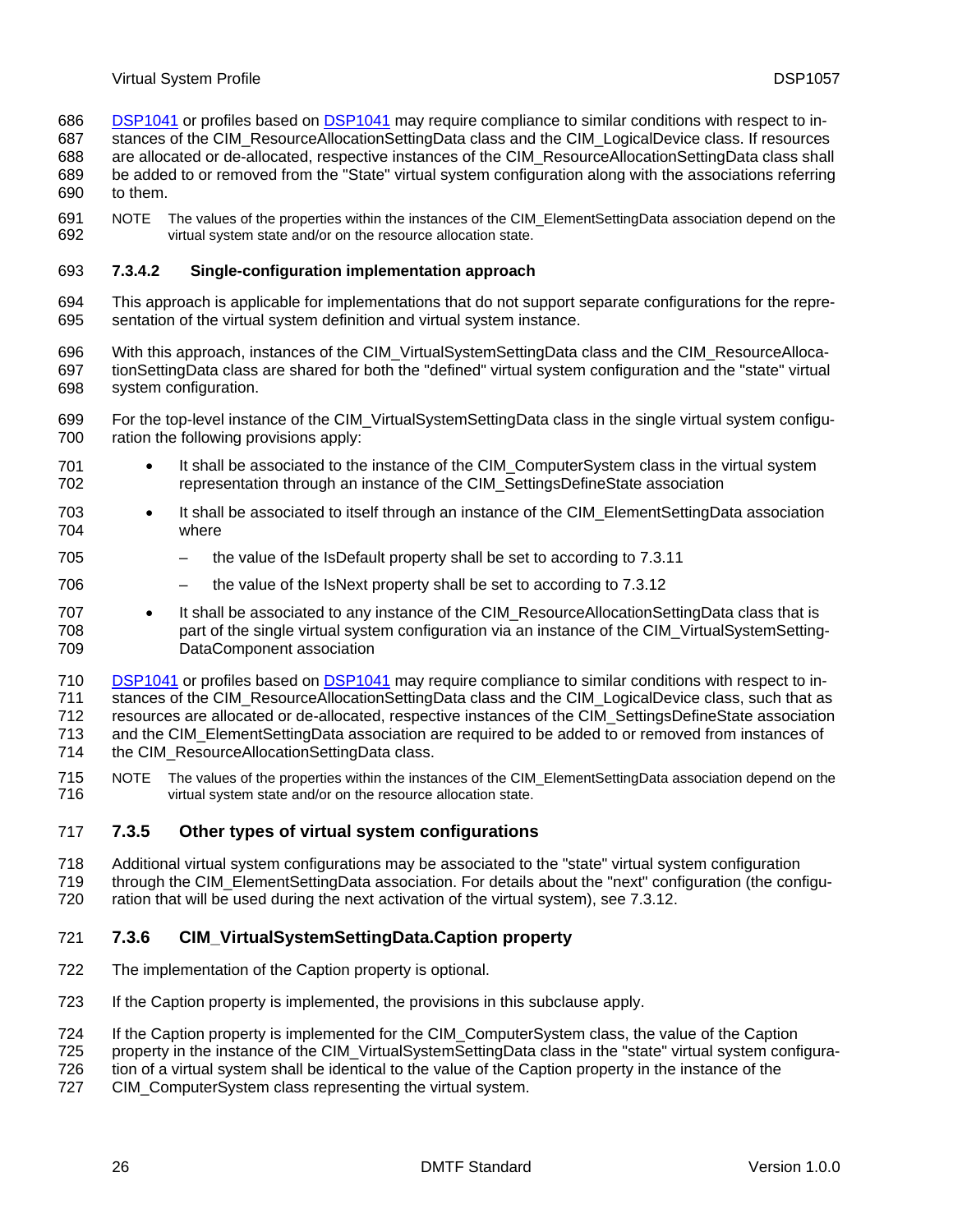<span id="page-25-0"></span>[DSP1041](#page-8-0) or profiles based on [DSP1041](#page-8-0) may require compliance to similar conditions with respect to in-686

- stances of the CIM\_ResourceAllocationSettingData class and the CIM\_LogicalDevice class. If resources are allocated or de-allocated, respective instances of the CIM\_ResourceAllocationSettingData class shall be added to or removed from the "State" virtual system configuration along with the associations referring to them. 687 688 689 690
- 691 692 NOTE The values of the properties within the instances of the CIM\_ElementSettingData association depend on the virtual system state and/or on the resource allocation state.

### <span id="page-25-1"></span>693 **7.3.4.2 Single-configuration implementation approach**

- 694 695 This approach is applicable for implementations that do not support separate configurations for the representation of the virtual system definition and virtual system instance.
- 696 697 698 With this approach, instances of the CIM\_VirtualSystemSettingData class and the CIM\_ResourceAllocationSettingData class are shared for both the "defined" virtual system configuration and the "state" virtual system configuration.
- 699 700 For the top-level instance of the CIM\_VirtualSystemSettingData class in the single virtual system configuration the following provisions apply:
- 701 702 • It shall be associated to the instance of the CIM ComputerSystem class in the virtual system representation through an instance of the CIM\_SettingsDefineState association
- 703 704 • It shall be associated to itself through an instance of the CIM\_ElementSettingData association where
- 705 – the value of the IsDefault property shall be set to according to [7.3.11](#page-26-1)
- 706 – the value of the IsNext property shall be set to according to [7.3.12](#page-27-1)
- 707 708 709 • It shall be associated to any instance of the CIM\_ResourceAllocationSettingData class that is part of the single virtual system configuration via an instance of the CIM\_VirtualSystemSetting-DataComponent association
- [DSP1041](#page-8-0) or profiles based on [DSP1041](#page-8-0) may require compliance to similar conditions with respect to instances of the CIM\_ResourceAllocationSettingData class and the CIM\_LogicalDevice class, such that as resources are allocated or de-allocated, respective instances of the CIM\_SettingsDefineState association and the CIM\_ElementSettingData association are required to be added to or removed from instances of 710 711 712 713
- the CIM\_ResourceAllocationSettingData class. 714
- 715 716 NOTE The values of the properties within the instances of the CIM\_ElementSettingData association depend on the virtual system state and/or on the resource allocation state.

#### 717 **7.3.5 Other types of virtual system configurations**

- 718 Additional virtual system configurations may be associated to the "state" virtual system configuration
- 719 through the CIM\_ElementSettingData association. For details about the "next" configuration (the configu-
- 720 ration that will be used during the next activation of the virtual system), see [7.3.12.](#page-27-1)

#### <span id="page-25-2"></span>721 **7.3.6 CIM\_VirtualSystemSettingData.Caption property**

- 722 The implementation of the Caption property is optional.
- 723 If the Caption property is implemented, the provisions in this subclause apply.
- 724 If the Caption property is implemented for the CIM\_ComputerSystem class, the value of the Caption
- 725 property in the instance of the CIM\_VirtualSystemSettingData class in the "state" virtual system configura-
- 726 tion of a virtual system shall be identical to the value of the Caption property in the instance of the
- 727 CIM\_ComputerSystem class representing the virtual system.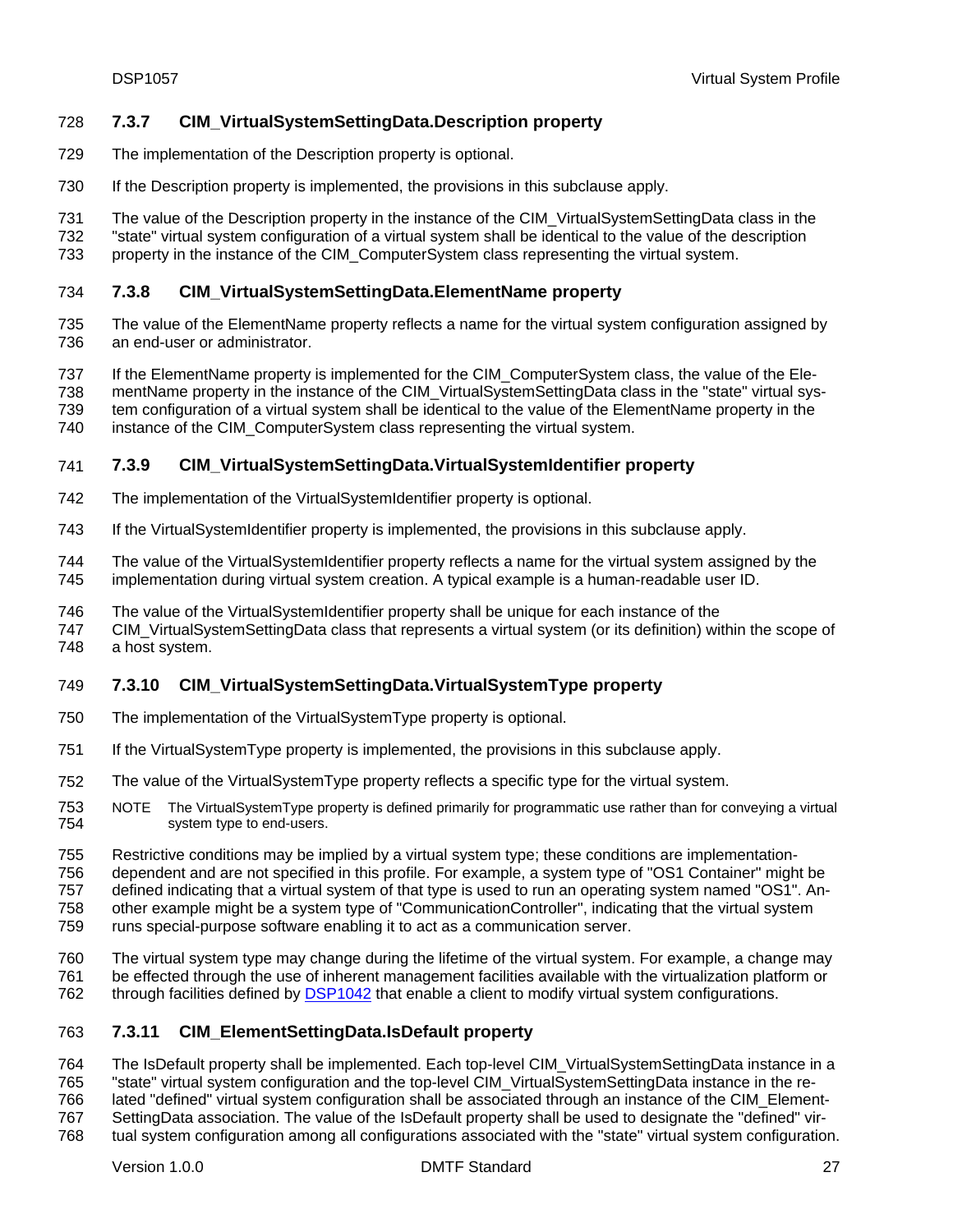#### <span id="page-26-2"></span><span id="page-26-0"></span>728 **7.3.7 CIM\_VirtualSystemSettingData.Description property**

- 729 The implementation of the Description property is optional.
- 730 If the Description property is implemented, the provisions in this subclause apply.
- 731 The value of the Description property in the instance of the CIM\_VirtualSystemSettingData class in the
- 732 "state" virtual system configuration of a virtual system shall be identical to the value of the description
- 733 property in the instance of the CIM\_ComputerSystem class representing the virtual system.

#### <span id="page-26-3"></span>734 **7.3.8 CIM\_VirtualSystemSettingData.ElementName property**

- 735 736 The value of the ElementName property reflects a name for the virtual system configuration assigned by an end-user or administrator.
- 737 If the ElementName property is implemented for the CIM\_ComputerSystem class, the value of the Ele-
- 738 mentName property in the instance of the CIM\_VirtualSystemSettingData class in the "state" virtual sys-
- 739 tem configuration of a virtual system shall be identical to the value of the ElementName property in the
- 740 instance of the CIM\_ComputerSystem class representing the virtual system.

#### <span id="page-26-4"></span>741 **7.3.9 CIM\_VirtualSystemSettingData.VirtualSystemIdentifier property**

- 742 The implementation of the VirtualSystemIdentifier property is optional.
- 743 If the VirtualSystemIdentifier property is implemented, the provisions in this subclause apply.
- 744 745 The value of the VirtualSystemIdentifier property reflects a name for the virtual system assigned by the implementation during virtual system creation. A typical example is a human-readable user ID.
- 746 The value of the VirtualSystemIdentifier property shall be unique for each instance of the
- 747 748 CIM\_VirtualSystemSettingData class that represents a virtual system (or its definition) within the scope of a host system.

#### <span id="page-26-5"></span>749 **7.3.10 CIM\_VirtualSystemSettingData.VirtualSystemType property**

- 750 The implementation of the VirtualSystemType property is optional.
- 751 If the VirtualSystemType property is implemented, the provisions in this subclause apply.
- 752 The value of the VirtualSystemType property reflects a specific type for the virtual system.
- 753 754 NOTE The VirtualSystemType property is defined primarily for programmatic use rather than for conveying a virtual system type to end-users.
- 755 756 Restrictive conditions may be implied by a virtual system type; these conditions are implementationdependent and are not specified in this profile. For example, a system type of "OS1 Container" might be defined indicating that a virtual system of that type is used to run an operating system named "OS1". An-
- 757 758 other example might be a system type of "CommunicationController", indicating that the virtual system
- 759 runs special-purpose software enabling it to act as a communication server.
- 760 761 The virtual system type may change during the lifetime of the virtual system. For example, a change may be effected through the use of inherent management facilities available with the virtualization platform or
- 762 through facilities defined by [DSP1042](#page-8-0) that enable a client to modify virtual system configurations.

#### <span id="page-26-1"></span>763 **7.3.11 CIM\_ElementSettingData.IsDefault property**

764 The IsDefault property shall be implemented. Each top-level CIM\_VirtualSystemSettingData instance in a

765 "state" virtual system configuration and the top-level CIM\_VirtualSystemSettingData instance in the re-

766 767 lated "defined" virtual system configuration shall be associated through an instance of the CIM\_Element-SettingData association. The value of the IsDefault property shall be used to designate the "defined" vir-

768 tual system configuration among all configurations associated with the "state" virtual system configuration.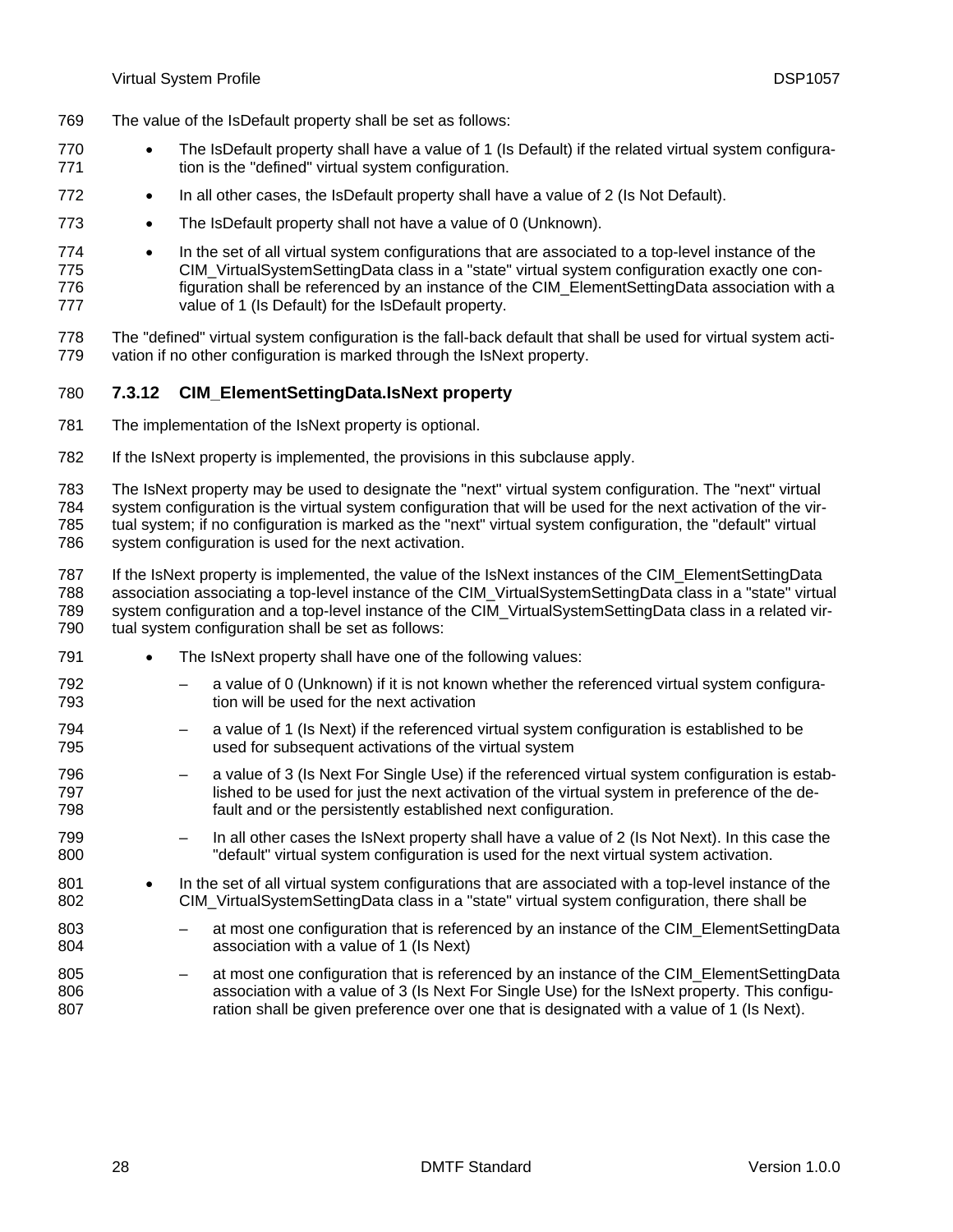- <span id="page-27-0"></span>769 The value of the IsDefault property shall be set as follows:
- 770 771 • The IsDefault property shall have a value of 1 (Is Default) if the related virtual system configuration is the "defined" virtual system configuration.
- 772 • In all other cases, the IsDefault property shall have a value of 2 (Is Not Default).
- 773 • The IsDefault property shall not have a value of 0 (Unknown).
- 774 775 776 777 • In the set of all virtual system configurations that are associated to a top-level instance of the CIM\_VirtualSystemSettingData class in a "state" virtual system configuration exactly one configuration shall be referenced by an instance of the CIM\_ElementSettingData association with a value of 1 (Is Default) for the IsDefault property.
- 778 779 The "defined" virtual system configuration is the fall-back default that shall be used for virtual system activation if no other configuration is marked through the IsNext property.

#### <span id="page-27-1"></span>780 **7.3.12 CIM\_ElementSettingData.IsNext property**

- 781 The implementation of the IsNext property is optional.
- 782 If the IsNext property is implemented, the provisions in this subclause apply.
- 783 784 785 786 The IsNext property may be used to designate the "next" virtual system configuration. The "next" virtual system configuration is the virtual system configuration that will be used for the next activation of the virtual system; if no configuration is marked as the "next" virtual system configuration, the "default" virtual system configuration is used for the next activation.
- 787 788 789 790 If the IsNext property is implemented, the value of the IsNext instances of the CIM\_ElementSettingData association associating a top-level instance of the CIM\_VirtualSystemSettingData class in a "state" virtual system configuration and a top-level instance of the CIM\_VirtualSystemSettingData class in a related virtual system configuration shall be set as follows:
- 791 • The IsNext property shall have one of the following values:
- 792 793 – a value of 0 (Unknown) if it is not known whether the referenced virtual system configuration will be used for the next activation
- 794 795 – a value of 1 (Is Next) if the referenced virtual system configuration is established to be used for subsequent activations of the virtual system
- 796 797 798 – a value of 3 (Is Next For Single Use) if the referenced virtual system configuration is established to be used for just the next activation of the virtual system in preference of the default and or the persistently established next configuration.
- 799 800 – In all other cases the IsNext property shall have a value of 2 (Is Not Next). In this case the "default" virtual system configuration is used for the next virtual system activation.
- 801 802 • In the set of all virtual system configurations that are associated with a top-level instance of the CIM\_VirtualSystemSettingData class in a "state" virtual system configuration, there shall be
- 803 804 – at most one configuration that is referenced by an instance of the CIM\_ElementSettingData association with a value of 1 (Is Next)
- 805 806 807 – at most one configuration that is referenced by an instance of the CIM\_ElementSettingData association with a value of 3 (Is Next For Single Use) for the IsNext property. This configuration shall be given preference over one that is designated with a value of 1 (Is Next).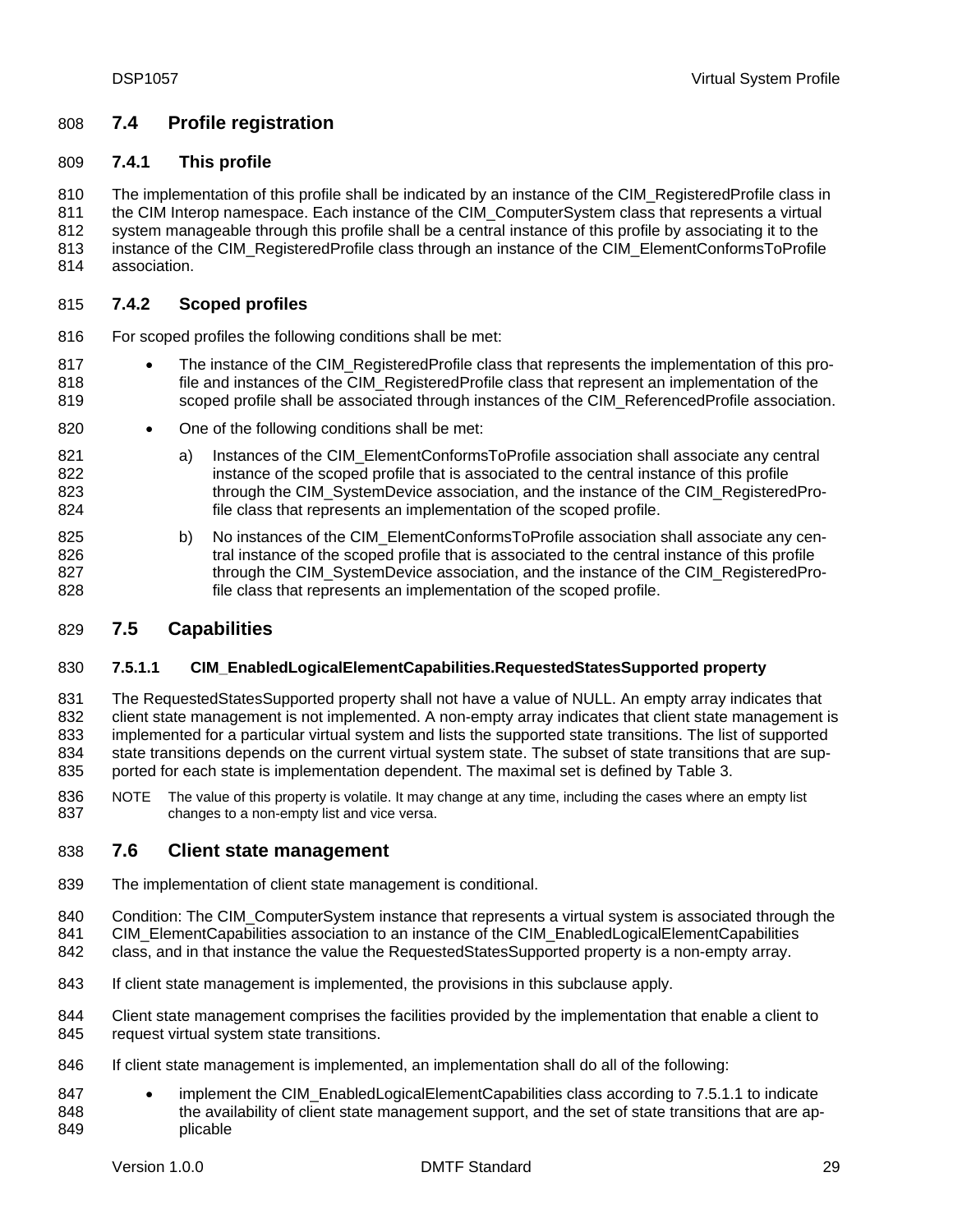#### <span id="page-28-0"></span>808 **7.4 Profile registration**

#### 809 **7.4.1 This profile**

810 811 812 813 814 The implementation of this profile shall be indicated by an instance of the CIM\_RegisteredProfile class in the CIM Interop namespace. Each instance of the CIM\_ComputerSystem class that represents a virtual system manageable through this profile shall be a central instance of this profile by associating it to the instance of the CIM\_RegisteredProfile class through an instance of the CIM\_ElementConformsToProfile association.

#### <span id="page-28-3"></span>815 **7.4.2 Scoped profiles**

816 For scoped profiles the following conditions shall be met:

- 817 818 819 • The instance of the CIM RegisteredProfile class that represents the implementation of this profile and instances of the CIM\_RegisteredProfile class that represent an implementation of the scoped profile shall be associated through instances of the CIM\_ReferencedProfile association.
- 820 • One of the following conditions shall be met:
- 821 822 823 824 a) Instances of the CIM\_ElementConformsToProfile association shall associate any central instance of the scoped profile that is associated to the central instance of this profile through the CIM\_SystemDevice association, and the instance of the CIM\_RegisteredProfile class that represents an implementation of the scoped profile.
- 825 826 827 828 b) No instances of the CIM\_ElementConformsToProfile association shall associate any central instance of the scoped profile that is associated to the central instance of this profile through the CIM\_SystemDevice association, and the instance of the CIM\_RegisteredProfile class that represents an implementation of the scoped profile.

#### 829 **7.5 Capabilities**

### <span id="page-28-2"></span>830 **7.5.1.1 CIM\_EnabledLogicalElementCapabilities.RequestedStatesSupported property**

831 832 833 834 835 The RequestedStatesSupported property shall not have a value of NULL. An empty array indicates that client state management is not implemented. A non-empty array indicates that client state management is implemented for a particular virtual system and lists the supported state transitions. The list of supported state transitions depends on the current virtual system state. The subset of state transitions that are supported for each state is implementation dependent. The maximal set is defined by [Table 3](#page-22-1).

836 837 NOTE The value of this property is volatile. It may change at any time, including the cases where an empty list changes to a non-empty list and vice versa.

#### <span id="page-28-1"></span>838 **7.6 Client state management**

- 839 The implementation of client state management is conditional.
- 840 Condition: The CIM\_ComputerSystem instance that represents a virtual system is associated through the
- 841 CIM\_ElementCapabilities association to an instance of the CIM\_EnabledLogicalElementCapabilities
- 842 class, and in that instance the value the RequestedStatesSupported property is a non-empty array.
- 843 If client state management is implemented, the provisions in this subclause apply.
- 844 845 Client state management comprises the facilities provided by the implementation that enable a client to request virtual system state transitions.
- 846 If client state management is implemented, an implementation shall do all of the following:
- 847 848 849 • implement the CIM\_EnabledLogicalElementCapabilities class according to [7.5.1.1](#page-28-2) to indicate the availability of client state management support, and the set of state transitions that are applicable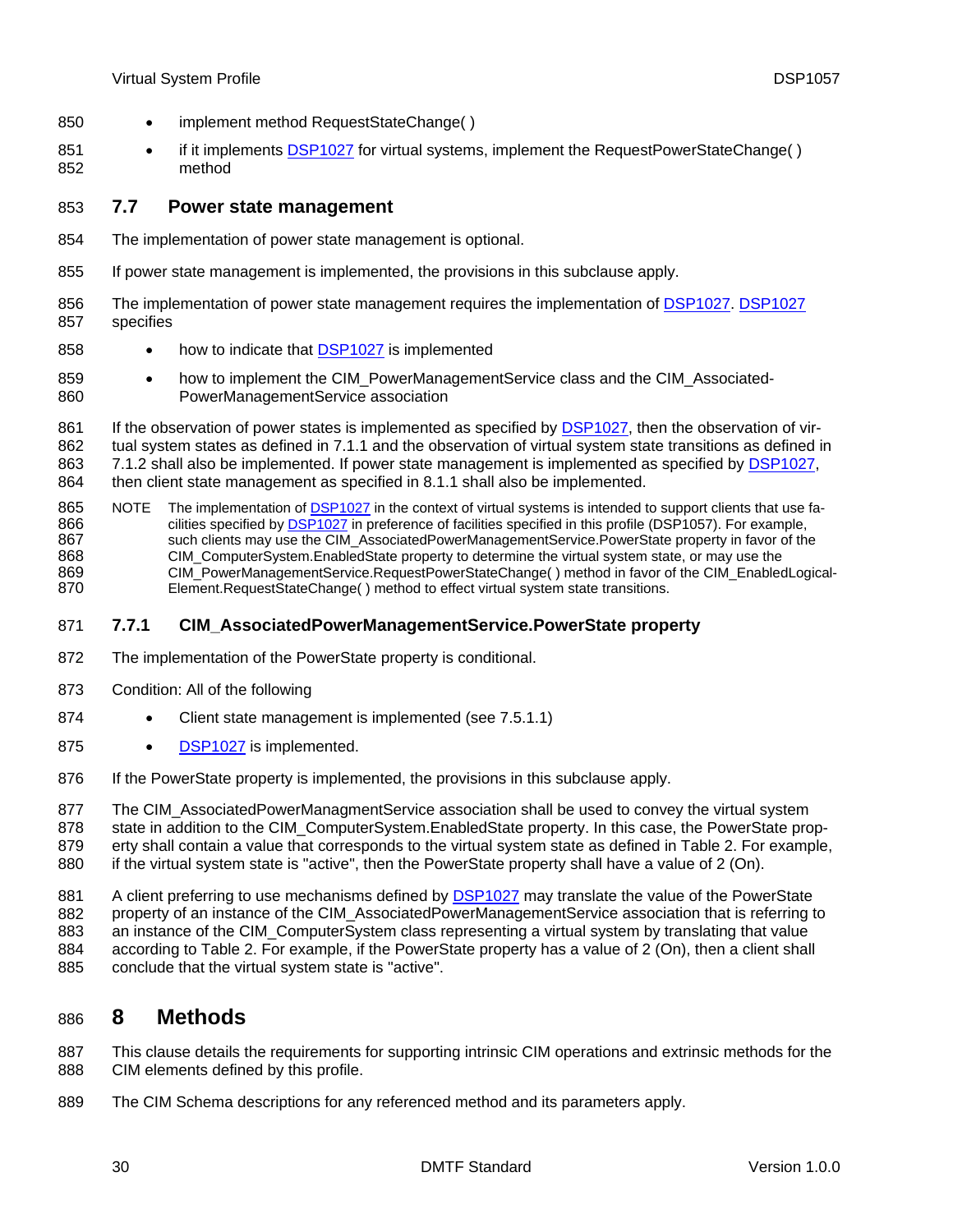- <span id="page-29-0"></span>850 • implement method RequestStateChange()
- if it implements [DSP1027](#page-8-0) for virtual systems, implement the RequestPowerStateChange() method 851 852

#### <span id="page-29-3"></span>853 **7.7 Power state management**

- 854 The implementation of power state management is optional.
- 855 If power state management is implemented, the provisions in this subclause apply.
- The implementation of power state management requires the implementation of [DSP1027](#page-8-0). [DSP1027](#page-8-0) specifies 856 857
- 858 how to indicate that **DSP1027** is implemented
- 859 860 • how to implement the CIM\_PowerManagementService class and the CIM\_Associated-PowerManagementService association
- If the observation of power states is implemented as specified by **DSP1027**, then the observation of vir-862 tual system states as defined in [7.1.1](#page-20-2) and the observation of virtual system state transitions as defined in 861 [7.1.2](#page-21-1) shall also be implemented. If power state management is implemented as specified by [DSP1027,](#page-8-0) 864 then client state management as specified in [8.1.1](#page-30-1) shall also be implemented. 863
- NOTE The implementation of [DSP1027](#page-8-0) in the context of virtual systems is intended to support clients that use facilities specified by **DSP1027** in preference of facilities specified in this profile (DSP1057). For example, 865 such clients may use the CIM\_AssociatedPowerManagementService.PowerState property in favor of the CIM\_ComputerSystem.EnabledState property to determine the virtual system state, or may use the CIM\_PowerManagementService.RequestPowerStateChange( ) method in favor of the CIM\_EnabledLogical-Element.RequestStateChange( ) method to effect virtual system state transitions. 866 867 868 869 870

#### <span id="page-29-2"></span>871 **7.7.1 CIM\_AssociatedPowerManagementService.PowerState property**

- 872 The implementation of the PowerState property is conditional.
- 873 Condition: All of the following
- 874 Client state management is implemented (see [7.5.1.1\)](#page-28-2)
- 875 **DSP1027** is implemented.
- 876 If the PowerState property is implemented, the provisions in this subclause apply.

877 878 879 880 The CIM\_AssociatedPowerManagmentService association shall be used to convey the virtual system state in addition to the CIM\_ComputerSystem.EnabledState property. In this case, the PowerState property shall contain a value that corresponds to the virtual system state as defined in [Table 2](#page-20-3). For example, if the virtual system state is "active", then the PowerState property shall have a value of 2 (On).

A client preferring to use mechanisms defined by [DSP1027](#page-8-0) may translate the value of the PowerState property of an instance of the CIM\_AssociatedPowerManagementService association that is referring to an instance of the CIM ComputerSystem class representing a virtual system by translating that value 881 882 883

according to [Table 2.](#page-20-3) For example, if the PowerState property has a value of 2 (On), then a client shall 884 885 conclude that the virtual system state is "active".

### <span id="page-29-1"></span>886 **8 Methods**

887 888 This clause details the requirements for supporting intrinsic CIM operations and extrinsic methods for the CIM elements defined by this profile.

889 The CIM Schema descriptions for any referenced method and its parameters apply.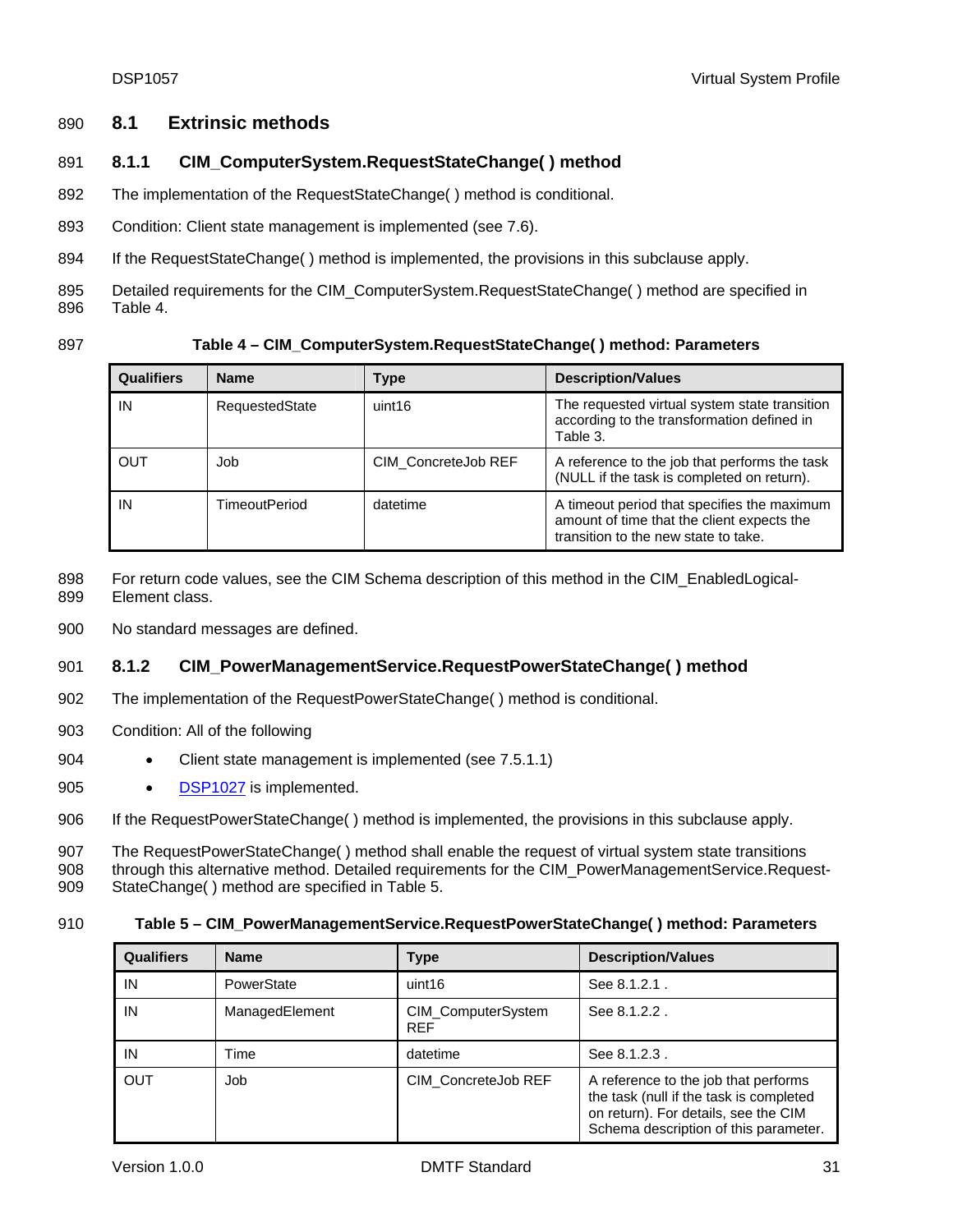#### <span id="page-30-4"></span><span id="page-30-0"></span>890 **8.1 Extrinsic methods**

#### <span id="page-30-1"></span>891 **8.1.1 CIM\_ComputerSystem.RequestStateChange( ) method**

- 892 The implementation of the RequestStateChange( ) method is conditional.
- 893 Condition: Client state management is implemented (see [7.6\)](#page-28-1).
- 894 If the RequestStateChange( ) method is implemented, the provisions in this subclause apply.

895 896 Detailed requirements for the CIM\_ComputerSystem.RequestStateChange( ) method are specified in [Table 4](#page-30-2).

<span id="page-30-2"></span>897

### **Table 4 – CIM\_ComputerSystem.RequestStateChange( ) method: Parameters**

| <b>Qualifiers</b> | <b>Name</b>    | Type                | <b>Description/Values</b>                                                                                                         |
|-------------------|----------------|---------------------|-----------------------------------------------------------------------------------------------------------------------------------|
| IN                | RequestedState | uint16              | The requested virtual system state transition<br>according to the transformation defined in<br>Table 3.                           |
| <b>OUT</b>        | Job            | CIM ConcreteJob REF | A reference to the job that performs the task<br>(NULL if the task is completed on return).                                       |
| ΙN                | TimeoutPeriod  | datetime            | A timeout period that specifies the maximum<br>amount of time that the client expects the<br>transition to the new state to take. |

- For return code values, see the CIM Schema description of this method in the CIM\_EnabledLogical-Element class. 898 899
- 900 No standard messages are defined.

#### <span id="page-30-5"></span>901 **8.1.2 CIM\_PowerManagementService.RequestPowerStateChange( ) method**

- 902 The implementation of the RequestPowerStateChange( ) method is conditional.
- 903 Condition: All of the following
- 904 • Client state management is implemented (see [7.5.1.1\)](#page-28-2)
- 905 **DSP1027** is implemented.
- 906 If the RequestPowerStateChange( ) method is implemented, the provisions in this subclause apply.

907 908 909 The RequestPowerStateChange( ) method shall enable the request of virtual system state transitions through this alternative method. Detailed requirements for the CIM\_PowerManagementService.Request-StateChange( ) method are specified in [Table 5](#page-30-3).

<span id="page-30-3"></span>910 **Table 5 – CIM\_PowerManagementService.RequestPowerStateChange( ) method: Parameters** 

| <b>Qualifiers</b> | <b>Name</b>    | Type                             | <b>Description/Values</b>                                                                                                                                        |
|-------------------|----------------|----------------------------------|------------------------------------------------------------------------------------------------------------------------------------------------------------------|
| IN                | PowerState     | uint16                           | See 8.1.2.1.                                                                                                                                                     |
| IN                | ManagedElement | CIM_ComputerSystem<br><b>REF</b> | See 8.1.2.2.                                                                                                                                                     |
| IN                | Time           | datetime                         | See 8.1.2.3.                                                                                                                                                     |
| <b>OUT</b>        | Job            | CIM ConcreteJob REF              | A reference to the job that performs<br>the task (null if the task is completed<br>on return). For details, see the CIM<br>Schema description of this parameter. |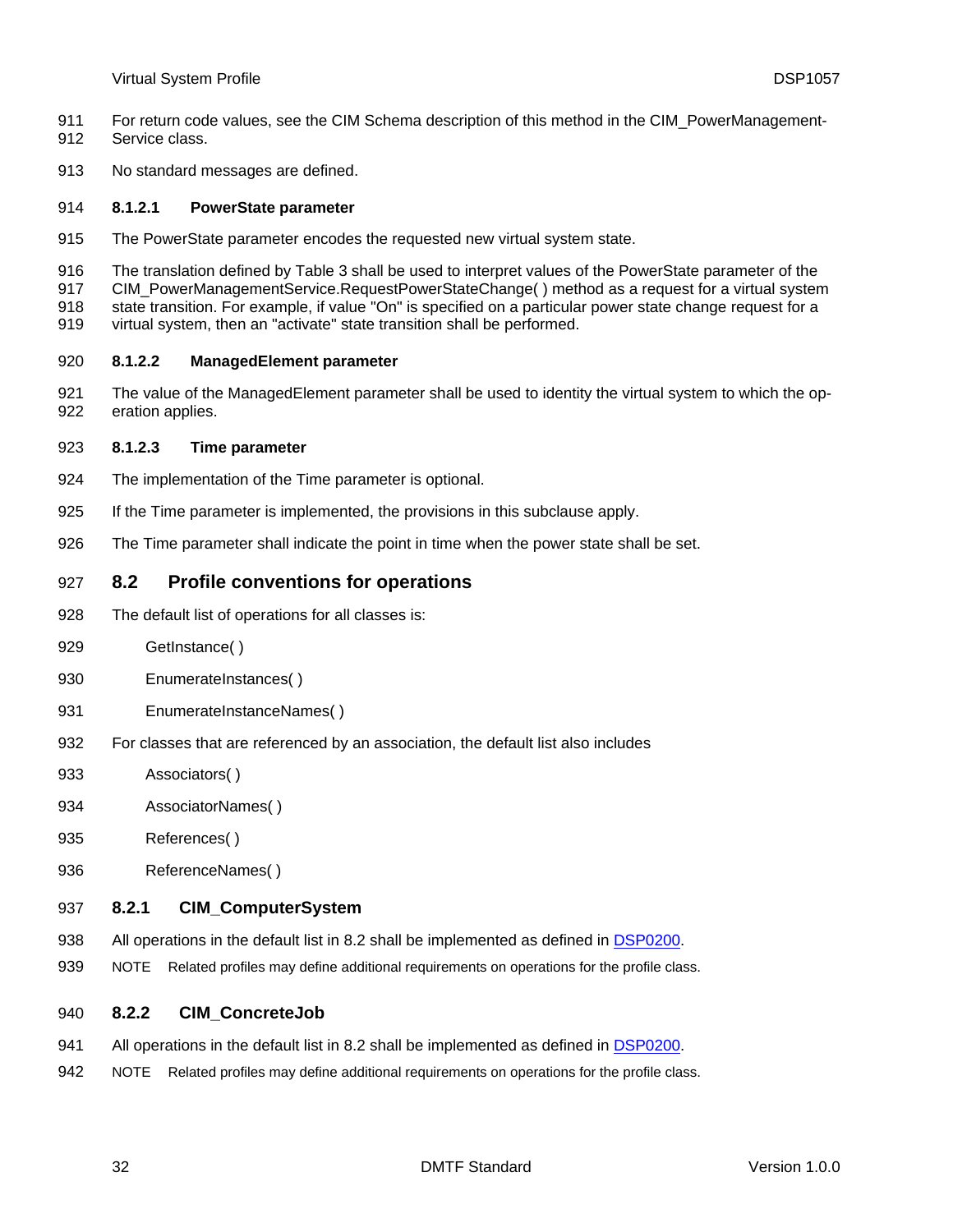- <span id="page-31-0"></span>911 912 For return code values, see the CIM Schema description of this method in the CIM\_PowerManagement-Service class.
- 913 No standard messages are defined.

### <span id="page-31-1"></span>914 **8.1.2.1 PowerState parameter**

915 The PowerState parameter encodes the requested new virtual system state.

916 The translation defined by [Table 3](#page-22-1) shall be used to interpret values of the PowerState parameter of the

917 CIM\_PowerManagementService.RequestPowerStateChange( ) method as a request for a virtual system

- 918 state transition. For example, if value "On" is specified on a particular power state change request for a
- 919 virtual system, then an "activate" state transition shall be performed.

### <span id="page-31-2"></span>920 **8.1.2.2 ManagedElement parameter**

921 922 The value of the ManagedElement parameter shall be used to identity the virtual system to which the operation applies.

### <span id="page-31-3"></span>923 **8.1.2.3 Time parameter**

- 924 The implementation of the Time parameter is optional.
- 925 If the Time parameter is implemented, the provisions in this subclause apply.
- 926 The Time parameter shall indicate the point in time when the power state shall be set.

#### <span id="page-31-4"></span>927 **8.2 Profile conventions for operations**

- 928 The default list of operations for all classes is:
- 929 GetInstance( )
- 930 EnumerateInstances()
- 931 EnumerateInstanceNames()
- 932 For classes that are referenced by an association, the default list also includes
- 933 Associators( )
- 934 AssociatorNames( )
- 935 References( )
- 936 ReferenceNames( )

#### 937 **8.2.1 CIM\_ComputerSystem**

- 938 All operations in the default list in [8.2](#page-31-4) shall be implemented as defined in [DSP0200](#page-8-0).
- 939 NOTE Related profiles may define additional requirements on operations for the profile class.

#### 940 **8.2.2 CIM\_ConcreteJob**

- 941 All operations in the default list in [8.2](#page-31-4) shall be implemented as defined in [DSP0200](#page-8-0).
- 942 NOTE Related profiles may define additional requirements on operations for the profile class.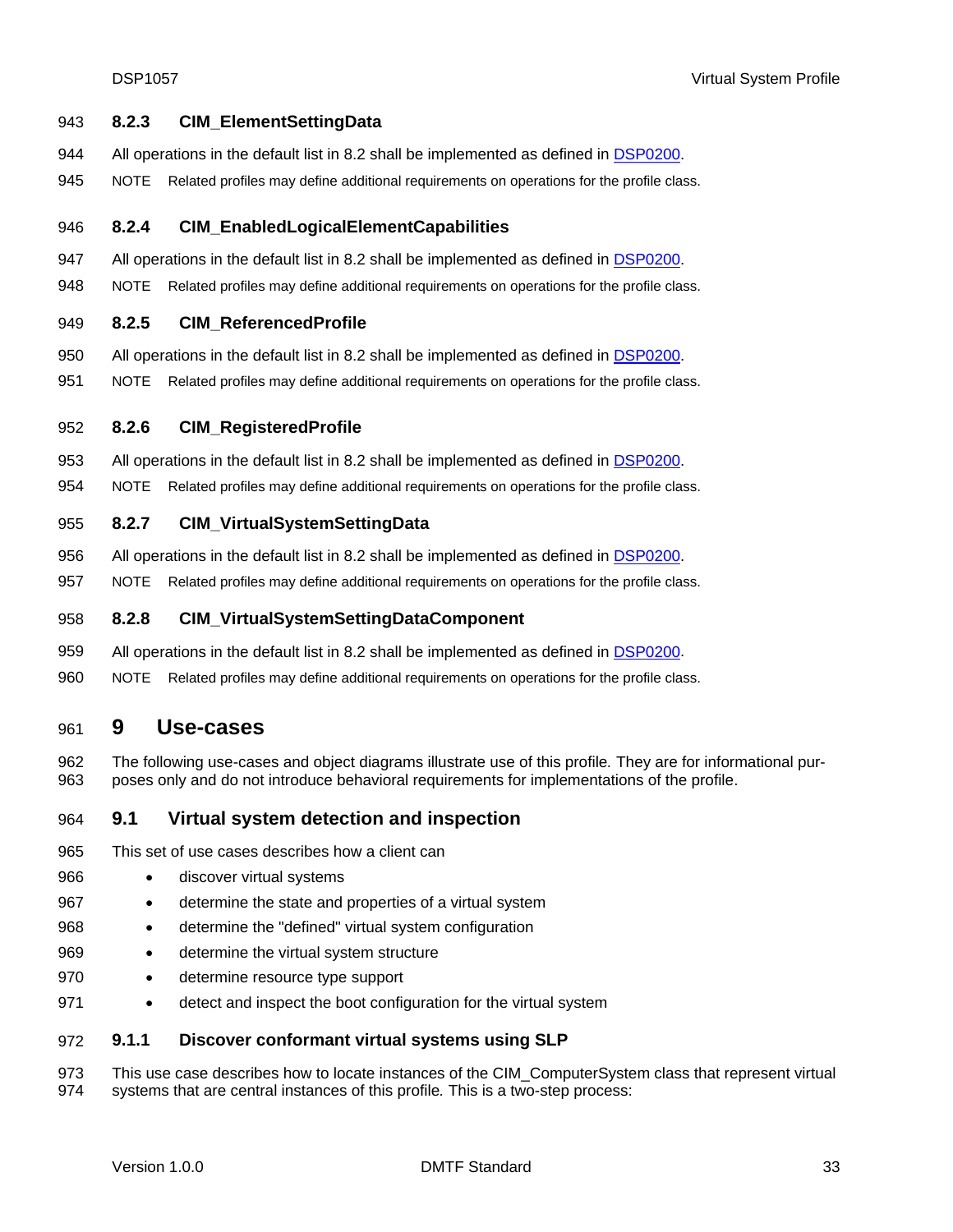### <span id="page-32-0"></span>943 **8.2.3 CIM\_ElementSettingData**

- 944 All operations in the default list in [8.2](#page-31-4) shall be implemented as defined in [DSP0200](#page-8-0).
- 945 NOTE Related profiles may define additional requirements on operations for the profile class.

#### 946 **8.2.4 CIM\_EnabledLogicalElementCapabilities**

- 947 All operations in the default list in [8.2](#page-31-4) shall be implemented as defined in [DSP0200](#page-8-0).
- 948 NOTE Related profiles may define additional requirements on operations for the profile class.

#### 949 **8.2.5 CIM\_ReferencedProfile**

- 950 All operations in the default list in [8.2](#page-31-4) shall be implemented as defined in [DSP0200](#page-8-0).
- 951 NOTE Related profiles may define additional requirements on operations for the profile class.

#### 952 **8.2.6 CIM\_RegisteredProfile**

- 953 All operations in the default list in [8.2](#page-31-4) shall be implemented as defined in [DSP0200](#page-8-0).
- 954 NOTE Related profiles may define additional requirements on operations for the profile class.

#### 955 **8.2.7 CIM\_VirtualSystemSettingData**

- 956 All operations in the default list in [8.2](#page-31-4) shall be implemented as defined in [DSP0200](#page-8-0).
- 957 NOTE Related profiles may define additional requirements on operations for the profile class.

#### 958 **8.2.8 CIM\_VirtualSystemSettingDataComponent**

- 959 All operations in the default list in [8.2](#page-31-4) shall be implemented as defined in [DSP0200](#page-8-0).
- 960 NOTE Related profiles may define additional requirements on operations for the profile class.

### 961 **9 Use-cases**

962 963 The following use-cases and object diagrams illustrate use of this profile*.* They are for informational purposes only and do not introduce behavioral requirements for implementations of the profile.

#### 964 **9.1 Virtual system detection and inspection**

- 965 This set of use cases describes how a client can
- 966 • discover virtual systems
- 967 • determine the state and properties of a virtual system
- 968 • determine the "defined" virtual system configuration
- 969 • determine the virtual system structure
- 970 • determine resource type support
- 971 • detect and inspect the boot configuration for the virtual system

#### <span id="page-32-1"></span>972 **9.1.1 Discover conformant virtual systems using SLP**

973 974 This use case describes how to locate instances of the CIM\_ComputerSystem class that represent virtual systems that are central instances of this profile*.* This is a two-step process: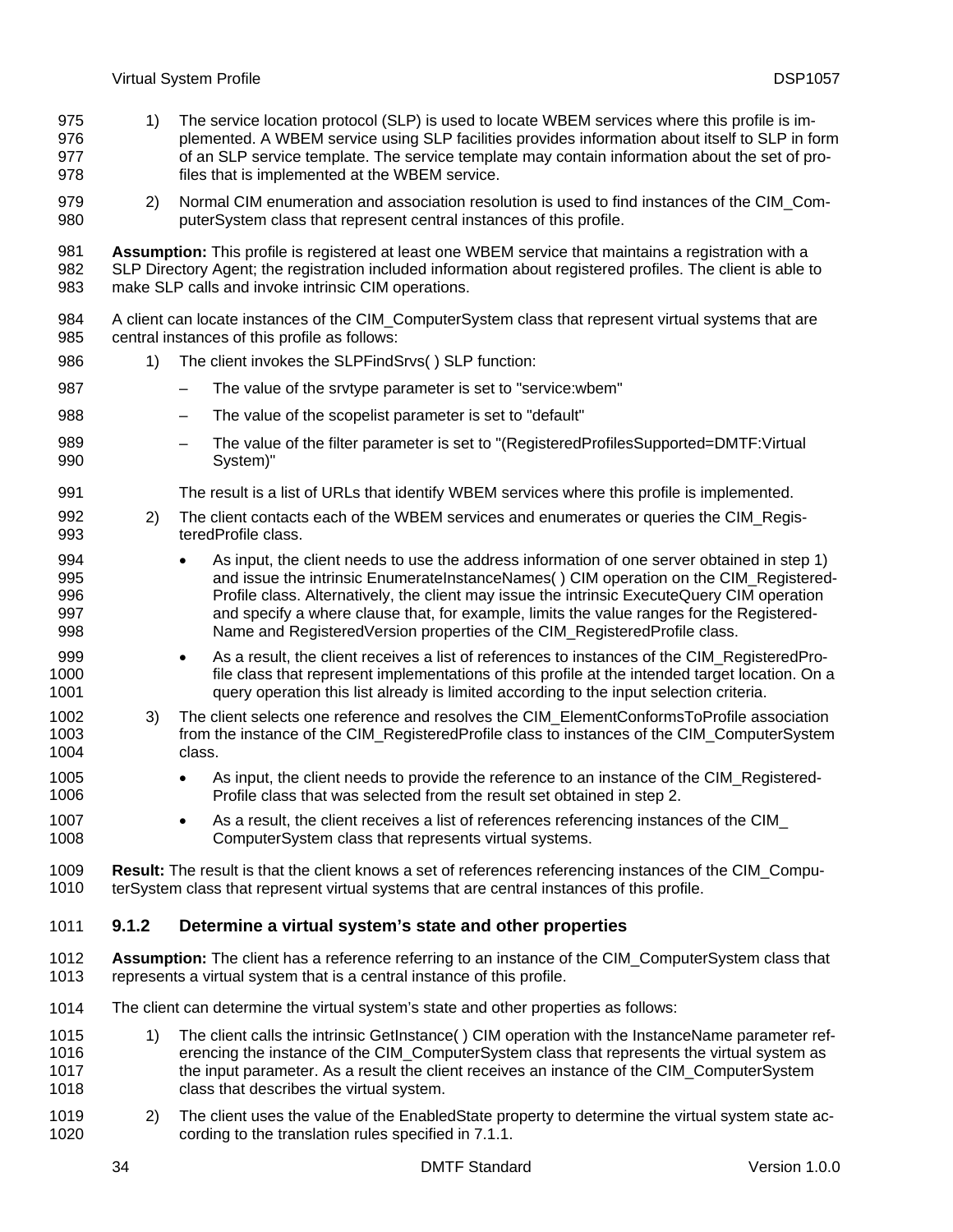- <span id="page-33-1"></span><span id="page-33-0"></span>975 976 977 978 1) The service location protocol (SLP) is used to locate WBEM services where this profile is implemented. A WBEM service using SLP facilities provides information about itself to SLP in form of an SLP service template. The service template may contain information about the set of profiles that is implemented at the WBEM service.
- 979 980 2) Normal CIM enumeration and association resolution is used to find instances of the CIM\_ComputerSystem class that represent central instances of this profile.

981 982 983 **Assumption:** This profile is registered at least one WBEM service that maintains a registration with a SLP Directory Agent; the registration included information about registered profiles. The client is able to make SLP calls and invoke intrinsic CIM operations.

- 984 985 A client can locate instances of the CIM\_ComputerSystem class that represent virtual systems that are central instances of this profile as follows:
- 986 1) The client invokes the SLPFindSrvs( ) SLP function:
- 987 – The value of the srvtype parameter is set to "service:wbem"
- 988 The value of the scopelist parameter is set to "default"
- 989 990 – The value of the filter parameter is set to "(RegisteredProfilesSupported=DMTF:Virtual System)"
- 991 The result is a list of URLs that identify WBEM services where this profile is implemented.
- 992 993 2) The client contacts each of the WBEM services and enumerates or queries the CIM\_RegisteredProfile class.
- 994 995 996 997 998 • As input, the client needs to use the address information of one server obtained in step [1\)](#page-33-1) and issue the intrinsic EnumerateInstanceNames( ) CIM operation on the CIM\_Registered-Profile class. Alternatively, the client may issue the intrinsic ExecuteQuery CIM operation and specify a where clause that, for example, limits the value ranges for the Registered-Name and RegisteredVersion properties of the CIM\_RegisteredProfile class.
- 999 1000 1001 • As a result, the client receives a list of references to instances of the CIM\_RegisteredProfile class that represent implementations of this profile at the intended target location. On a query operation this list already is limited according to the input selection criteria.
- 1002 1003 1004 3) The client selects one reference and resolves the CIM\_ElementConformsToProfile association from the instance of the CIM\_RegisteredProfile class to instances of the CIM\_ComputerSystem class.
	- As input, the client needs to provide the reference to an instance of the CIM\_Registered-Profile class that was selected from the result set obtained in step 2.
- 1007 1008 As a result, the client receives a list of references referencing instances of the CIM ComputerSystem class that represents virtual systems.
- 1009 1010 **Result:** The result is that the client knows a set of references referencing instances of the CIM\_ComputerSystem class that represent virtual systems that are central instances of this profile.

#### <span id="page-33-2"></span>1011 **9.1.2 Determine a virtual system's state and other properties**

- 1012 1013 **Assumption:** The client has a reference referring to an instance of the CIM\_ComputerSystem class that represents a virtual system that is a central instance of this profile.
- 1014 The client can determine the virtual system's state and other properties as follows:
- 1015 1016 1017 1018 1) The client calls the intrinsic GetInstance( ) CIM operation with the InstanceName parameter referencing the instance of the CIM\_ComputerSystem class that represents the virtual system as the input parameter. As a result the client receives an instance of the CIM\_ComputerSystem class that describes the virtual system.
- 1019 1020 2) The client uses the value of the EnabledState property to determine the virtual system state according to the translation rules specified in [7.1.1](#page-20-2).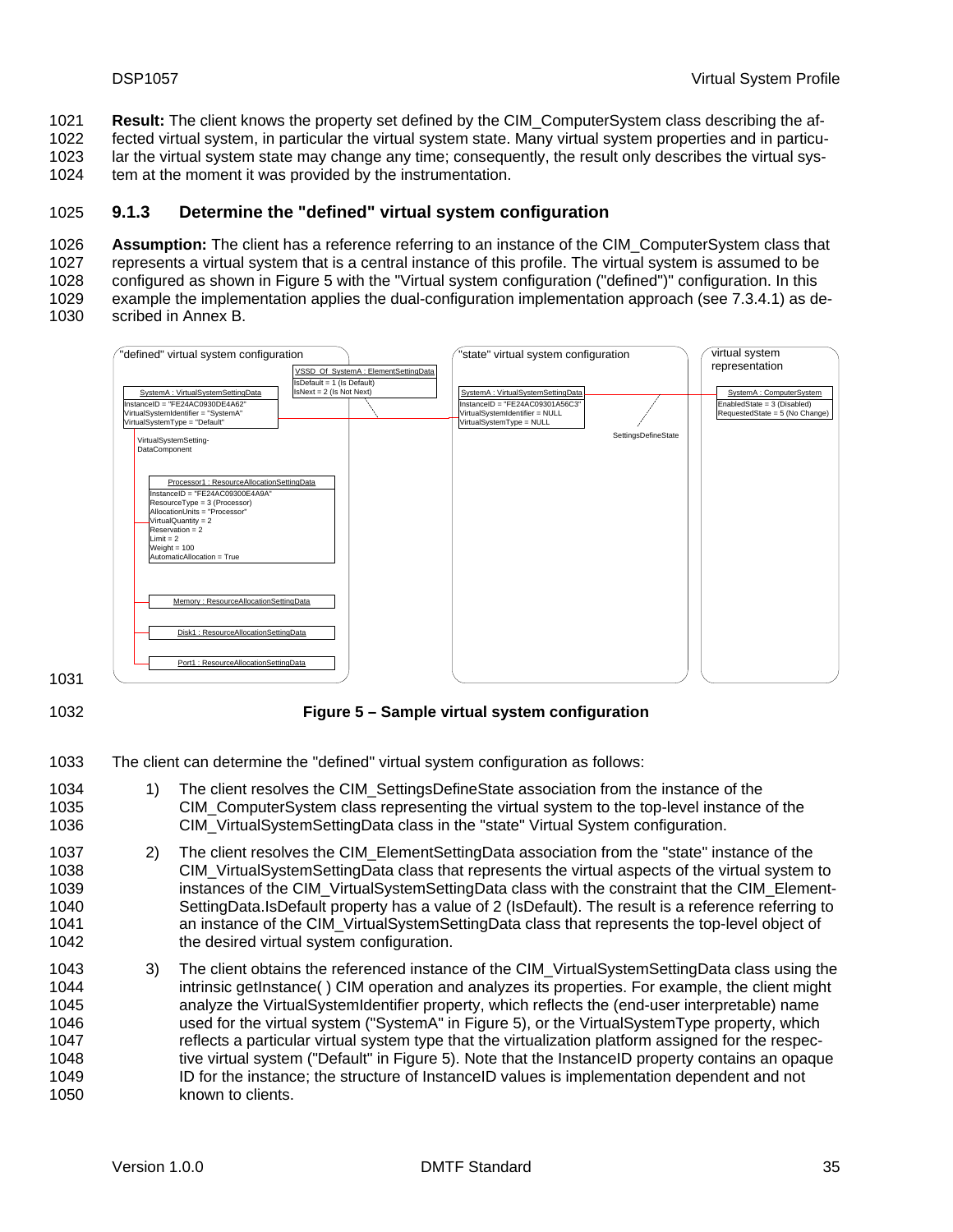<span id="page-34-0"></span>1021 1022 1023 1024 **Result:** The client knows the property set defined by the CIM\_ComputerSystem class describing the affected virtual system, in particular the virtual system state. Many virtual system properties and in particular the virtual system state may change any time; consequently, the result only describes the virtual system at the moment it was provided by the instrumentation.

#### <span id="page-34-2"></span>1025 **9.1.3 Determine the "defined" virtual system configuration**

1026 1027 1028 1029 1030 **Assumption:** The client has a reference referring to an instance of the CIM\_ComputerSystem class that represents a virtual system that is a central instance of this profile. The virtual system is assumed to be configured as shown in [Figure 5](#page-34-1) with the "Virtual system configuration ("defined")" configuration. In this example the implementation applies the dual-configuration implementation approach (see [7.3.4.1](#page-24-2)) as described in [Annex B](#page-51-1).



<span id="page-34-1"></span>1031

**Figure 5 – Sample virtual system configuration** 

- 1033 The client can determine the "defined" virtual system configuration as follows:
- 1034 1035 1036 1) The client resolves the CIM\_SettingsDefineState association from the instance of the CIM\_ComputerSystem class representing the virtual system to the top-level instance of the CIM\_VirtualSystemSettingData class in the "state" Virtual System configuration.
- 1037 1038 1039 1040 1041 1042 2) The client resolves the CIM\_ElementSettingData association from the "state" instance of the CIM\_VirtualSystemSettingData class that represents the virtual aspects of the virtual system to instances of the CIM\_VirtualSystemSettingData class with the constraint that the CIM\_Element-SettingData.IsDefault property has a value of 2 (IsDefault). The result is a reference referring to an instance of the CIM\_VirtualSystemSettingData class that represents the top-level object of the desired virtual system configuration.
- 1043 1044 1045 1046 1047 1048 1049 1050 3) The client obtains the referenced instance of the CIM\_VirtualSystemSettingData class using the intrinsic getInstance( ) CIM operation and analyzes its properties. For example, the client might analyze the VirtualSystemIdentifier property, which reflects the (end-user interpretable) name used for the virtual system ("SystemA" in [Figure 5](#page-34-1)), or the VirtualSystemType property, which reflects a particular virtual system type that the virtualization platform assigned for the respective virtual system ("Default" in [Figure 5\)](#page-34-1). Note that the InstanceID property contains an opaque ID for the instance; the structure of InstanceID values is implementation dependent and not known to clients.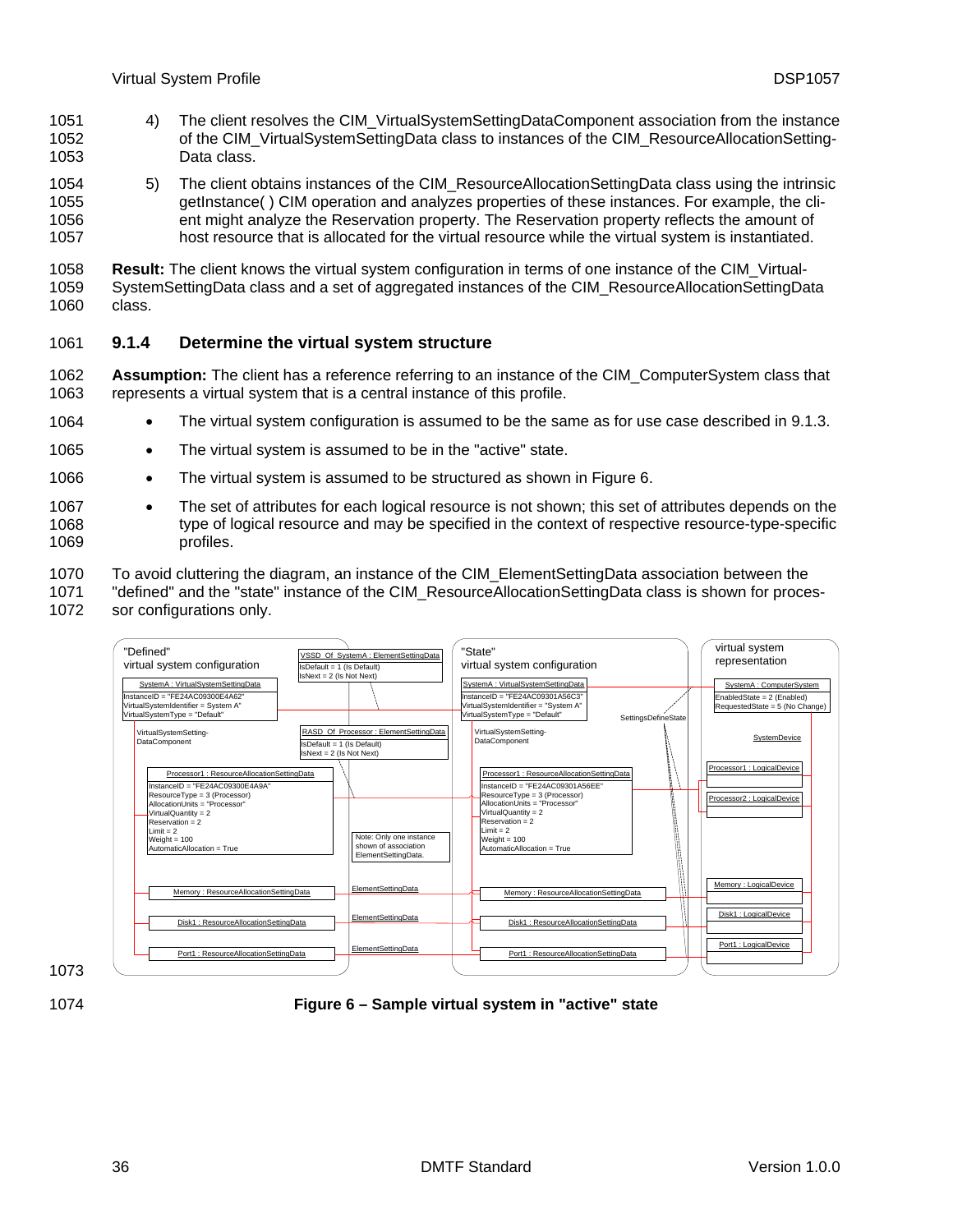- <span id="page-35-0"></span>1051 1052 1053 4) The client resolves the CIM\_VirtualSystemSettingDataComponent association from the instance of the CIM\_VirtualSystemSettingData class to instances of the CIM\_ResourceAllocationSetting-Data class.
- 1054 1055 1056 1057 5) The client obtains instances of the CIM\_ResourceAllocationSettingData class using the intrinsic getInstance( ) CIM operation and analyzes properties of these instances. For example, the client might analyze the Reservation property. The Reservation property reflects the amount of host resource that is allocated for the virtual resource while the virtual system is instantiated.
- 1058 1059 1060 **Result:** The client knows the virtual system configuration in terms of one instance of the CIM\_Virtual-SystemSettingData class and a set of aggregated instances of the CIM\_ResourceAllocationSettingData class.

#### <span id="page-35-2"></span>1061 **9.1.4 Determine the virtual system structure**

- 1062 1063 **Assumption:** The client has a reference referring to an instance of the CIM\_ComputerSystem class that represents a virtual system that is a central instance of this profile.
- 1064 • The virtual system configuration is assumed to be the same as for use case described in [9.1.3.](#page-34-2)
- 1065 • The virtual system is assumed to be in the "active" state.
- 1066 • The virtual system is assumed to be structured as shown in [Figure 6](#page-35-1).
- 1067 1068 1069 • The set of attributes for each logical resource is not shown; this set of attributes depends on the type of logical resource and may be specified in the context of respective resource-type-specific profiles.
- 1070 To avoid cluttering the diagram, an instance of the CIM\_ElementSettingData association between the
- 1071 1072 "defined" and the "state" instance of the CIM\_ResourceAllocationSettingData class is shown for processor configurations only.



<span id="page-35-1"></span>1074 **Figure 6 – Sample virtual system in "active" state**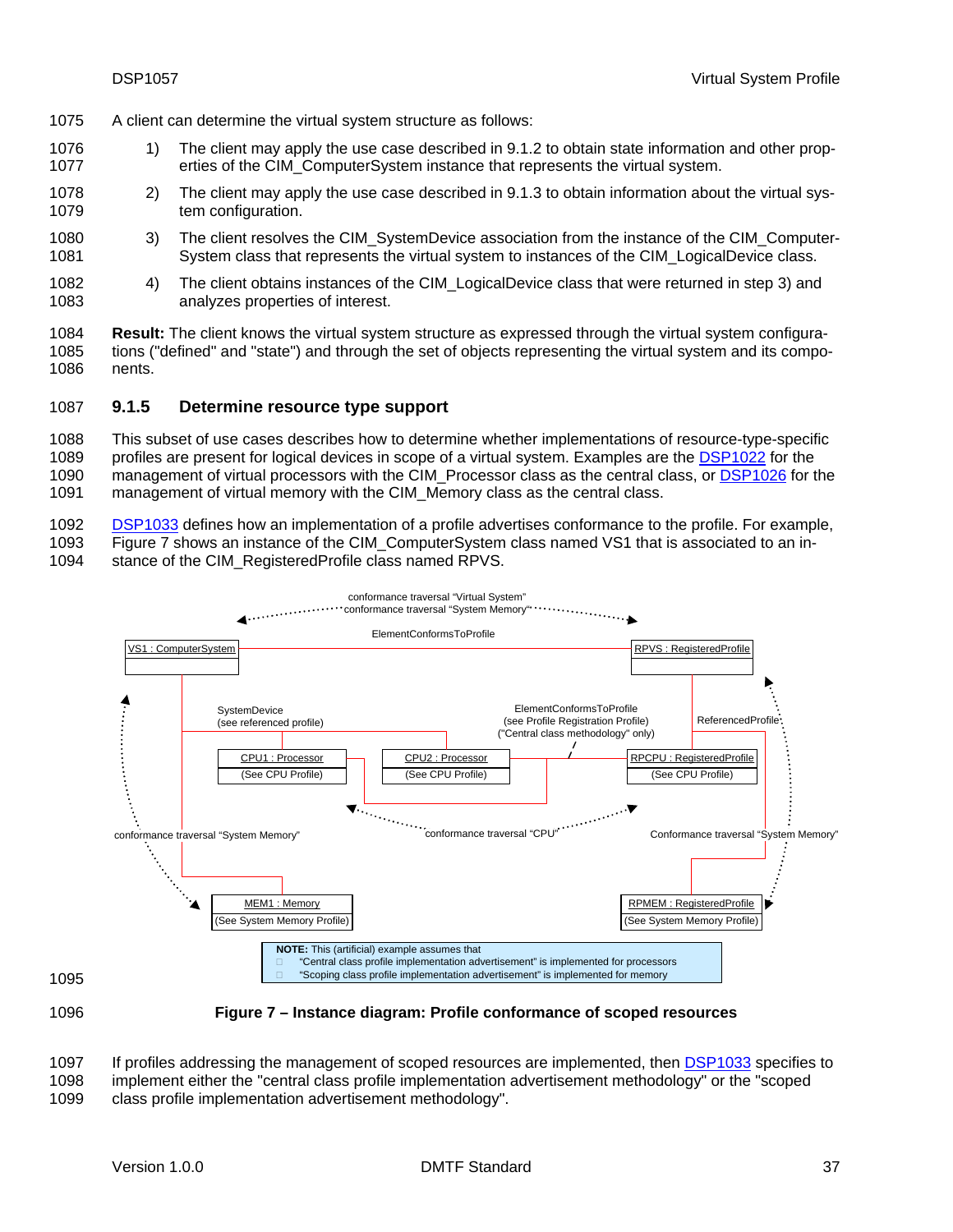- <span id="page-36-0"></span>1075 A client can determine the virtual system structure as follows:
- 1076 1077 1) The client may apply the use case described in [9.1.2](#page-33-2) to obtain state information and other properties of the CIM\_ComputerSystem instance that represents the virtual system.
- 1078 1079 2) The client may apply the use case described in [9.1.3](#page-34-2) to obtain information about the virtual system configuration.
- <span id="page-36-1"></span>1080 1081 3) The client resolves the CIM SystemDevice association from the instance of the CIM Computer-System class that represents the virtual system to instances of the CIM\_LogicalDevice class.
- 1082 1083 4) The client obtains instances of the CIM\_LogicalDevice class that were returned in step [3\)](#page-36-1) and analyzes properties of interest.
- 1084 1085 1086 **Result:** The client knows the virtual system structure as expressed through the virtual system configurations ("defined" and "state") and through the set of objects representing the virtual system and its components.

#### 1087 **9.1.5 Determine resource type support**

1088 This subset of use cases describes how to determine whether implementations of resource-type-specific profiles are present for logical devices in scope of a virtual system. Examples are the [DSP1022](#page-8-0) for the management of virtual processors with the CIM\_Processor class as the central class, or **DSP1026** for the 1089 management of virtual memory with the CIM Memory class as the central class. 1090 1091

1092 [DSP1033](#page-8-0) defines how an implementation of a profile advertises conformance to the profile. For example, 1093 [Figure 7](#page-36-2) shows an instance of the CIM ComputerSystem class named VS1 that is associated to an in-

1094 stance of the CIM\_RegisteredProfile class named RPVS.



<span id="page-36-2"></span>

1096 **Figure 7 – Instance diagram: Profile conformance of scoped resources** 

If profiles addressing the management of scoped resources are implemented, then [DSP1033](#page-8-0) specifies to implement either the "central class profile implementation advertisement methodology" or the "scoped class profile implementation advertisement methodology". 1097 1098 1099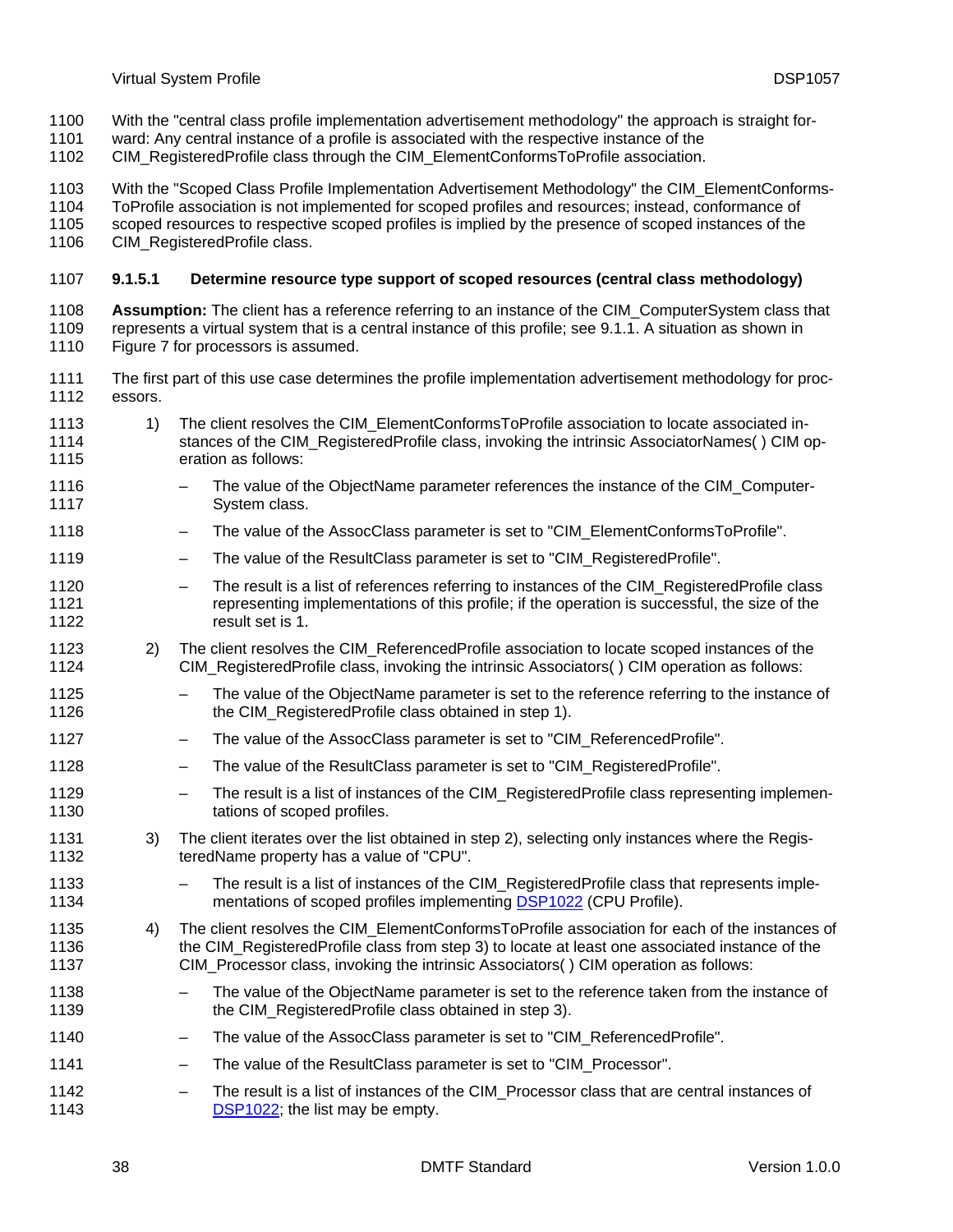- 1100 With the "central class profile implementation advertisement methodology" the approach is straight for-
- 1101 ward: Any central instance of a profile is associated with the respective instance of the
- 1102 CIM\_RegisteredProfile class through the CIM\_ElementConformsToProfile association.

1103 With the "Scoped Class Profile Implementation Advertisement Methodology" the CIM\_ElementConforms-

1104 ToProfile association is not implemented for scoped profiles and resources; instead, conformance of

1105 1106 scoped resources to respective scoped profiles is implied by the presence of scoped instances of the CIM\_RegisteredProfile class.

### 1107 **9.1.5.1 Determine resource type support of scoped resources (central class methodology)**

1108 1109 1110 **Assumption:** The client has a reference referring to an instance of the CIM\_ComputerSystem class that represents a virtual system that is a central instance of this profile; see [9.1.1](#page-32-1). A situation as shown in [Figure 7](#page-36-2) for processors is assumed.

- 1111 1112 The first part of this use case determines the profile implementation advertisement methodology for processors.
- <span id="page-37-0"></span>1113 1114 1115 1) The client resolves the CIM\_ElementConformsToProfile association to locate associated instances of the CIM\_RegisteredProfile class, invoking the intrinsic AssociatorNames() CIM operation as follows:
- 1116 1117 – The value of the ObjectName parameter references the instance of the CIM\_Computer-System class.
- 1118 – The value of the AssocClass parameter is set to "CIM\_ElementConformsToProfile".
- 1119 – The value of the ResultClass parameter is set to "CIM\_RegisteredProfile".
- 1120 1121 1122 – The result is a list of references referring to instances of the CIM\_RegisteredProfile class representing implementations of this profile; if the operation is successful, the size of the result set is 1.
- <span id="page-37-1"></span>1123 1124 2) The client resolves the CIM\_ReferencedProfile association to locate scoped instances of the CIM\_RegisteredProfile class, invoking the intrinsic Associators( ) CIM operation as follows:
- 1125 1126 – The value of the ObjectName parameter is set to the reference referring to the instance of the CIM\_RegisteredProfile class obtained in step [1\).](#page-37-0)
- 1127 – The value of the AssocClass parameter is set to "CIM\_ReferencedProfile".
- 1128 – The value of the ResultClass parameter is set to "CIM\_RegisteredProfile".
- 1129 1130 The result is a list of instances of the CIM\_RegisteredProfile class representing implementations of scoped profiles.
- <span id="page-37-2"></span>1131 1132 3) The client iterates over the list obtained in step [2\)](#page-37-1), selecting only instances where the RegisteredName property has a value of "[CPU"](#page-8-5).
- 1133 The result is a list of instances of the CIM\_RegisteredProfile class that represents imple-1134 mentations of scoped profiles implementing [DSP1022](#page-8-0) ([CPU](#page-8-5) Profile).
- <span id="page-37-3"></span>1135 1136 1137 4) The client resolves the CIM\_ElementConformsToProfile association for each of the instances of the CIM\_RegisteredProfile class from step [3\)](#page-37-2) to locate at least one associated instance of the CIM\_Processor class, invoking the intrinsic Associators( ) CIM operation as follows:
- 1138 1139 – The value of the ObjectName parameter is set to the reference taken from the instance of the CIM\_RegisteredProfile class obtained in step [3\).](#page-37-2)
- 1140 – The value of the AssocClass parameter is set to "CIM\_ReferencedProfile".
- 1141 – The value of the ResultClass parameter is set to "CIM\_Processor".
- 1142 The result is a list of instances of the CIM\_Processor class that are central instances of 1143 **DSP1022**; the list may be empty.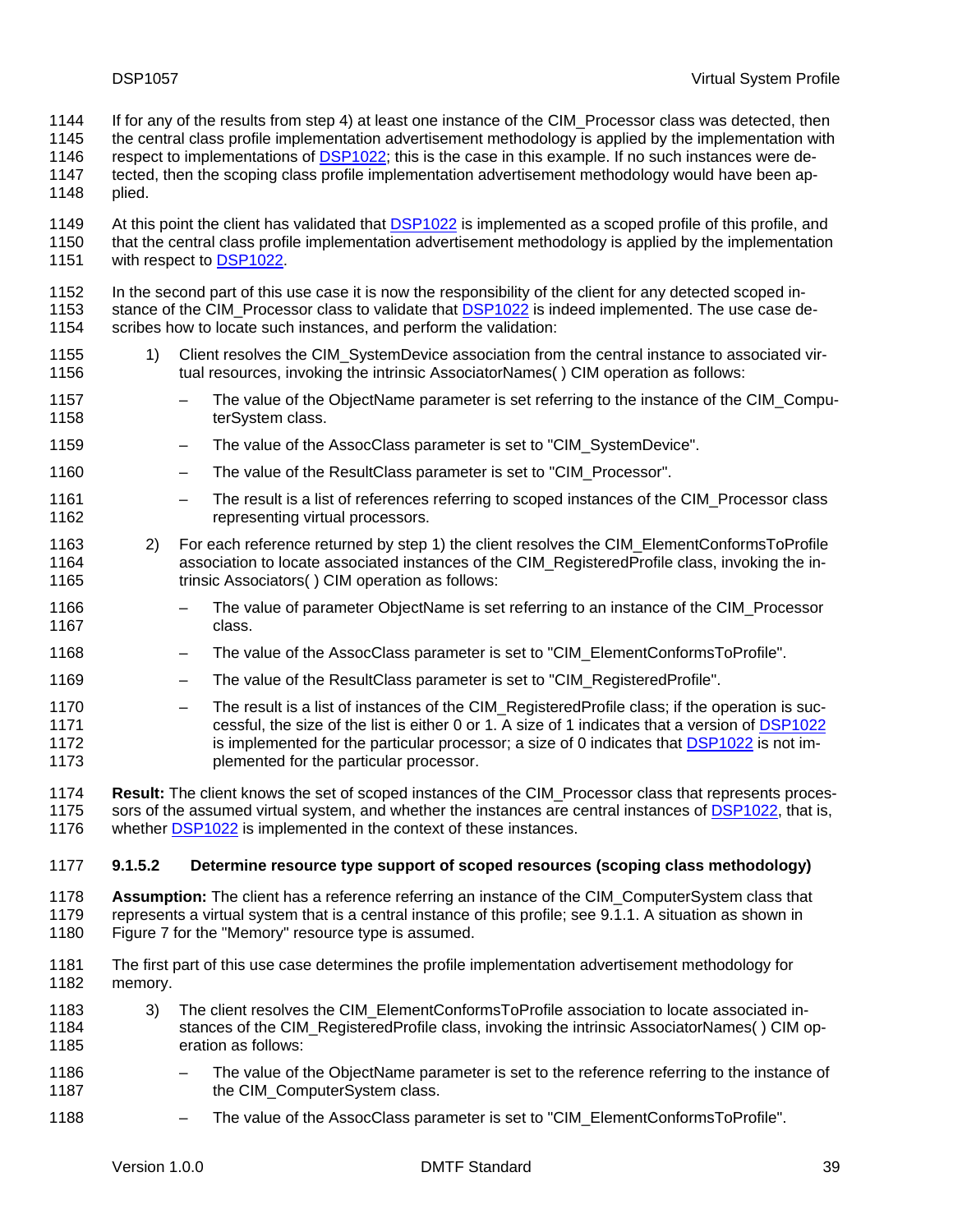- 1144 If for any of the results from step [4\)](#page-37-3) at least one instance of the CIM\_Processor class was detected, then
- 1145 the central class profile implementation advertisement methodology is applied by the implementation with respect to implementations of **DSP1022**; this is the case in this example. If no such instances were de-1146
- tected, then the scoping class profile implementation advertisement methodology would have been ap-1147
- plied. 1148
- At this point the client has validated that [DSP1022](#page-8-0) is implemented as a scoped profile of this profile, and 1149
- that the central class profile implementation advertisement methodology is applied by the implementation 1151 with respect to **[DSP1022](#page-8-0)**. 1150
- 1152 In the second part of this use case it is now the responsibility of the client for any detected scoped in-stance of the CIM\_Processor class to validate that [DSP1022](#page-8-0) is indeed implemented. The use case describes how to locate such instances, and perform the validation: 1153 1154
- <span id="page-38-0"></span>1155 1156 1) Client resolves the CIM\_SystemDevice association from the central instance to associated virtual resources, invoking the intrinsic AssociatorNames( ) CIM operation as follows:
- 1157 1158 – The value of the ObjectName parameter is set referring to the instance of the CIM\_ComputerSystem class.
- 1159 – The value of the AssocClass parameter is set to "CIM\_SystemDevice".
- 1160 – The value of the ResultClass parameter is set to "CIM\_Processor".
- 1161 1162 The result is a list of references referring to scoped instances of the CIM Processor class representing virtual processors.
- 1163 1164 1165 2) For each reference returned by step [1\)](#page-38-0) the client resolves the CIM\_ElementConformsToProfile association to locate associated instances of the CIM\_RegisteredProfile class, invoking the intrinsic Associators( ) CIM operation as follows:
- 1166 1167 – The value of parameter ObjectName is set referring to an instance of the CIM\_Processor class.
- 1168 – The value of the AssocClass parameter is set to "CIM\_ElementConformsToProfile".
- 1169 – The value of the ResultClass parameter is set to "CIM\_RegisteredProfile".
- 1170 The result is a list of instances of the CIM\_RegisteredProfile class; if the operation is successful, the size of the list is either 0 or 1. A size of 1 indicates that a version of [DSP1022](#page-8-0) is implemented for the particular processor; a size of 0 indicates that **[DSP1022](#page-8-0)** is not im-1171 plemented for the particular processor. 1172 1173
- 1174 **Result:** The client knows the set of scoped instances of the CIM\_Processor class that represents proces-sors of the assumed virtual system, and whether the instances are central instances of [DSP1022,](#page-8-0) that is, 1176 whether **[DSP1022](#page-8-0)** is implemented in the context of these instances. 1175
- 1177 **9.1.5.2 Determine resource type support of scoped resources (scoping class methodology)**
- 1178 1179 1180 **Assumption:** The client has a reference referring an instance of the CIM\_ComputerSystem class that represents a virtual system that is a central instance of this profile; see [9.1.1](#page-32-1). A situation as shown in [Figure 7](#page-36-2) for the "Memory" resource type is assumed.
- 1181 1182 The first part of this use case determines the profile implementation advertisement methodology for memory.
- 1183 1184 1185 3) The client resolves the CIM\_ElementConformsToProfile association to locate associated instances of the CIM\_RegisteredProfile class, invoking the intrinsic AssociatorNames( ) CIM operation as follows:
- 1186 1187 – The value of the ObjectName parameter is set to the reference referring to the instance of the CIM\_ComputerSystem class.
- 1188 – The value of the AssocClass parameter is set to "CIM\_ElementConformsToProfile".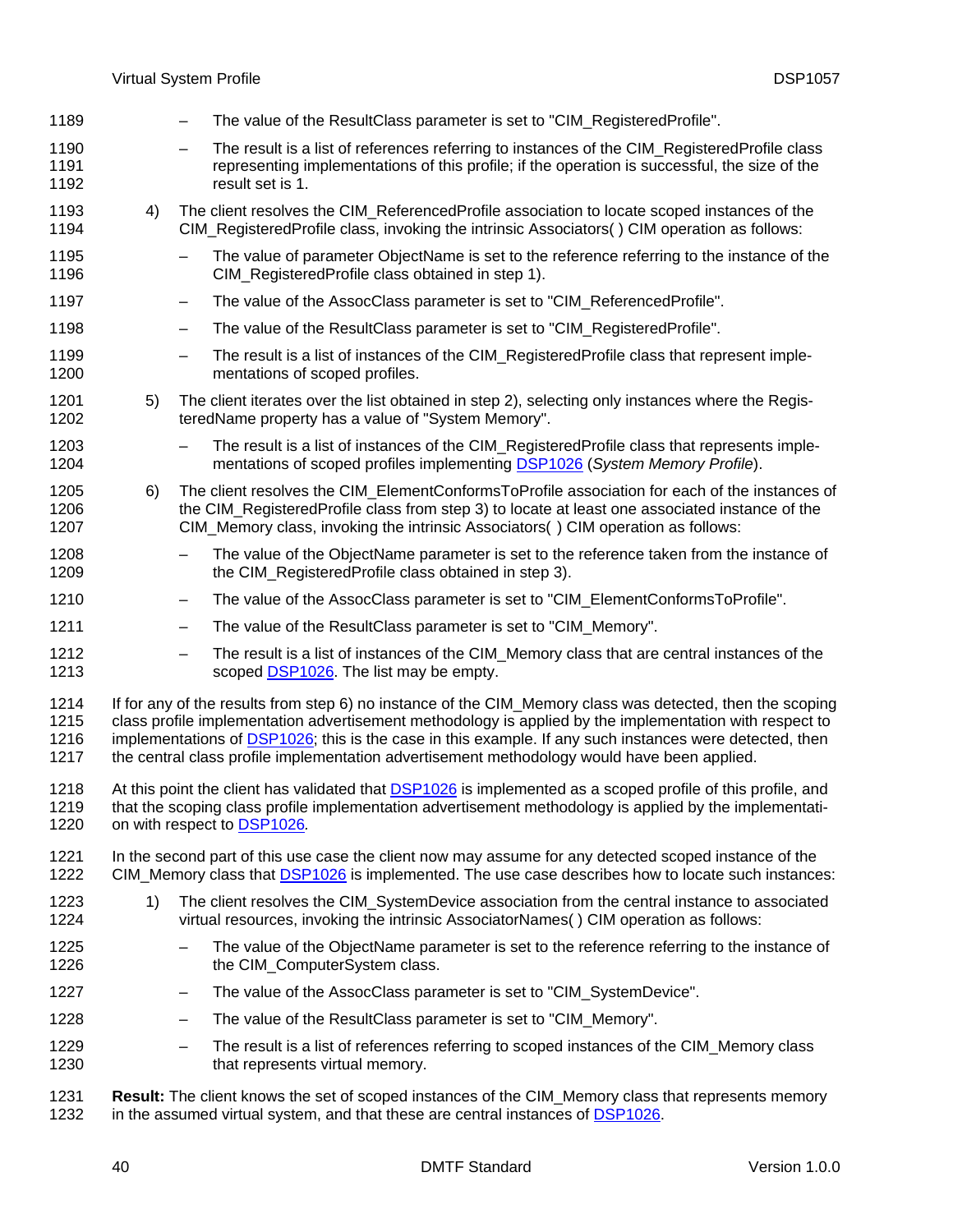<span id="page-39-0"></span>

| 1189                         |    | $\qquad \qquad -$ | The value of the ResultClass parameter is set to "CIM_RegisteredProfile".                                                                                                                                                                                                                                                                                                                                                      |
|------------------------------|----|-------------------|--------------------------------------------------------------------------------------------------------------------------------------------------------------------------------------------------------------------------------------------------------------------------------------------------------------------------------------------------------------------------------------------------------------------------------|
| 1190<br>1191<br>1192         |    |                   | The result is a list of references referring to instances of the CIM_RegisteredProfile class<br>representing implementations of this profile; if the operation is successful, the size of the<br>result set is 1.                                                                                                                                                                                                              |
| 1193<br>1194                 | 4) |                   | The client resolves the CIM_ReferencedProfile association to locate scoped instances of the<br>CIM_RegisteredProfile class, invoking the intrinsic Associators() CIM operation as follows:                                                                                                                                                                                                                                     |
| 1195<br>1196                 |    |                   | The value of parameter ObjectName is set to the reference referring to the instance of the<br>CIM_RegisteredProfile class obtained in step 1).                                                                                                                                                                                                                                                                                 |
| 1197                         |    | $\qquad \qquad -$ | The value of the AssocClass parameter is set to "CIM_ReferencedProfile".                                                                                                                                                                                                                                                                                                                                                       |
| 1198                         |    | —                 | The value of the ResultClass parameter is set to "CIM_RegisteredProfile".                                                                                                                                                                                                                                                                                                                                                      |
| 1199<br>1200                 |    | $\qquad \qquad -$ | The result is a list of instances of the CIM_RegisteredProfile class that represent imple-<br>mentations of scoped profiles.                                                                                                                                                                                                                                                                                                   |
| 1201<br>1202                 | 5) |                   | The client iterates over the list obtained in step 2), selecting only instances where the Regis-<br>teredName property has a value of "System Memory".                                                                                                                                                                                                                                                                         |
| 1203<br>1204                 |    |                   | The result is a list of instances of the CIM_RegisteredProfile class that represents imple-<br>mentations of scoped profiles implementing <b>DSP1026</b> (System Memory Profile).                                                                                                                                                                                                                                              |
| 1205<br>1206<br>1207         | 6) |                   | The client resolves the CIM_ElementConformsToProfile association for each of the instances of<br>the CIM_RegisteredProfile class from step 3) to locate at least one associated instance of the<br>CIM_Memory class, invoking the intrinsic Associators() CIM operation as follows:                                                                                                                                            |
| 1208<br>1209                 |    |                   | The value of the ObjectName parameter is set to the reference taken from the instance of<br>the CIM_RegisteredProfile class obtained in step 3).                                                                                                                                                                                                                                                                               |
| 1210                         |    | $\qquad \qquad -$ | The value of the AssocClass parameter is set to "CIM_ElementConformsToProfile".                                                                                                                                                                                                                                                                                                                                                |
| 1211                         |    | -                 | The value of the ResultClass parameter is set to "CIM_Memory".                                                                                                                                                                                                                                                                                                                                                                 |
| 1212<br>1213                 |    | $\qquad \qquad -$ | The result is a list of instances of the CIM_Memory class that are central instances of the<br>scoped <b>DSP1026</b> . The list may be empty.                                                                                                                                                                                                                                                                                  |
| 1214<br>1215<br>1216<br>1217 |    |                   | If for any of the results from step 6) no instance of the CIM_Memory class was detected, then the scoping<br>class profile implementation advertisement methodology is applied by the implementation with respect to<br>implementations of DSP1026; this is the case in this example. If any such instances were detected, then<br>the central class profile implementation advertisement methodology would have been applied. |
| 1218<br>1219<br>1220         |    |                   | At this point the client has validated that DSP1026 is implemented as a scoped profile of this profile, and<br>that the scoping class profile implementation advertisement methodology is applied by the implementati-<br>on with respect to DSP1026.                                                                                                                                                                          |
| 1221<br>1222                 |    |                   | In the second part of this use case the client now may assume for any detected scoped instance of the<br>CIM_Memory class that DSP1026 is implemented. The use case describes how to locate such instances:                                                                                                                                                                                                                    |
| 1223<br>1224                 | 1) |                   | The client resolves the CIM_SystemDevice association from the central instance to associated<br>virtual resources, invoking the intrinsic AssociatorNames() CIM operation as follows:                                                                                                                                                                                                                                          |
| 1225<br>1226                 |    |                   | The value of the ObjectName parameter is set to the reference referring to the instance of<br>the CIM_ComputerSystem class.                                                                                                                                                                                                                                                                                                    |
| 1227                         |    |                   | The value of the AssocClass parameter is set to "CIM_SystemDevice".                                                                                                                                                                                                                                                                                                                                                            |
| 1228                         |    | $\qquad \qquad -$ | The value of the ResultClass parameter is set to "CIM_Memory".                                                                                                                                                                                                                                                                                                                                                                 |
| 1229<br>1230                 |    |                   | The result is a list of references referring to scoped instances of the CIM_Memory class<br>that represents virtual memory.                                                                                                                                                                                                                                                                                                    |
| 1231<br>1232                 |    |                   | Result: The client knows the set of scoped instances of the CIM_Memory class that represents memory<br>in the assumed virtual system, and that these are central instances of DSP1026.                                                                                                                                                                                                                                         |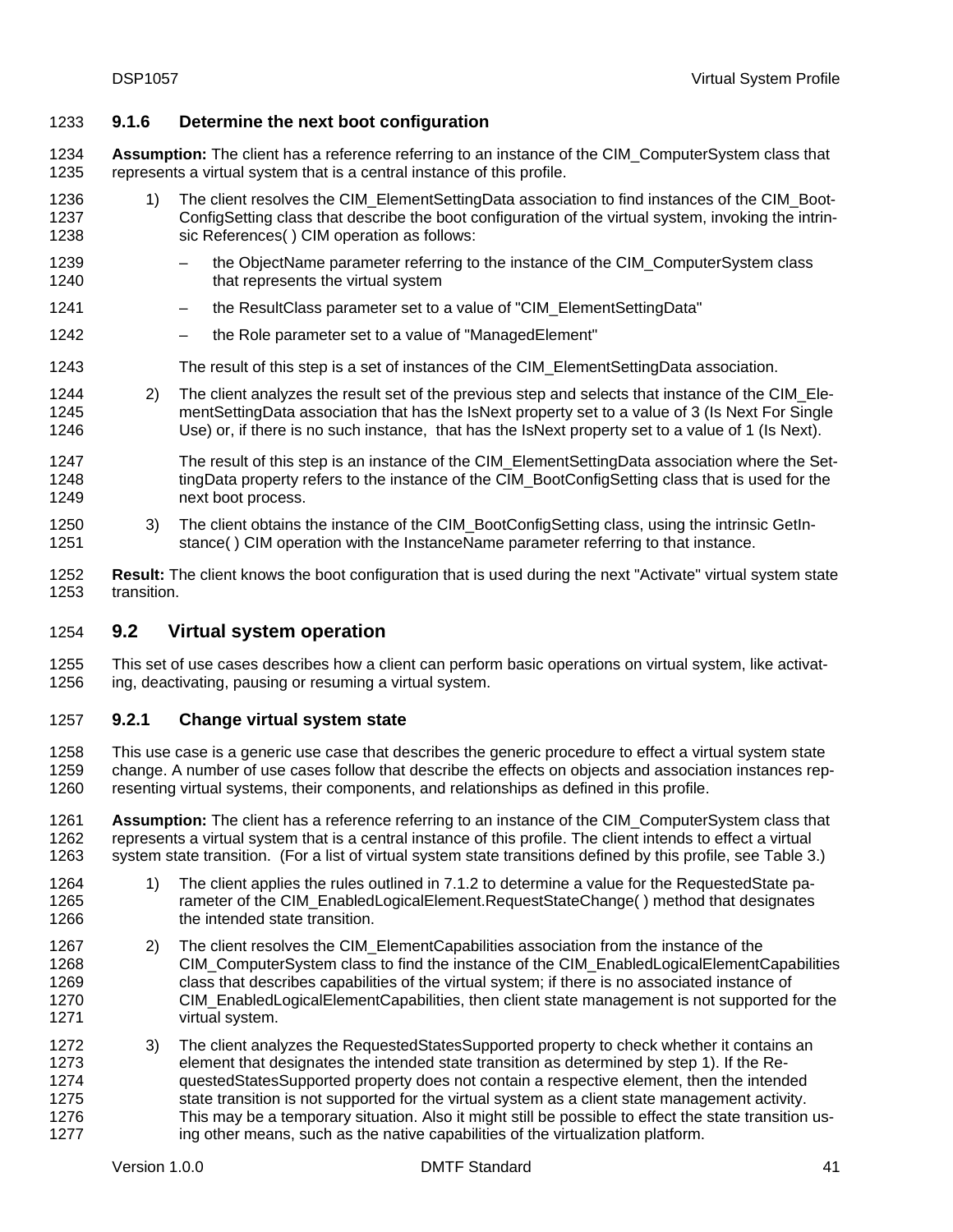#### <span id="page-40-0"></span>1233 **9.1.6 Determine the next boot configuration**

- 1234 1235 **Assumption:** The client has a reference referring to an instance of the CIM\_ComputerSystem class that represents a virtual system that is a central instance of this profile.
- 1236 1237 1238 1) The client resolves the CIM\_ElementSettingData association to find instances of the CIM\_Boot-ConfigSetting class that describe the boot configuration of the virtual system, invoking the intrinsic References( ) CIM operation as follows:
- 1239 1240 – the ObjectName parameter referring to the instance of the CIM\_ComputerSystem class that represents the virtual system
- 1241 – the ResultClass parameter set to a value of "CIM\_ElementSettingData"
- 1242 – the Role parameter set to a value of "ManagedElement"
- 1243 The result of this step is a set of instances of the CIM\_ElementSettingData association.
- 1244 1245 1246 2) The client analyzes the result set of the previous step and selects that instance of the CIM\_ElementSettingData association that has the IsNext property set to a value of 3 (Is Next For Single Use) or, if there is no such instance, that has the IsNext property set to a value of 1 (Is Next).
- 1247 1248 1249 The result of this step is an instance of the CIM\_ElementSettingData association where the SettingData property refers to the instance of the CIM\_BootConfigSetting class that is used for the next boot process.
- 1250 1251 3) The client obtains the instance of the CIM\_BootConfigSetting class, using the intrinsic GetInstance( ) CIM operation with the InstanceName parameter referring to that instance.
- 1252 1253 **Result:** The client knows the boot configuration that is used during the next "Activate" virtual system state transition.

#### 1254 **9.2 Virtual system operation**

1255 1256 This set of use cases describes how a client can perform basic operations on virtual system, like activating, deactivating, pausing or resuming a virtual system.

#### <span id="page-40-2"></span>1257 **9.2.1 Change virtual system state**

- 1258 1259 1260 This use case is a generic use case that describes the generic procedure to effect a virtual system state change. A number of use cases follow that describe the effects on objects and association instances representing virtual systems, their components, and relationships as defined in this profile.
- 1261 1262 1263 **Assumption:** The client has a reference referring to an instance of the CIM\_ComputerSystem class that represents a virtual system that is a central instance of this profile. The client intends to effect a virtual system state transition. (For a list of virtual system state transitions defined by this profile, see [Table 3](#page-22-1).)
- <span id="page-40-1"></span>1264 1265 1266 1) The client applies the rules outlined in [7.1.2](#page-21-1) to determine a value for the RequestedState parameter of the CIM\_EnabledLogicalElement.RequestStateChange( ) method that designates the intended state transition.
- 1267 1268 1269 1270 1271 2) The client resolves the CIM\_ElementCapabilities association from the instance of the CIM\_ComputerSystem class to find the instance of the CIM\_EnabledLogicalElementCapabilities class that describes capabilities of the virtual system; if there is no associated instance of CIM\_EnabledLogicalElementCapabilities, then client state management is not supported for the virtual system.
- 1272 1273 1274 1275 1276 1277 3) The client analyzes the RequestedStatesSupported property to check whether it contains an element that designates the intended state transition as determined by step [1\).](#page-40-1) If the RequestedStatesSupported property does not contain a respective element, then the intended state transition is not supported for the virtual system as a client state management activity. This may be a temporary situation. Also it might still be possible to effect the state transition using other means, such as the native capabilities of the virtualization platform.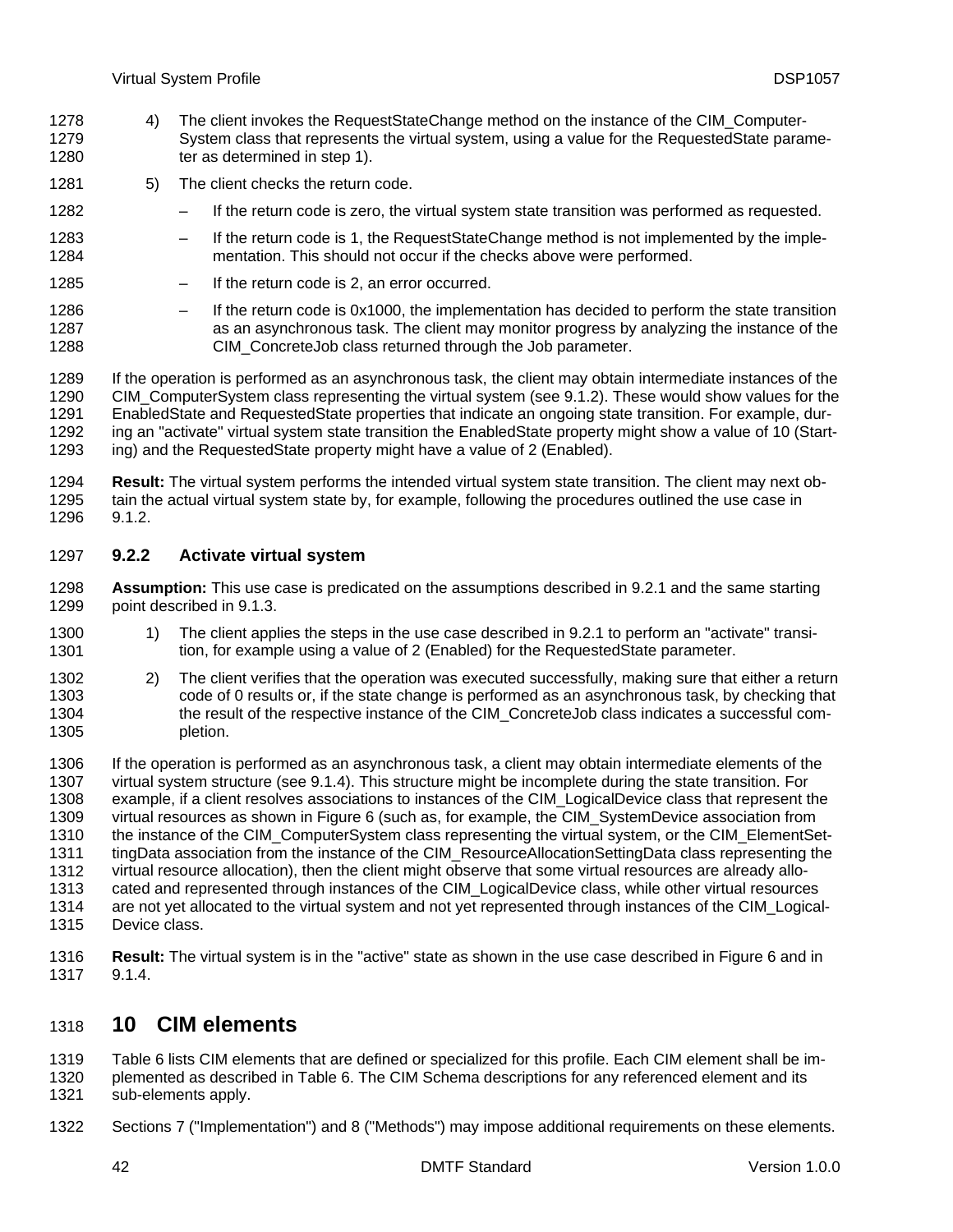- <span id="page-41-0"></span>1278 1279 1280 4) The client invokes the RequestStateChange method on the instance of the CIM\_Computer-System class that represents the virtual system, using a value for the RequestedState parameter as determined in step [1\).](#page-40-1)
- 1281 5) The client checks the return code.
- 1282 If the return code is zero, the virtual system state transition was performed as requested.
- 1283 1284 If the return code is 1, the RequestStateChange method is not implemented by the implementation. This should not occur if the checks above were performed.
- 1285 If the return code is 2, an error occurred.
- 1286 1287 1288 If the return code is 0x1000, the implementation has decided to perform the state transition as an asynchronous task. The client may monitor progress by analyzing the instance of the CIM\_ConcreteJob class returned through the Job parameter.
- 1289 1290 1291 1292 1293 If the operation is performed as an asynchronous task, the client may obtain intermediate instances of the CIM\_ComputerSystem class representing the virtual system (see [9.1.2\)](#page-33-2). These would show values for the EnabledState and RequestedState properties that indicate an ongoing state transition. For example, during an "activate" virtual system state transition the EnabledState property might show a value of 10 (Starting) and the RequestedState property might have a value of 2 (Enabled).
- 1294 1295 1296 **Result:** The virtual system performs the intended virtual system state transition. The client may next obtain the actual virtual system state by, for example, following the procedures outlined the use case in [9.1.2](#page-33-2).

#### 1297 **9.2.2 Activate virtual system**

- 1298 1299 **Assumption:** This use case is predicated on the assumptions described in [9.2.1](#page-40-2) and the same starting point described in [9.1.3](#page-34-2).
- 1300 1301 1) The client applies the steps in the use case described in [9.2.1](#page-40-2) to perform an "activate" transition, for example using a value of 2 (Enabled) for the RequestedState parameter.
- 1302 1303 1304 1305 2) The client verifies that the operation was executed successfully, making sure that either a return code of 0 results or, if the state change is performed as an asynchronous task, by checking that the result of the respective instance of the CIM\_ConcreteJob class indicates a successful completion.
- 1306 1307 1308 1309 1310 1311 1312 1313 1314 1315 If the operation is performed as an asynchronous task, a client may obtain intermediate elements of the virtual system structure (see [9.1.4](#page-35-2)). This structure might be incomplete during the state transition. For example, if a client resolves associations to instances of the CIM\_LogicalDevice class that represent the virtual resources as shown in [Figure 6](#page-35-1) (such as, for example, the CIM\_SystemDevice association from the instance of the CIM\_ComputerSystem class representing the virtual system, or the CIM\_ElementSettingData association from the instance of the CIM\_ResourceAllocationSettingData class representing the virtual resource allocation), then the client might observe that some virtual resources are already allocated and represented through instances of the CIM\_LogicalDevice class, while other virtual resources are not yet allocated to the virtual system and not yet represented through instances of the CIM\_Logical-Device class.
- 1316 1317 **Result:** The virtual system is in the "active" state as shown in the use case described in [Figure 6](#page-35-1) and in [9.1.4](#page-35-2).

### <span id="page-41-1"></span>1318 **10 CIM elements**

1319 1320 1321 [Table 6](#page-42-1) lists CIM elements that are defined or specialized for this profile. Each CIM element shall be implemented as described in [Table 6.](#page-42-1) The CIM Schema descriptions for any referenced element and its sub-elements apply.

1322 Sections [7](#page-20-1) (["Implementation"](#page-20-1)) and [8](#page-29-1) (["Methods](#page-29-1)") may impose additional requirements on these elements.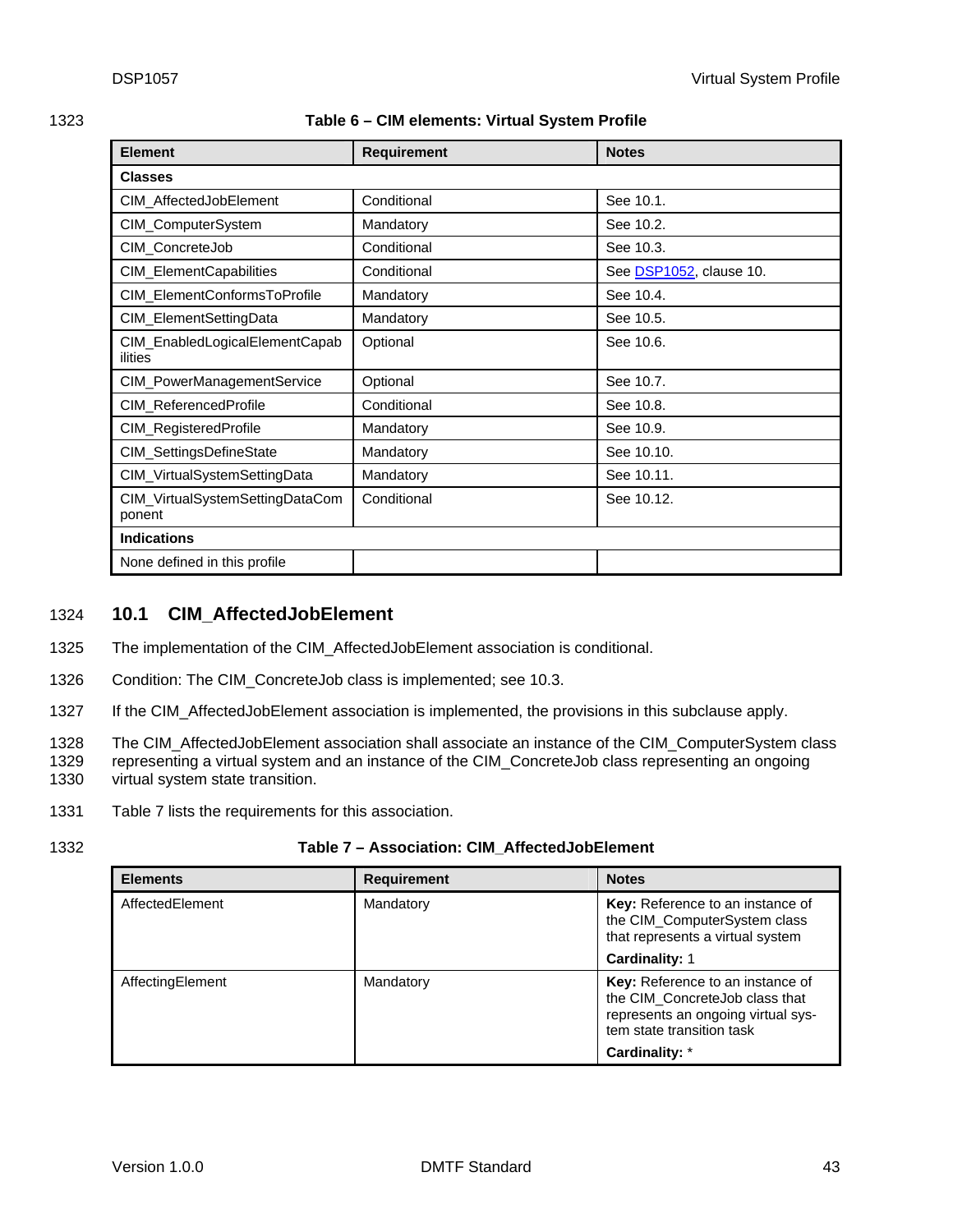<span id="page-42-1"></span><span id="page-42-0"></span>

| <b>Element</b>                            | <b>Requirement</b> | <b>Notes</b>            |  |
|-------------------------------------------|--------------------|-------------------------|--|
| <b>Classes</b>                            |                    |                         |  |
| CIM AffectedJobElement                    | Conditional        | See 10.1.               |  |
| CIM_ComputerSystem                        | Mandatory          | See 10.2.               |  |
| CIM_ConcreteJob                           | Conditional        | See 10.3.               |  |
| CIM_ElementCapabilities                   | Conditional        | See DSP1052, clause 10. |  |
| CIM_ElementConformsToProfile              | Mandatory          | See 10.4.               |  |
| CIM_ElementSettingData                    | Mandatory          | See 10.5.               |  |
| CIM_EnabledLogicalElementCapab<br>ilities | Optional           | See 10.6.               |  |
| CIM_PowerManagementService                | Optional           | See 10.7.               |  |
| CIM_ReferencedProfile                     | Conditional        | See 10.8.               |  |
| CIM_RegisteredProfile                     | Mandatory          | See 10.9.               |  |
| CIM_SettingsDefineState                   | Mandatory          | See 10.10.              |  |
| CIM_VirtualSystemSettingData              | Mandatory          | See 10.11.              |  |
| CIM_VirtualSystemSettingDataCom<br>ponent | Conditional        | See 10.12.              |  |
| <b>Indications</b>                        |                    |                         |  |
| None defined in this profile              |                    |                         |  |

### <span id="page-42-2"></span>1324 **10.1 CIM\_AffectedJobElement**

- 1325 The implementation of the CIM\_AffectedJobElement association is conditional.
- 1326 Condition: The CIM\_ConcreteJob class is implemented; see [10.3.](#page-43-2)
- 1327 If the CIM\_AffectedJobElement association is implemented, the provisions in this subclause apply.
- 1328 1329 1330 The CIM\_AffectedJobElement association shall associate an instance of the CIM\_ComputerSystem class representing a virtual system and an instance of the CIM\_ConcreteJob class representing an ongoing virtual system state transition.
- 1331 [Table 7](#page-42-3) lists the requirements for this association.

<span id="page-42-3"></span>

| ×<br>×<br>۰.<br>v |  |
|-------------------|--|
|-------------------|--|

|  |  | Table 7 – Association: CIM_AffectedJobElement |
|--|--|-----------------------------------------------|
|  |  |                                               |

| <b>Elements</b>  | <b>Requirement</b> | <b>Notes</b>                                                                                                                          |
|------------------|--------------------|---------------------------------------------------------------------------------------------------------------------------------------|
| AffectedElement  | Mandatory          | Key: Reference to an instance of<br>the CIM_ComputerSystem class<br>that represents a virtual system                                  |
|                  |                    | <b>Cardinality: 1</b>                                                                                                                 |
| AffectingElement | Mandatory          | Key: Reference to an instance of<br>the CIM ConcreteJob class that<br>represents an ongoing virtual sys-<br>tem state transition task |
|                  |                    | Cardinality: *                                                                                                                        |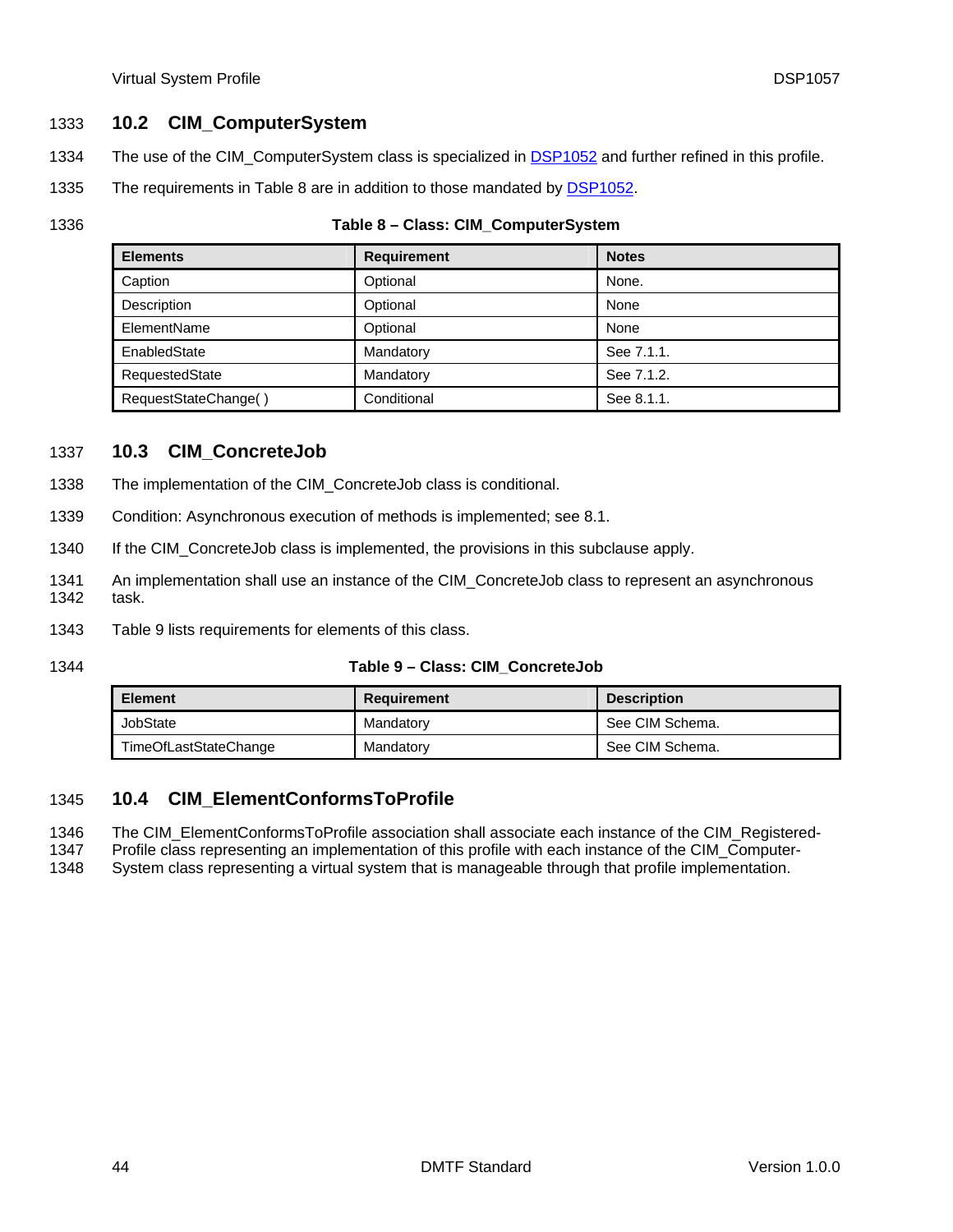### <span id="page-43-1"></span><span id="page-43-0"></span>1333 **10.2 CIM\_ComputerSystem**

- 1334 The use of the CIM\_ComputerSystem class is specialized in [DSP1052](#page-9-0) and further refined in this profile.
- 1335 The requirements in [Table 8](#page-43-4) are in addition to those mandated by [DSP1052](#page-9-0).
- 

### <span id="page-43-4"></span>1336 **Table 8 – Class: CIM\_ComputerSystem**

| <b>Elements</b>      | <b>Requirement</b> | <b>Notes</b> |
|----------------------|--------------------|--------------|
| Caption              | Optional           | None.        |
| Description          | Optional           | None         |
| ElementName          | Optional           | None         |
| EnabledState         | Mandatory          | See 7.1.1.   |
| RequestedState       | Mandatory          | See 7.1.2.   |
| RequestStateChange() | Conditional        | See 8.1.1.   |

### <span id="page-43-2"></span>1337 **10.3 CIM\_ConcreteJob**

- 1338 The implementation of the CIM\_ConcreteJob class is conditional.
- 1339 Condition: Asynchronous execution of methods is implemented; see [8.1](#page-30-4).
- 1340 If the CIM\_ConcreteJob class is implemented, the provisions in this subclause apply.
- 1341 1342 An implementation shall use an instance of the CIM\_ConcreteJob class to represent an asynchronous task.
- 1343 [Table 9](#page-43-5) lists requirements for elements of this class.
- <span id="page-43-5"></span>1344

### **Table 9 – Class: CIM\_ConcreteJob**

| <b>Element</b>        | Requirement | <b>Description</b> |
|-----------------------|-------------|--------------------|
| JobState              | Mandatory   | See CIM Schema.    |
| TimeOfLastStateChange | Mandatory   | See CIM Schema.    |

### <span id="page-43-3"></span>1345 **10.4 CIM\_ElementConformsToProfile**

- 1346 The CIM\_ElementConformsToProfile association shall associate each instance of the CIM\_Registered-
- 1347 Profile class representing an implementation of this profile with each instance of the CIM\_Computer-
- 1348 System class representing a virtual system that is manageable through that profile implementation.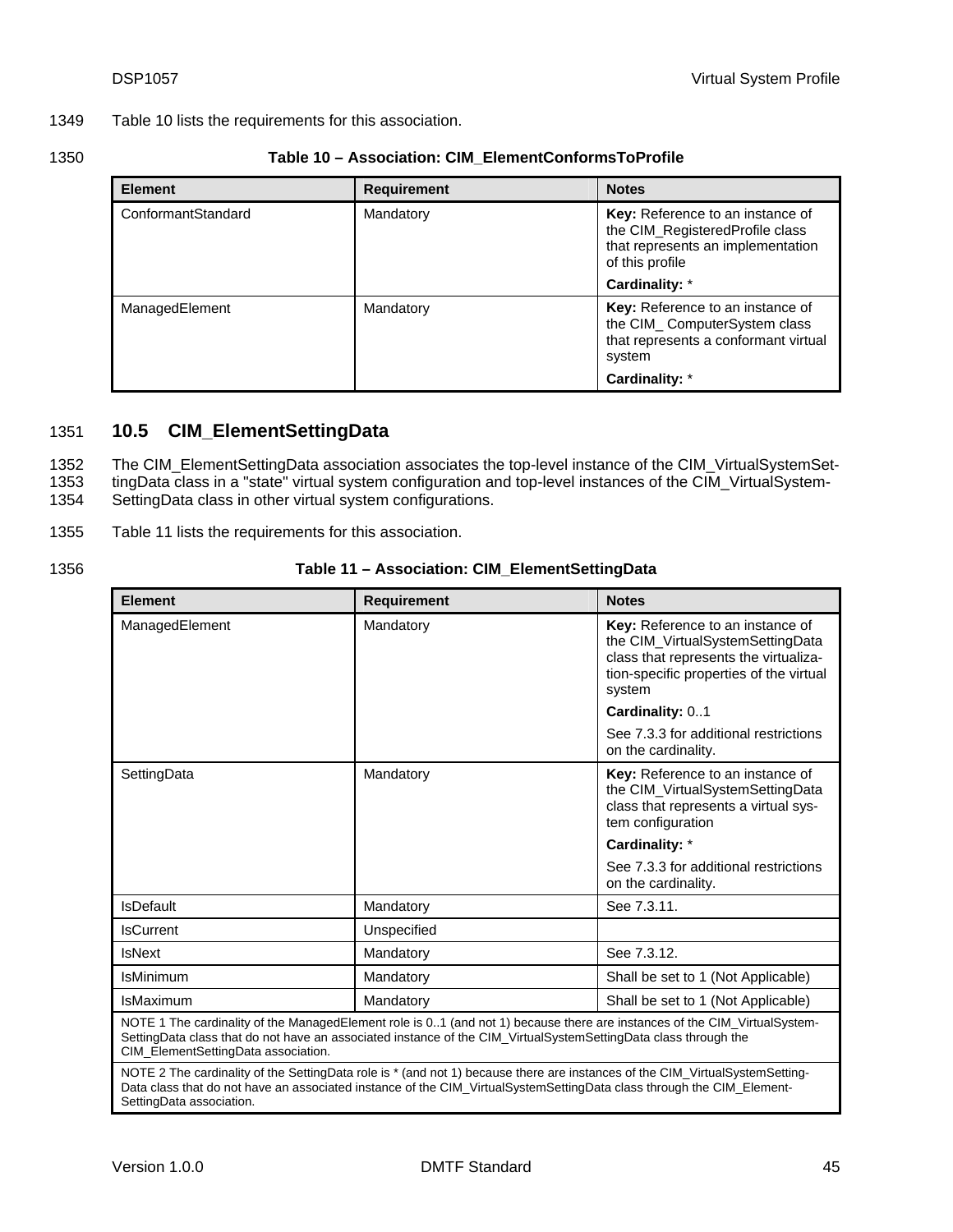#### <span id="page-44-2"></span><span id="page-44-0"></span>1349 [Table 10](#page-44-2) lists the requirements for this association.

**Table 10 – Association: CIM\_ElementConformsToProfile** 

| <b>Element</b>     | <b>Requirement</b> | <b>Notes</b>                                                                                                                |
|--------------------|--------------------|-----------------------------------------------------------------------------------------------------------------------------|
| ConformantStandard | Mandatory          | Key: Reference to an instance of<br>the CIM_RegisteredProfile class<br>that represents an implementation<br>of this profile |
|                    |                    | Cardinality: *                                                                                                              |
| ManagedElement     | Mandatory          | Key: Reference to an instance of<br>the CIM_ComputerSystem class<br>that represents a conformant virtual<br>system          |
|                    |                    | Cardinality: *                                                                                                              |

### <span id="page-44-1"></span>1351 **10.5 CIM\_ElementSettingData**

1352 1353 1354 The CIM\_ElementSettingData association associates the top-level instance of the CIM\_VirtualSystemSettingData class in a "state" virtual system configuration and top-level instances of the CIM\_VirtualSystem-SettingData class in other virtual system configurations.

1355 [Table 11](#page-44-3) lists the requirements for this association.

<span id="page-44-3"></span>1356

### **Table 11 – Association: CIM\_ElementSettingData**

| <b>Element</b>                                                                                                                                                                                                                                                                      | <b>Requirement</b> | <b>Notes</b>                                                                                                                                                       |
|-------------------------------------------------------------------------------------------------------------------------------------------------------------------------------------------------------------------------------------------------------------------------------------|--------------------|--------------------------------------------------------------------------------------------------------------------------------------------------------------------|
| ManagedElement                                                                                                                                                                                                                                                                      | Mandatory          | Key: Reference to an instance of<br>the CIM_VirtualSystemSettingData<br>class that represents the virtualiza-<br>tion-specific properties of the virtual<br>system |
|                                                                                                                                                                                                                                                                                     |                    | Cardinality: 01                                                                                                                                                    |
|                                                                                                                                                                                                                                                                                     |                    | See 7.3.3 for additional restrictions<br>on the cardinality.                                                                                                       |
| SettingData                                                                                                                                                                                                                                                                         | Mandatory          | Key: Reference to an instance of<br>the CIM_VirtualSystemSettingData<br>class that represents a virtual sys-<br>tem configuration                                  |
|                                                                                                                                                                                                                                                                                     |                    | Cardinality: *                                                                                                                                                     |
|                                                                                                                                                                                                                                                                                     |                    | See 7.3.3 for additional restrictions<br>on the cardinality.                                                                                                       |
| <b>IsDefault</b>                                                                                                                                                                                                                                                                    | Mandatory          | See 7.3.11.                                                                                                                                                        |
| <b>IsCurrent</b>                                                                                                                                                                                                                                                                    | Unspecified        |                                                                                                                                                                    |
| <b>IsNext</b>                                                                                                                                                                                                                                                                       | Mandatory          | See 7.3.12.                                                                                                                                                        |
| <b>IsMinimum</b>                                                                                                                                                                                                                                                                    | Mandatory          | Shall be set to 1 (Not Applicable)                                                                                                                                 |
| IsMaximum                                                                                                                                                                                                                                                                           | Mandatory          | Shall be set to 1 (Not Applicable)                                                                                                                                 |
| NOTE 1 The cardinality of the ManagedElement role is 01 (and not 1) because there are instances of the CIM_VirtualSystem-<br>SettingData class that do not have an associated instance of the CIM_VirtualSystemSettingData class through the<br>CIM ElementSettingData association. |                    |                                                                                                                                                                    |
| NOTE 2 The cardinality of the SettingData role is * (and not 1) because there are instances of the CIM_VirtualSystemSetting-<br>Data class that do not have an associated instance of the CIM_VirtualSystemSettingData class through the CIM_Element-<br>SettingData association.   |                    |                                                                                                                                                                    |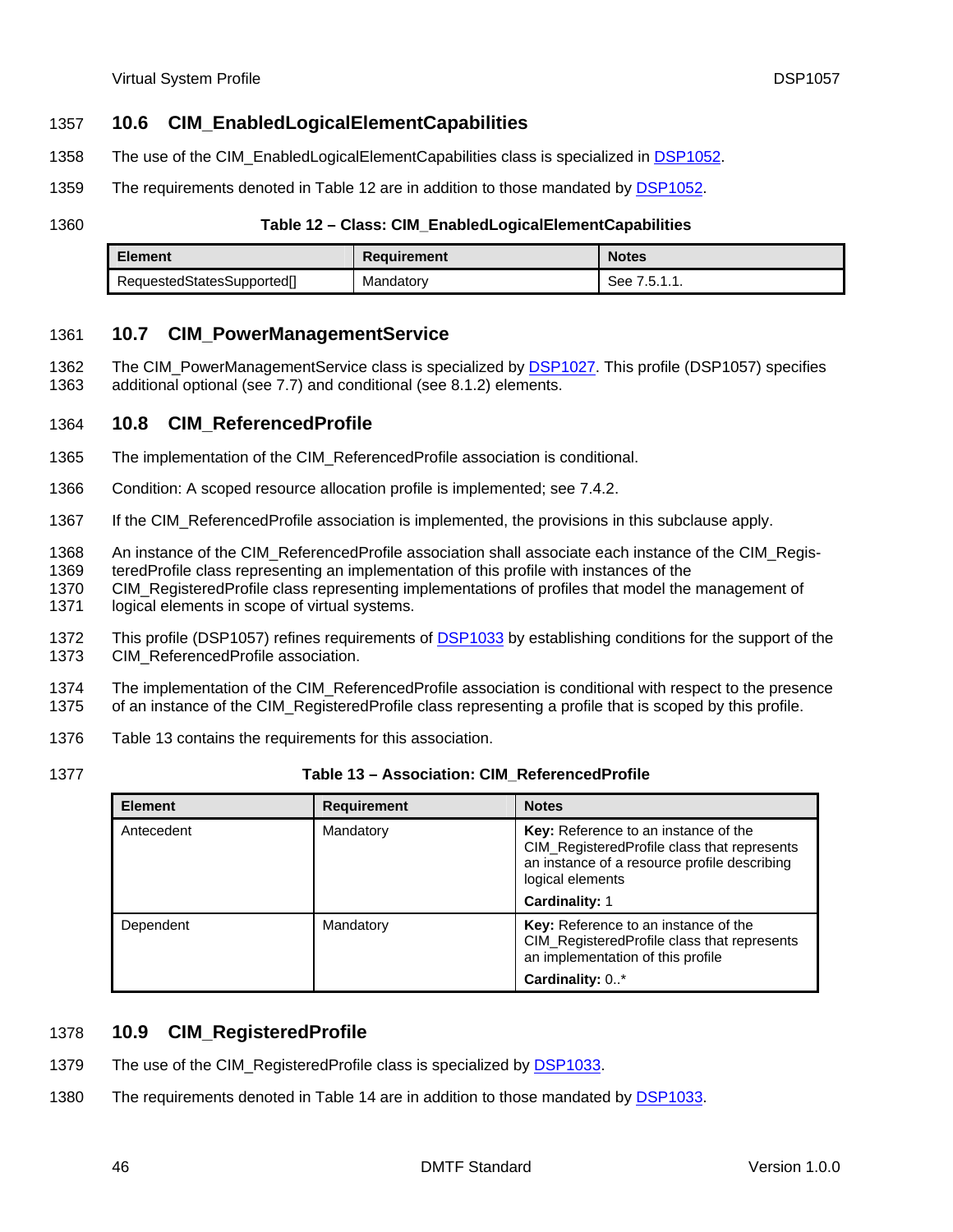### <span id="page-45-1"></span><span id="page-45-0"></span>1357 **10.6 CIM\_EnabledLogicalElementCapabilities**

- 1358 The use of the CIM\_EnabledLogicalElementCapabilities class is specialized in [DSP1052](#page-9-0).
- 1359 The requirements denoted in [Table 12](#page-45-5) are in addition to those mandated by [DSP1052.](#page-9-0)
- 

### <span id="page-45-5"></span>1360 **Table 12 – Class: CIM\_EnabledLogicalElementCapabilities**

| <b>Element</b>             | Reauirement | <b>Notes</b> |
|----------------------------|-------------|--------------|
| RequestedStatesSupported[] | Mandatory   | See 7.5.1.1. |

### <span id="page-45-2"></span>1361 **10.7 CIM\_PowerManagementService**

The CIM\_PowerManagementService class is specialized by **DSP1027**. This profile (DSP1057) specifies additional optional (see [7.7\)](#page-29-3) and conditional (see [8.1.2](#page-30-5)) elements. 1362 1363

#### <span id="page-45-3"></span>1364 **10.8 CIM\_ReferencedProfile**

- 1365 The implementation of the CIM\_ReferencedProfile association is conditional.
- 1366 Condition: A scoped resource allocation profile is implemented; see [7.4.2.](#page-28-3)
- 1367 If the CIM\_ReferencedProfile association is implemented, the provisions in this subclause apply.
- 1368 An instance of the CIM\_ReferencedProfile association shall associate each instance of the CIM\_Regis-
- 1369 teredProfile class representing an implementation of this profile with instances of the
- 1370 CIM\_RegisteredProfile class representing implementations of profiles that model the management of
- 1371 logical elements in scope of virtual systems.
- This profile (DSP1057) refines requirements of **DSP1033** by establishing conditions for the support of the CIM\_ReferencedProfile association. 1372 1373
- 1374 1375 The implementation of the CIM\_ReferencedProfile association is conditional with respect to the presence of an instance of the CIM\_RegisteredProfile class representing a profile that is scoped by this profile.
- 1376 [Table 13](#page-45-6) contains the requirements for this association.
- <span id="page-45-6"></span>1377

### **Table 13 – Association: CIM\_ReferencedProfile**

| <b>Element</b> | <b>Requirement</b> | <b>Notes</b>                                                                                                                                             |
|----------------|--------------------|----------------------------------------------------------------------------------------------------------------------------------------------------------|
| Antecedent     | Mandatory          | Key: Reference to an instance of the<br>CIM Registered Profile class that represents<br>an instance of a resource profile describing<br>logical elements |
|                |                    | <b>Cardinality: 1</b>                                                                                                                                    |
| Dependent      | Mandatory          | Key: Reference to an instance of the<br>CIM_RegisteredProfile class that represents<br>an implementation of this profile                                 |
|                |                    | Cardinality: 0*                                                                                                                                          |

### <span id="page-45-4"></span>1378 **10.9 CIM\_RegisteredProfile**

- 1379 The use of the CIM\_RegisteredProfile class is specialized by [DSP1033](#page-8-0).
- 1380 The requirements denoted in [Table 14](#page-46-3) are in addition to those mandated by [DSP1033.](#page-8-0)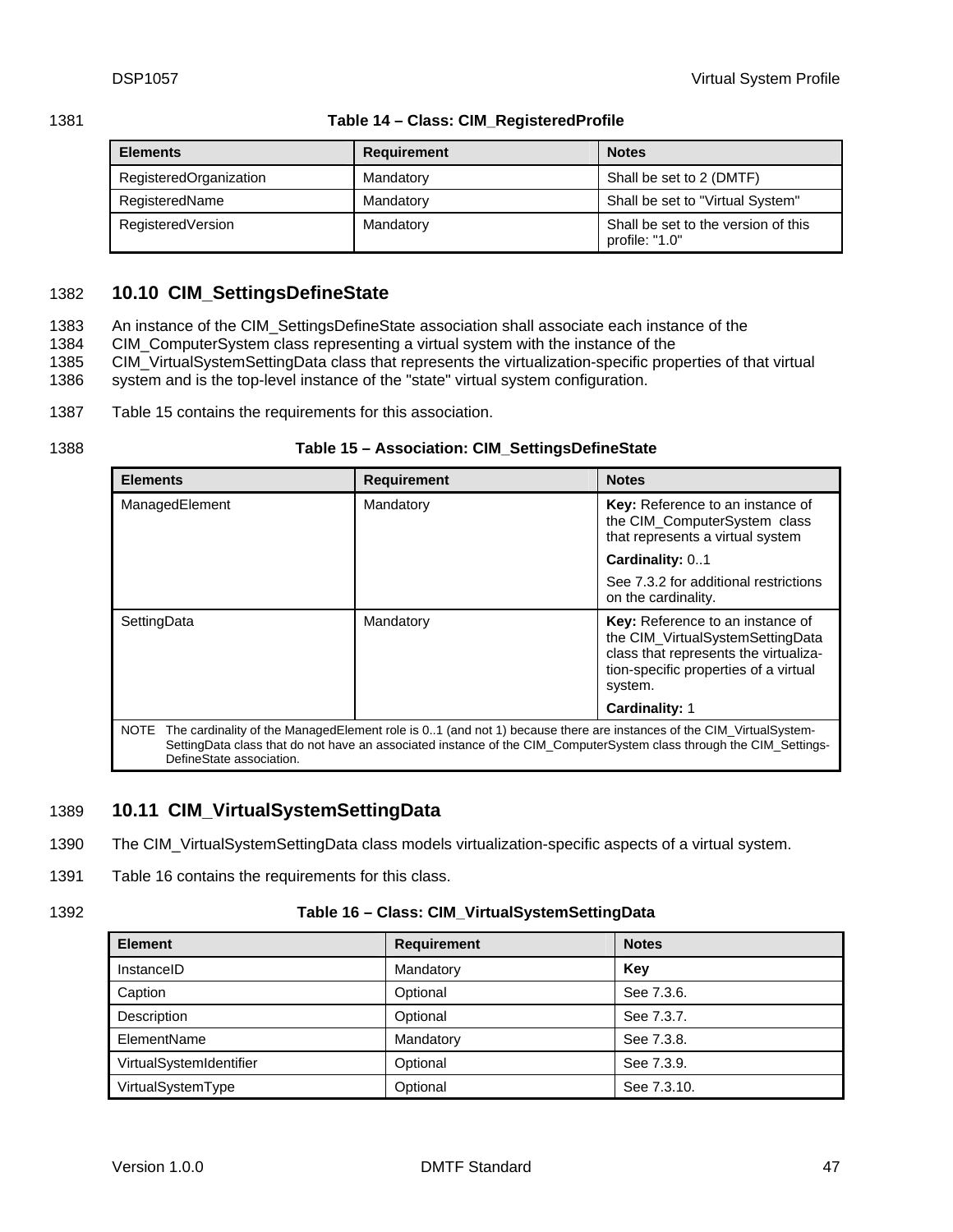### <span id="page-46-3"></span><span id="page-46-0"></span>1381 **Table 14 – Class: CIM\_RegisteredProfile**

| <b>Elements</b>        | <b>Requirement</b> | <b>Notes</b>                                          |
|------------------------|--------------------|-------------------------------------------------------|
| RegisteredOrganization | Mandatory          | Shall be set to 2 (DMTF)                              |
| RegisteredName         | Mandatory          | Shall be set to "Virtual System"                      |
| RegisteredVersion      | Mandatory          | Shall be set to the version of this<br>profile: "1.0" |

### <span id="page-46-1"></span>1382 **10.10 CIM\_SettingsDefineState**

- 1383 An instance of the CIM\_SettingsDefineState association shall associate each instance of the
- 1384 CIM\_ComputerSystem class representing a virtual system with the instance of the

1385 CIM\_VirtualSystemSettingData class that represents the virtualization-specific properties of that virtual

1386 system and is the top-level instance of the "state" virtual system configuration.

1387 [Table 15](#page-46-4) contains the requirements for this association.

### **Table 15 – Association: CIM\_SettingsDefineState**

| <b>Elements</b>                                                                                                                                                                                                                                                                      | <b>Requirement</b> | <b>Notes</b>                                                                                                                                                      |
|--------------------------------------------------------------------------------------------------------------------------------------------------------------------------------------------------------------------------------------------------------------------------------------|--------------------|-------------------------------------------------------------------------------------------------------------------------------------------------------------------|
| ManagedElement                                                                                                                                                                                                                                                                       | Mandatory          | Key: Reference to an instance of<br>the CIM_ComputerSystem class<br>that represents a virtual system                                                              |
|                                                                                                                                                                                                                                                                                      |                    | Cardinality: 01                                                                                                                                                   |
|                                                                                                                                                                                                                                                                                      |                    | See 7.3.2 for additional restrictions<br>on the cardinality.                                                                                                      |
| SettingData                                                                                                                                                                                                                                                                          | Mandatory          | Key: Reference to an instance of<br>the CIM VirtualSystemSettingData<br>class that represents the virtualiza-<br>tion-specific properties of a virtual<br>system. |
|                                                                                                                                                                                                                                                                                      |                    | <b>Cardinality: 1</b>                                                                                                                                             |
| <b>NOTE</b><br>The cardinality of the ManagedElement role is 01 (and not 1) because there are instances of the CIM_VirtualSystem-<br>SettingData class that do not have an associated instance of the CIM ComputerSystem class through the CIM Settings-<br>DefineState association. |                    |                                                                                                                                                                   |

### <span id="page-46-2"></span>1389 **10.11 CIM\_VirtualSystemSettingData**

- 1390 The CIM\_VirtualSystemSettingData class models virtualization-specific aspects of a virtual system.
- 1391 [Table 16](#page-46-5) contains the requirements for this class.

<span id="page-46-5"></span>1392

### **Table 16 – Class: CIM\_VirtualSystemSettingData**

| <b>Element</b>          | <b>Requirement</b> | <b>Notes</b> |
|-------------------------|--------------------|--------------|
| InstanceID              | Mandatory          | Key          |
| Caption                 | Optional           | See 7.3.6.   |
| Description             | Optional           | See 7.3.7.   |
| ElementName             | Mandatory          | See 7.3.8.   |
| VirtualSystemIdentifier | Optional           | See 7.3.9.   |
| VirtualSystemType       | Optional           | See 7.3.10.  |

<span id="page-46-4"></span><sup>1388</sup>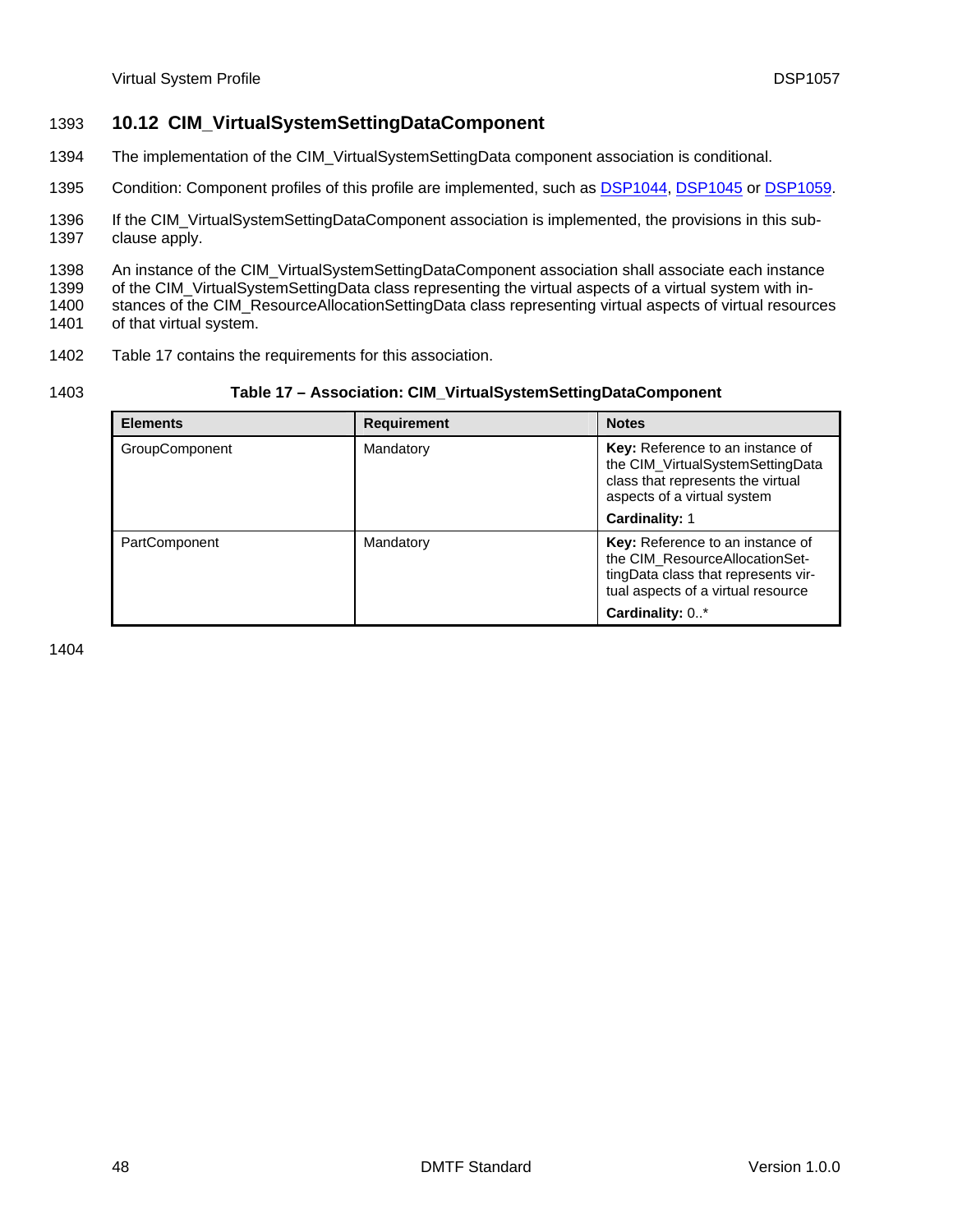#### <span id="page-47-1"></span><span id="page-47-0"></span>1393 **10.12 CIM\_VirtualSystemSettingDataComponent**

- 1394 The implementation of the CIM\_VirtualSystemSettingData component association is conditional.
- 1395 Condition: Component profiles of this profile are implemented, such as **DSP1044**, [DSP1045](#page-9-0) or [DSP1059.](#page-9-0)
- 1396 1397 If the CIM\_VirtualSystemSettingDataComponent association is implemented, the provisions in this subclause apply.

1398 An instance of the CIM\_VirtualSystemSettingDataComponent association shall associate each instance

1399 of the CIM\_VirtualSystemSettingData class representing the virtual aspects of a virtual system with instances of the CIM\_ResourceAllocationSettingData class representing virtual aspects of virtual resources

- 1400 1401 of that virtual system.
- 1402 [Table 17](#page-47-2) contains the requirements for this association.
- <span id="page-47-2"></span>1403

### **Table 17 – Association: CIM\_VirtualSystemSettingDataComponent**

| <b>Elements</b>       | <b>Requirement</b> | <b>Notes</b>                                                                                                                                           |
|-----------------------|--------------------|--------------------------------------------------------------------------------------------------------------------------------------------------------|
| <b>GroupComponent</b> | Mandatory          | Key: Reference to an instance of<br>the CIM VirtualSystemSettingData<br>class that represents the virtual<br>aspects of a virtual system               |
|                       |                    | <b>Cardinality: 1</b>                                                                                                                                  |
| PartComponent         | Mandatory          | <b>Key:</b> Reference to an instance of<br>the CIM ResourceAllocationSet-<br>tingData class that represents vir-<br>tual aspects of a virtual resource |
|                       |                    | Cardinality: 0*                                                                                                                                        |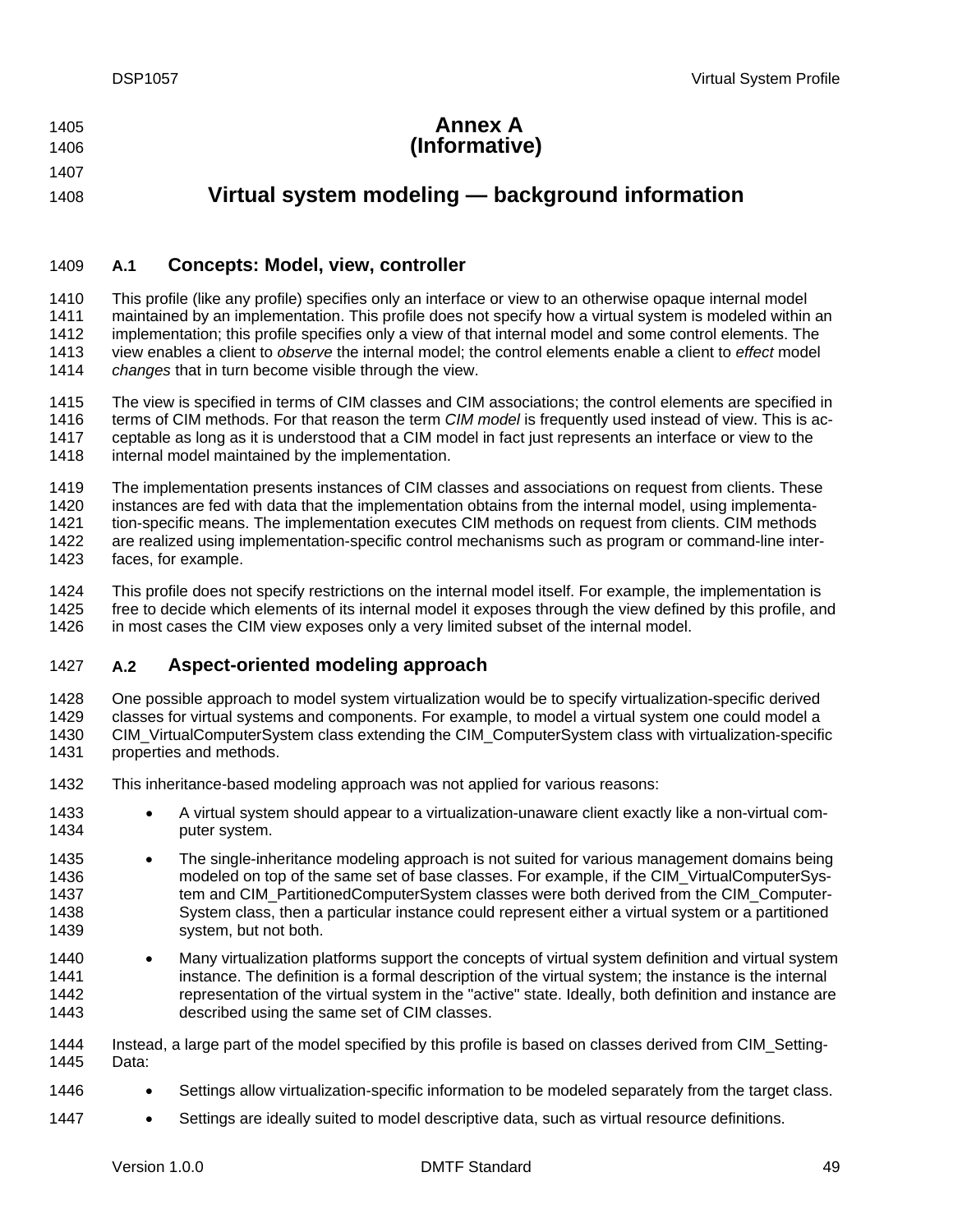<span id="page-48-1"></span><span id="page-48-0"></span>1405 1406 1407 1408 **Annex A (Informative) Virtual system modeling — background information** 

### 1409 **A.1 Concepts: Model, view, controller**

1410 1411 1412 1413 1414 This profile (like any profile) specifies only an interface or view to an otherwise opaque internal model maintained by an implementation. This profile does not specify how a virtual system is modeled within an implementation; this profile specifies only a view of that internal model and some control elements. The view enables a client to *observe* the internal model; the control elements enable a client to *effect* model *changes* that in turn become visible through the view.

1415 1416 1417 1418 The view is specified in terms of CIM classes and CIM associations; the control elements are specified in terms of CIM methods. For that reason the term *CIM model* is frequently used instead of view. This is acceptable as long as it is understood that a CIM model in fact just represents an interface or view to the internal model maintained by the implementation.

1419 The implementation presents instances of CIM classes and associations on request from clients. These

1420 instances are fed with data that the implementation obtains from the internal model, using implementa-

1421 1422 tion-specific means. The implementation executes CIM methods on request from clients. CIM methods are realized using implementation-specific control mechanisms such as program or command-line inter-

1423 faces, for example.

1424 This profile does not specify restrictions on the internal model itself. For example, the implementation is

1425 1426 free to decide which elements of its internal model it exposes through the view defined by this profile, and in most cases the CIM view exposes only a very limited subset of the internal model.

### 1427 **A.2 Aspect-oriented modeling approach**

1428 1429 1430 1431 One possible approach to model system virtualization would be to specify virtualization-specific derived classes for virtual systems and components. For example, to model a virtual system one could model a CIM\_VirtualComputerSystem class extending the CIM\_ComputerSystem class with virtualization-specific properties and methods.

- 1432 This inheritance-based modeling approach was not applied for various reasons:
- 1433 1434 • A virtual system should appear to a virtualization-unaware client exactly like a non-virtual computer system.
- 1435 1436 1437 1438 1439 • The single-inheritance modeling approach is not suited for various management domains being modeled on top of the same set of base classes. For example, if the CIM\_VirtualComputerSystem and CIM\_PartitionedComputerSystem classes were both derived from the CIM\_Computer-System class, then a particular instance could represent either a virtual system or a partitioned system, but not both.
- 1440 1441 1442 1443 • Many virtualization platforms support the concepts of virtual system definition and virtual system instance. The definition is a formal description of the virtual system; the instance is the internal representation of the virtual system in the "active" state. Ideally, both definition and instance are described using the same set of CIM classes.

1444 1445 Instead, a large part of the model specified by this profile is based on classes derived from CIM\_Setting-Data:

- 1446 • Settings allow virtualization-specific information to be modeled separately from the target class.
- 1447 • Settings are ideally suited to model descriptive data, such as virtual resource definitions.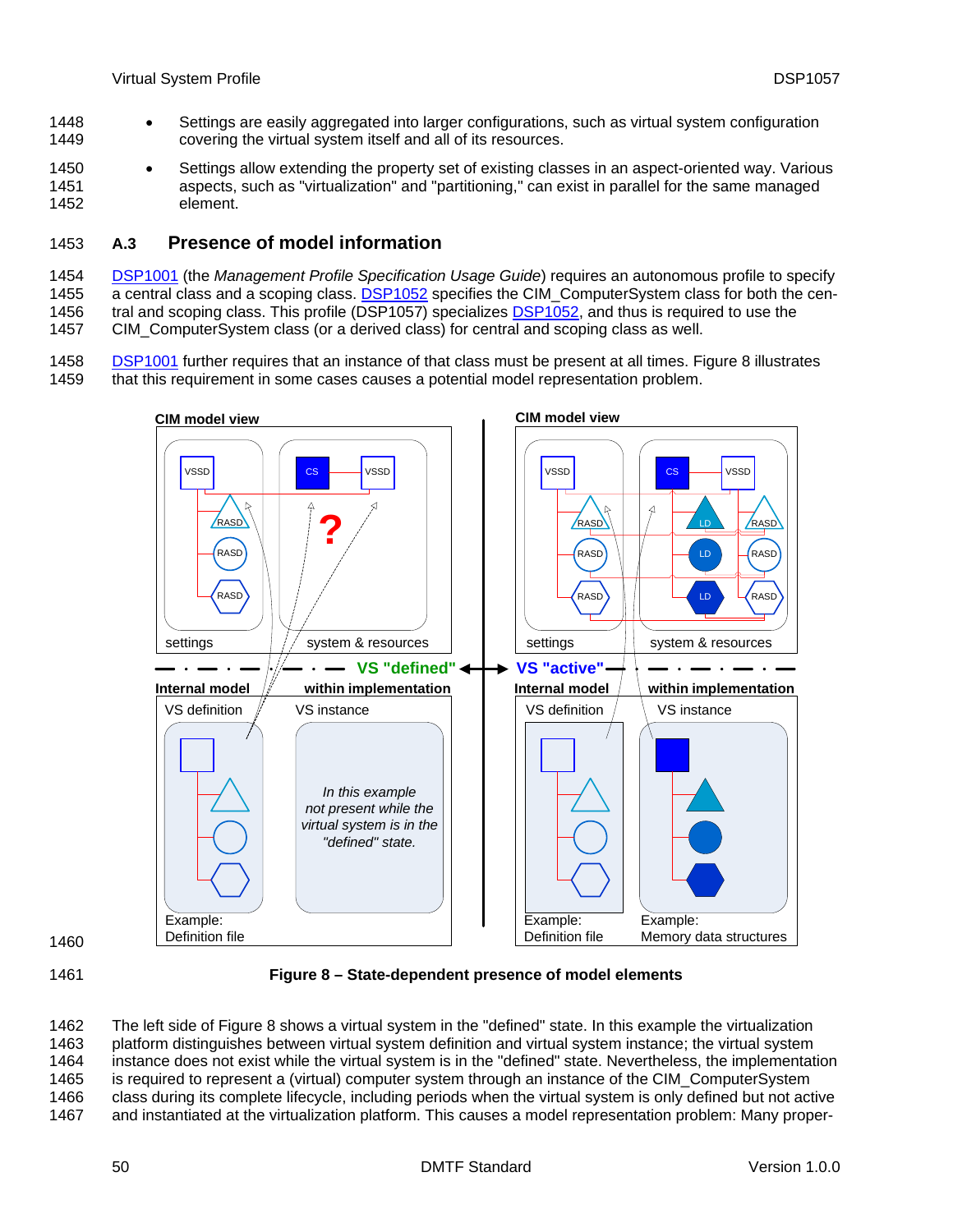- <span id="page-49-0"></span>1448 1449 • Settings are easily aggregated into larger configurations, such as virtual system configuration covering the virtual system itself and all of its resources.
- 1450 1451 1452 • Settings allow extending the property set of existing classes in an aspect-oriented way. Various aspects, such as "virtualization" and "partitioning," can exist in parallel for the same managed element.

### <span id="page-49-1"></span>1453 **A.3 Presence of model information**

[DSP1001](#page-8-0) (the *[Management Profile Specification Usage Guide](#page-8-7)*) requires an autonomous profile to specify a central class and a scoping class. **DSP1052** specifies the CIM\_ComputerSystem class for both the cen-1454 tral and scoping class. This profile (DSP1057) specializes [DSP1052](#page-9-0), and thus is required to use the 1455 1456

CIM\_ComputerSystem class (or a derived class) for central and scoping class as well. 1457

1458 1459 [DSP1001](#page-8-0) further requires that an instance of that class must be present at all times. [Figure 8](#page-49-2) illustrates that this requirement in some cases causes a potential model representation problem.



<span id="page-49-2"></span>1461

**Figure 8 – State-dependent presence of model elements** 

1462 1463 1464 1465 1466 1467 The left side of [Figure 8](#page-49-2) shows a virtual system in the "defined" state. In this example the virtualization platform distinguishes between virtual system definition and virtual system instance; the virtual system instance does not exist while the virtual system is in the "defined" state. Nevertheless, the implementation is required to represent a (virtual) computer system through an instance of the CIM\_ComputerSystem class during its complete lifecycle, including periods when the virtual system is only defined but not active and instantiated at the virtualization platform. This causes a model representation problem: Many proper-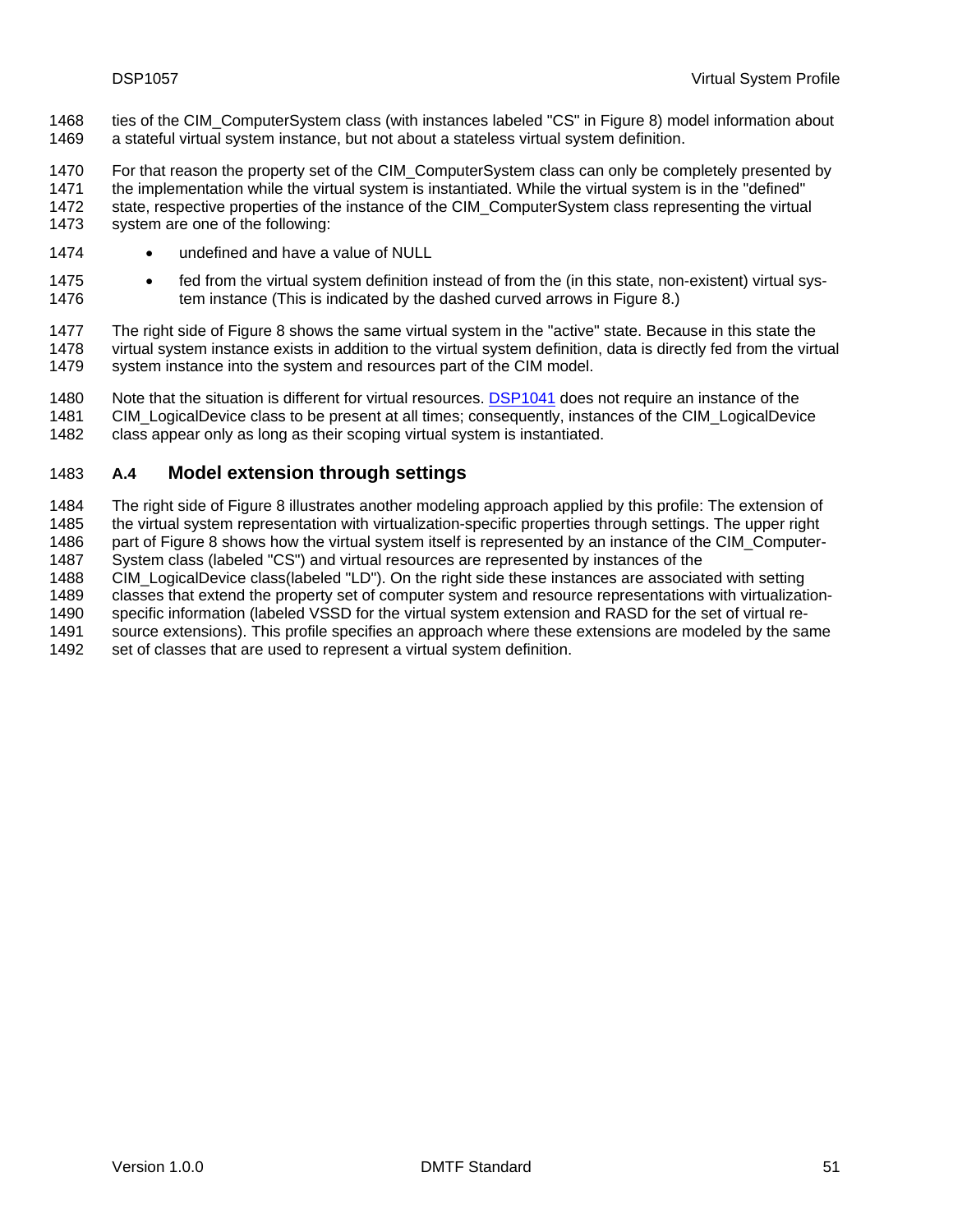1468 1469 ties of the CIM\_ComputerSystem class (with instances labeled "CS" in [Figure 8\)](#page-49-2) model information about a stateful virtual system instance, but not about a stateless virtual system definition.

1470 1471 1472 1473 For that reason the property set of the CIM ComputerSystem class can only be completely presented by the implementation while the virtual system is instantiated. While the virtual system is in the "defined" state, respective properties of the instance of the CIM\_ComputerSystem class representing the virtual system are one of the following:

- 1474 • undefined and have a value of NULL
- 1475 1476 • fed from the virtual system definition instead of from the (in this state, non-existent) virtual system instance (This is indicated by the dashed curved arrows in [Figure 8.](#page-49-2))

1477 1478 1479 The right side of [Figure 8](#page-49-2) shows the same virtual system in the "active" state. Because in this state the virtual system instance exists in addition to the virtual system definition, data is directly fed from the virtual system instance into the system and resources part of the CIM model.

Note that the situation is different for virtual resources. [DSP1041](#page-8-0) does not require an instance of the CIM\_LogicalDevice class to be present at all times; consequently, instances of the CIM\_LogicalDevice class appear only as long as their scoping virtual system is instantiated. 1480 1481 1482

### 1483 **A.4 Model extension through settings**

1484 1485 1486 The right side of [Figure 8](#page-49-2) illustrates another modeling approach applied by this profile: The extension of the virtual system representation with virtualization-specific properties through settings. The upper right part of [Figure 8](#page-49-2) shows how the virtual system itself is represented by an instance of the CIM\_Computer-

1487 System class (labeled "CS") and virtual resources are represented by instances of the

1488 CIM\_LogicalDevice class(labeled "LD"). On the right side these instances are associated with setting

1489 classes that extend the property set of computer system and resource representations with virtualization-

1490 specific information (labeled VSSD for the virtual system extension and RASD for the set of virtual re-

1491 source extensions). This profile specifies an approach where these extensions are modeled by the same

1492 set of classes that are used to represent a virtual system definition.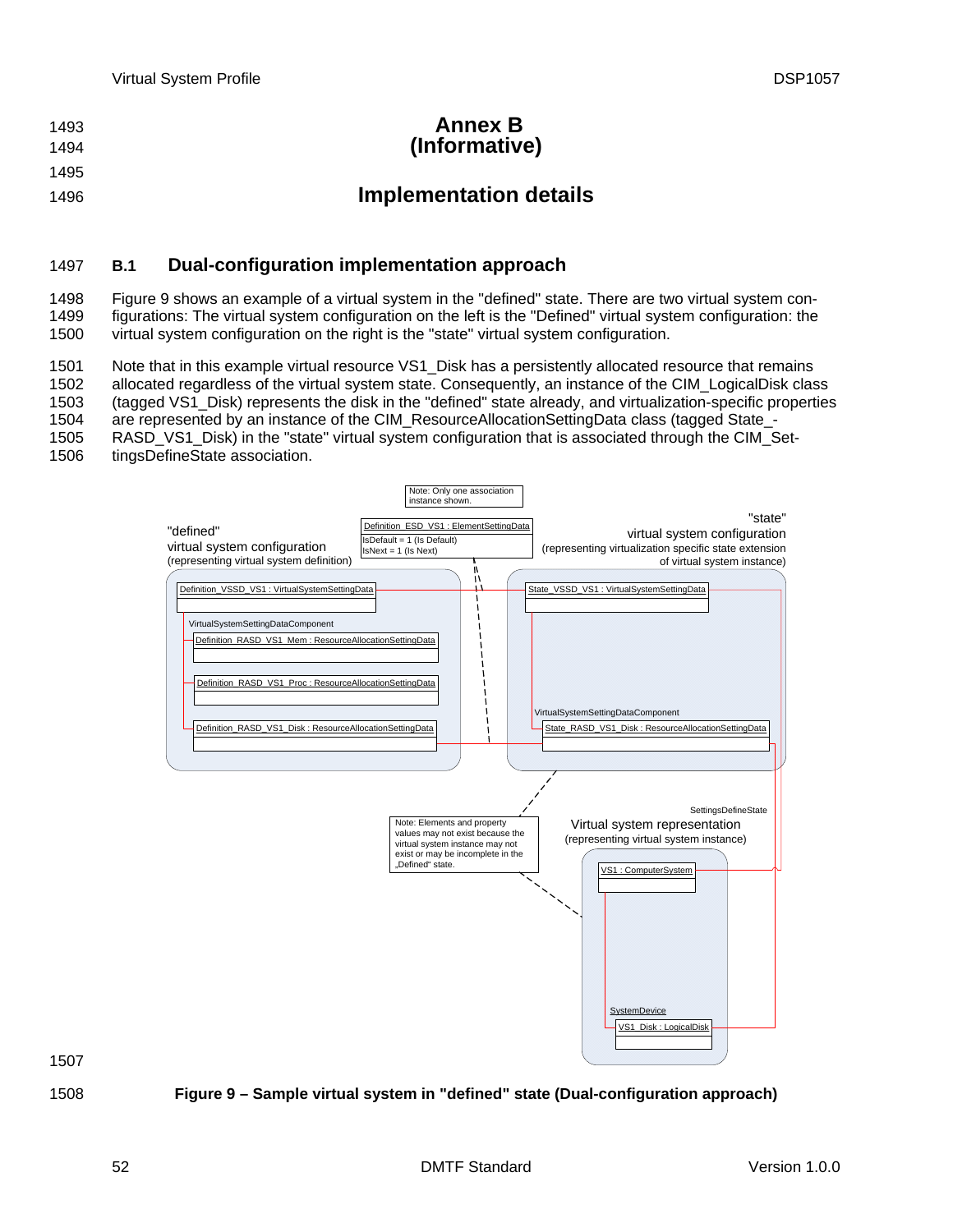<span id="page-51-1"></span><span id="page-51-0"></span>

| 1493<br>1494 | <b>Annex B</b><br>(Informative) |
|--------------|---------------------------------|
| 1495         |                                 |
| 1496         | <b>Implementation details</b>   |

### 1497 **B.1 Dual-configuration implementation approach**

1498 1499 1500 [Figure 9](#page-51-2) shows an example of a virtual system in the "defined" state. There are two virtual system configurations: The virtual system configuration on the left is the "Defined" virtual system configuration: the virtual system configuration on the right is the "state" virtual system configuration.

1501 1502 1503 1504 Note that in this example virtual resource VS1\_Disk has a persistently allocated resource that remains allocated regardless of the virtual system state. Consequently, an instance of the CIM\_LogicalDisk class (tagged VS1\_Disk) represents the disk in the "defined" state already, and virtualization-specific properties are represented by an instance of the CIM\_ResourceAllocationSettingData class (tagged State\_-

1505 RASD\_VS1\_Disk) in the "state" virtual system configuration that is associated through the CIM\_Set-

1506 tingsDefineState association.



<span id="page-51-2"></span>1508 **Figure 9 – Sample virtual system in "defined" state (Dual-configuration approach)**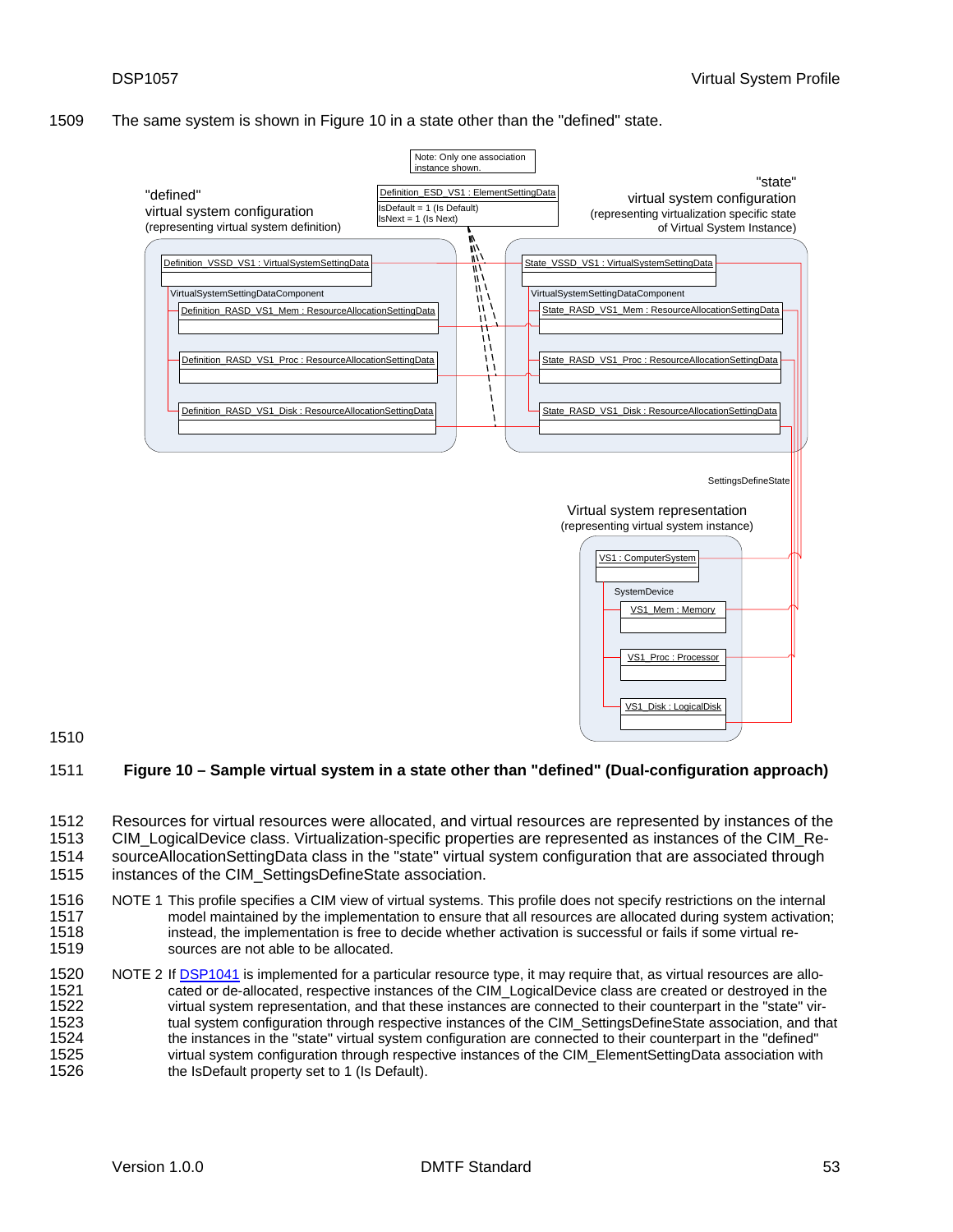### <span id="page-52-0"></span>1509 The same system is shown in [Figure 10](#page-52-1) in a state other than the "defined" state.



1510

#### <span id="page-52-1"></span>1511 **Figure 10 – Sample virtual system in a state other than "defined" (Dual-configuration approach)**

1512 1513 1514 1515 Resources for virtual resources were allocated, and virtual resources are represented by instances of the CIM\_LogicalDevice class. Virtualization-specific properties are represented as instances of the CIM\_ResourceAllocationSettingData class in the "state" virtual system configuration that are associated through instances of the CIM\_SettingsDefineState association.

- 1516 1517 1518 1519 NOTE 1 This profile specifies a CIM view of virtual systems. This profile does not specify restrictions on the internal model maintained by the implementation to ensure that all resources are allocated during system activation; instead, the implementation is free to decide whether activation is successful or fails if some virtual resources are not able to be allocated.
- 1520 1521 1522 1523 1524 1525 1526 NOTE 2 If [DSP1041](#page-8-0) is implemented for a particular resource type, it may require that, as virtual resources are allocated or de-allocated, respective instances of the CIM\_LogicalDevice class are created or destroyed in the virtual system representation, and that these instances are connected to their counterpart in the "state" virtual system configuration through respective instances of the CIM\_SettingsDefineState association, and that the instances in the "state" virtual system configuration are connected to their counterpart in the "defined" virtual system configuration through respective instances of the CIM\_ElementSettingData association with the IsDefault property set to 1 (Is Default).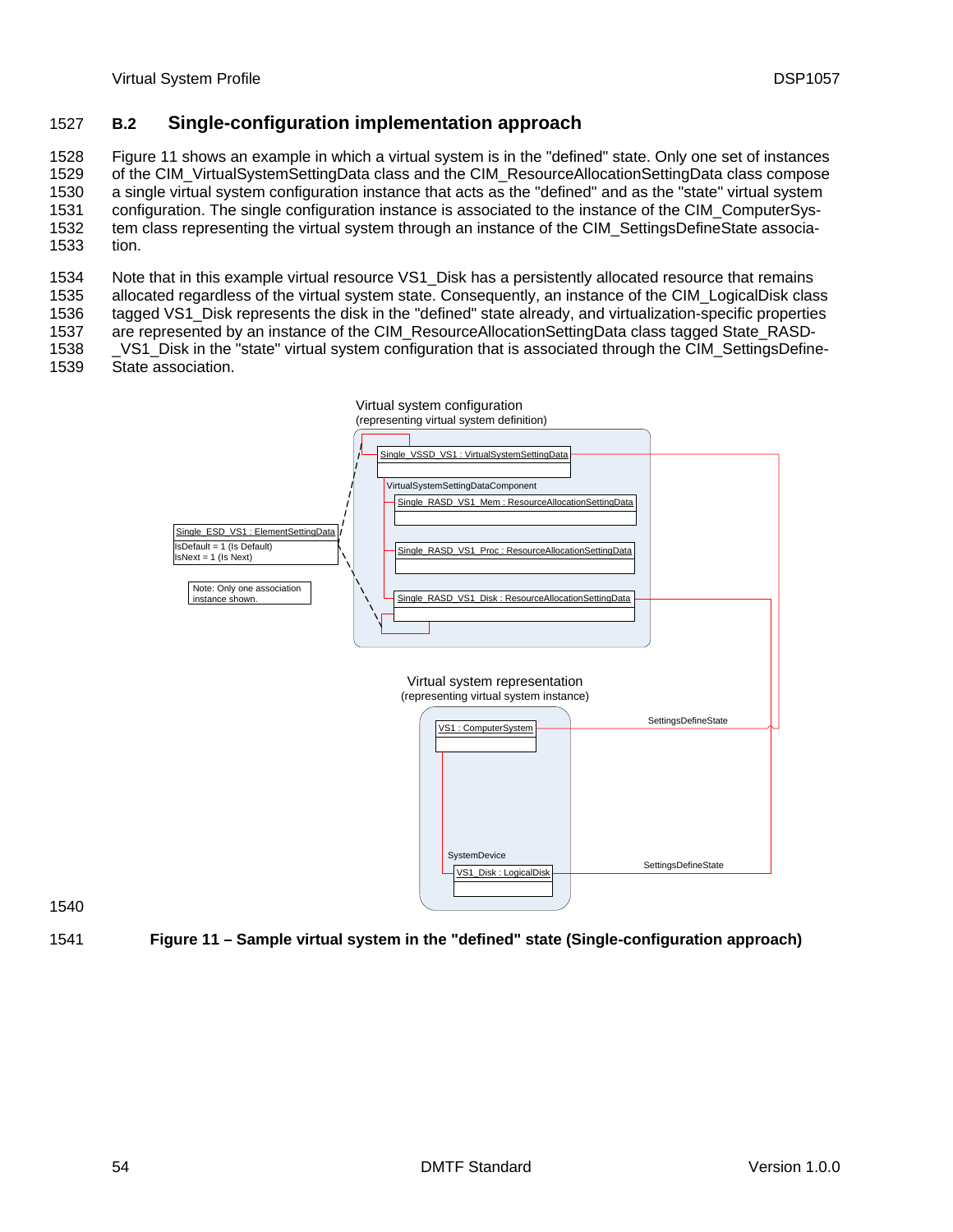### <span id="page-53-0"></span>1527 **B.2 Single-configuration implementation approach**

1528 1529 1530 1531 1532 1533 [Figure 11](#page-53-1) shows an example in which a virtual system is in the "defined" state. Only one set of instances of the CIM\_VirtualSystemSettingData class and the CIM\_ResourceAllocationSettingData class compose a single virtual system configuration instance that acts as the "defined" and as the "state" virtual system configuration. The single configuration instance is associated to the instance of the CIM\_ComputerSystem class representing the virtual system through an instance of the CIM\_SettingsDefineState association.

1534 1535 1536 1537 1538 1539 Note that in this example virtual resource VS1 Disk has a persistently allocated resource that remains allocated regardless of the virtual system state. Consequently, an instance of the CIM\_LogicalDisk class tagged VS1\_Disk represents the disk in the "defined" state already, and virtualization-specific properties are represented by an instance of the CIM\_ResourceAllocationSettingData class tagged State\_RASD-VS1\_Disk in the "state" virtual system configuration that is associated through the CIM\_SettingsDefine-State association.



<span id="page-53-1"></span>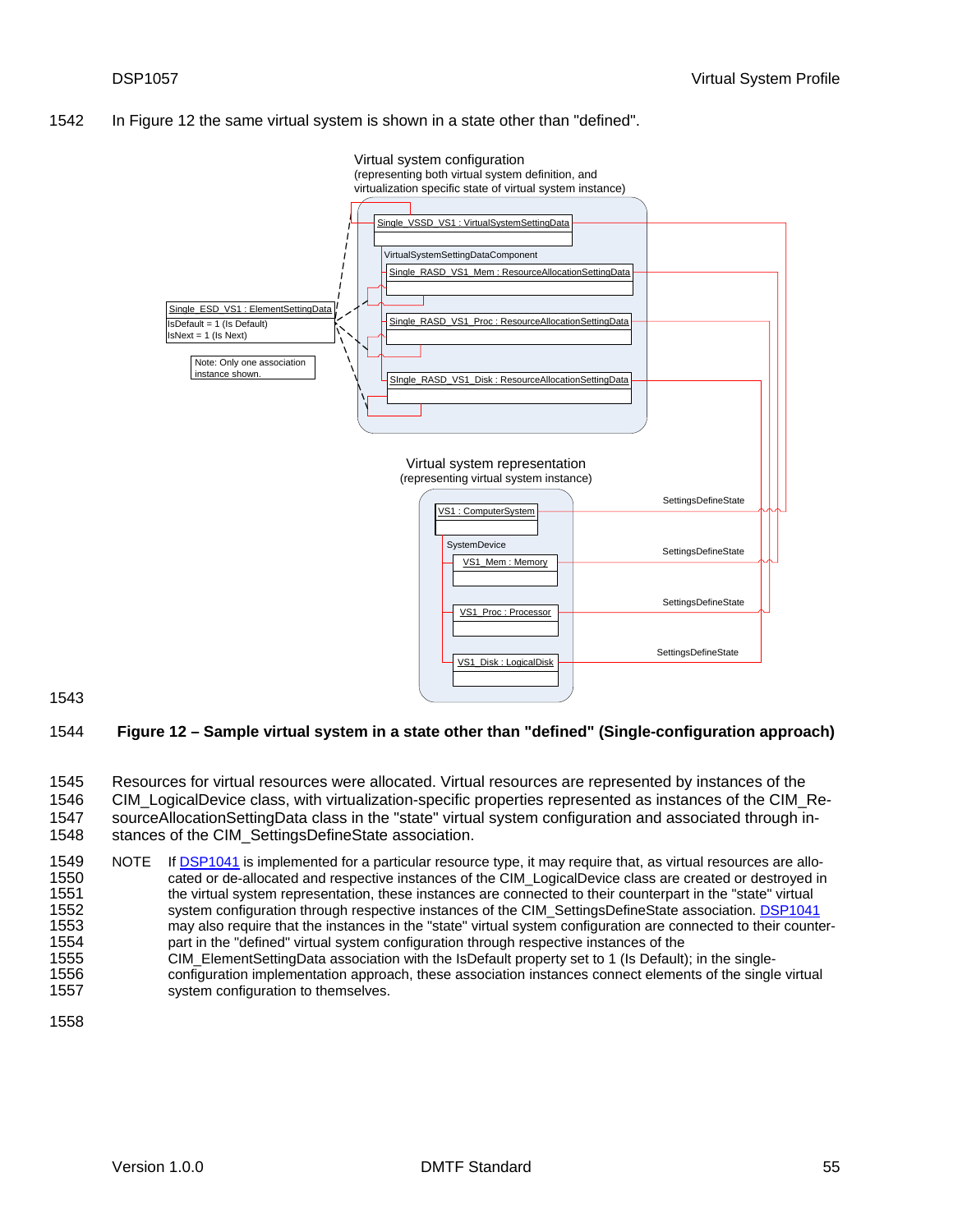### <span id="page-54-0"></span>1542 In [Figure 12](#page-54-1) the same virtual system is shown in a state other than "defined".



### 1543

#### <span id="page-54-1"></span>1544 **Figure 12 – Sample virtual system in a state other than "defined" (Single-configuration approach)**

1545 1546 1547 1548 Resources for virtual resources were allocated. Virtual resources are represented by instances of the CIM\_LogicalDevice class, with virtualization-specific properties represented as instances of the CIM\_ResourceAllocationSettingData class in the "state" virtual system configuration and associated through instances of the CIM\_SettingsDefineState association.

- NOTE If [DSP1041](#page-8-0) is implemented for a particular resource type, it may require that, as virtual resources are allocated or de-allocated and respective instances of the CIM\_LogicalDevice class are created or destroyed in the virtual system representation, these instances are connected to their counterpart in the "state" virtual system configuration through respective instances of the CIM\_SettingsDefineState association. **[DSP1041](#page-8-0)** 1549 1550 1551 may also require that the instances in the "state" virtual system configuration are connected to their counterpart in the "defined" virtual system configuration through respective instances of the CIM\_ElementSettingData association with the IsDefault property set to 1 (Is Default); in the singleconfiguration implementation approach, these association instances connect elements of the single virtual 1552 1553 1554 1555 1556
- system configuration to themselves. 1557
- 1558